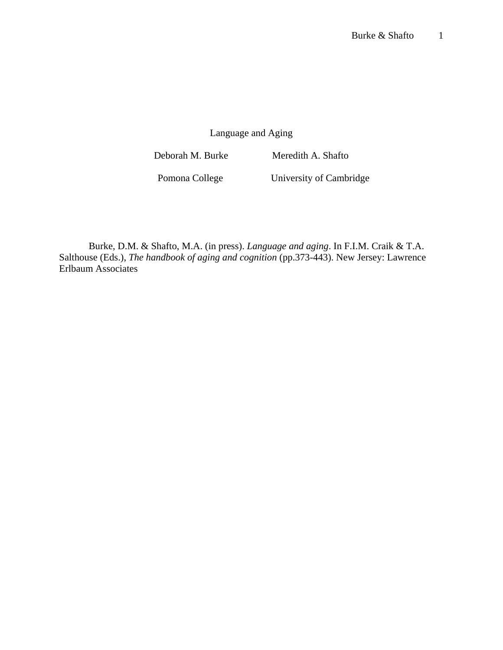Language and Aging

Deborah M. Burke Meredith A. Shafto

Pomona College University of Cambridge

Burke, D.M. & Shafto, M.A. (in press). *Language and aging*. In F.I.M. Craik & T.A. Salthouse (Eds.), *The handbook of aging and cognition* (pp.373-443). New Jersey: Lawrence Erlbaum Associates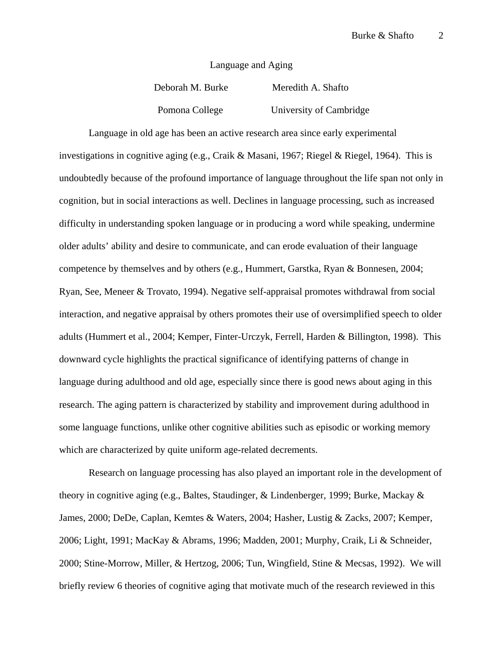# Language and Aging

| Deborah M. Burke | Meredith A. Shafto      |
|------------------|-------------------------|
| Pomona College   | University of Cambridge |

 Language in old age has been an active research area since early experimental investigations in cognitive aging (e.g., Craik & Masani, 1967; Riegel & Riegel, 1964). This is undoubtedly because of the profound importance of language throughout the life span not only in cognition, but in social interactions as well. Declines in language processing, such as increased difficulty in understanding spoken language or in producing a word while speaking, undermine older adults' ability and desire to communicate, and can erode evaluation of their language competence by themselves and by others (e.g., Hummert, Garstka, Ryan & Bonnesen, 2004; Ryan, See, Meneer & Trovato, 1994). Negative self-appraisal promotes withdrawal from social interaction, and negative appraisal by others promotes their use of oversimplified speech to older adults (Hummert et al., 2004; Kemper, Finter-Urczyk, Ferrell, Harden & Billington, 1998). This downward cycle highlights the practical significance of identifying patterns of change in language during adulthood and old age, especially since there is good news about aging in this research. The aging pattern is characterized by stability and improvement during adulthood in some language functions, unlike other cognitive abilities such as episodic or working memory which are characterized by quite uniform age-related decrements.

 Research on language processing has also played an important role in the development of theory in cognitive aging (e.g., Baltes, Staudinger, & Lindenberger, 1999; Burke, Mackay & James, 2000; DeDe, Caplan, Kemtes & Waters, 2004; Hasher, Lustig & Zacks, 2007; Kemper, 2006; Light, 1991; MacKay & Abrams, 1996; Madden, 2001; Murphy, Craik, Li & Schneider, 2000; Stine-Morrow, Miller, & Hertzog, 2006; Tun, Wingfield, Stine & Mecsas, 1992). We will briefly review 6 theories of cognitive aging that motivate much of the research reviewed in this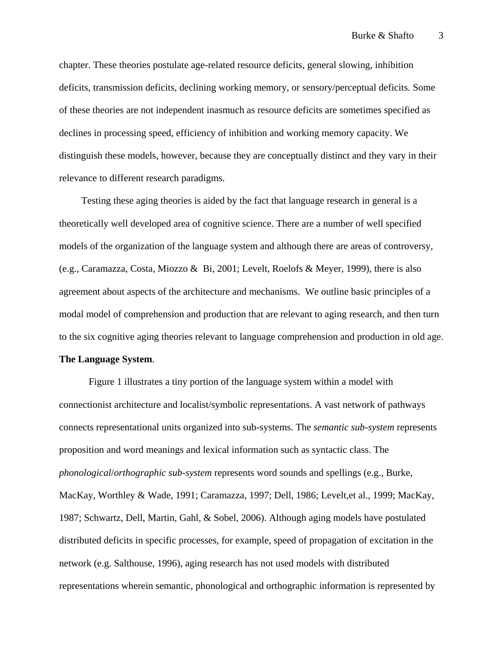chapter. These theories postulate age-related resource deficits, general slowing, inhibition deficits, transmission deficits, declining working memory, or sensory/perceptual deficits. Some of these theories are not independent inasmuch as resource deficits are sometimes specified as declines in processing speed, efficiency of inhibition and working memory capacity. We distinguish these models, however, because they are conceptually distinct and they vary in their relevance to different research paradigms.

Testing these aging theories is aided by the fact that language research in general is a theoretically well developed area of cognitive science. There are a number of well specified models of the organization of the language system and although there are areas of controversy, (e.g., Caramazza, Costa, Miozzo & Bi, 2001; Levelt, Roelofs & Meyer, 1999), there is also agreement about aspects of the architecture and mechanisms. We outline basic principles of a modal model of comprehension and production that are relevant to aging research, and then turn to the six cognitive aging theories relevant to language comprehension and production in old age.

# **The Language System**.

 Figure 1 illustrates a tiny portion of the language system within a model with connectionist architecture and localist/symbolic representations. A vast network of pathways connects representational units organized into sub-systems. The *semantic sub-system* represents proposition and word meanings and lexical information such as syntactic class. The *phonological*/*orthographic sub-system* represents word sounds and spellings (e.g., Burke, MacKay, Worthley & Wade, 1991; Caramazza, 1997; Dell, 1986; Levelt,et al., 1999; MacKay, 1987; Schwartz, Dell, Martin, Gahl, & Sobel, 2006). Although aging models have postulated distributed deficits in specific processes, for example, speed of propagation of excitation in the network (e.g. Salthouse, 1996), aging research has not used models with distributed representations wherein semantic, phonological and orthographic information is represented by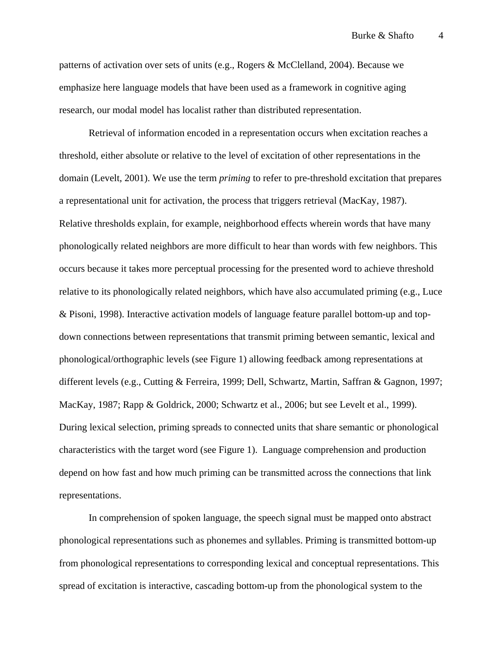patterns of activation over sets of units (e.g., Rogers & McClelland, 2004). Because we emphasize here language models that have been used as a framework in cognitive aging research, our modal model has localist rather than distributed representation.

Retrieval of information encoded in a representation occurs when excitation reaches a threshold, either absolute or relative to the level of excitation of other representations in the domain (Levelt, 2001). We use the term *priming* to refer to pre-threshold excitation that prepares a representational unit for activation, the process that triggers retrieval (MacKay, 1987). Relative thresholds explain, for example, neighborhood effects wherein words that have many phonologically related neighbors are more difficult to hear than words with few neighbors. This occurs because it takes more perceptual processing for the presented word to achieve threshold relative to its phonologically related neighbors, which have also accumulated priming (e.g., Luce & Pisoni, 1998). Interactive activation models of language feature parallel bottom-up and topdown connections between representations that transmit priming between semantic, lexical and phonological/orthographic levels (see Figure 1) allowing feedback among representations at different levels (e.g., Cutting & Ferreira, 1999; Dell, Schwartz, Martin, Saffran & Gagnon, 1997; MacKay, 1987; Rapp & Goldrick, 2000; Schwartz et al., 2006; but see Levelt et al., 1999). During lexical selection, priming spreads to connected units that share semantic or phonological characteristics with the target word (see Figure 1). Language comprehension and production depend on how fast and how much priming can be transmitted across the connections that link representations.

In comprehension of spoken language, the speech signal must be mapped onto abstract phonological representations such as phonemes and syllables. Priming is transmitted bottom-up from phonological representations to corresponding lexical and conceptual representations. This spread of excitation is interactive, cascading bottom-up from the phonological system to the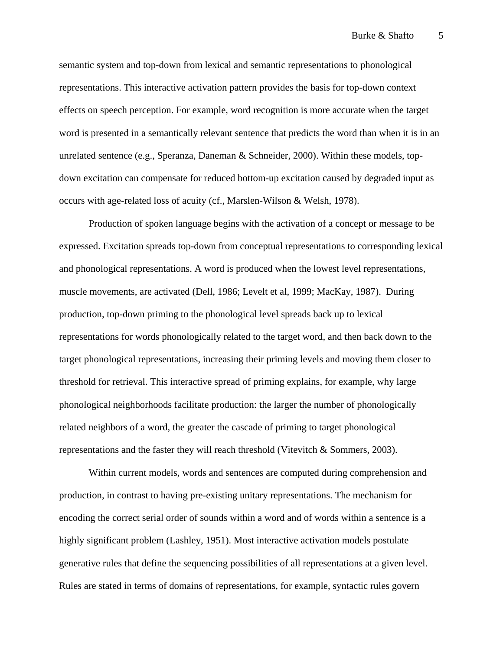semantic system and top-down from lexical and semantic representations to phonological representations. This interactive activation pattern provides the basis for top-down context effects on speech perception. For example, word recognition is more accurate when the target word is presented in a semantically relevant sentence that predicts the word than when it is in an unrelated sentence (e.g., Speranza, Daneman & Schneider, 2000). Within these models, topdown excitation can compensate for reduced bottom-up excitation caused by degraded input as occurs with age-related loss of acuity (cf., Marslen-Wilson & Welsh, 1978).

Production of spoken language begins with the activation of a concept or message to be expressed. Excitation spreads top-down from conceptual representations to corresponding lexical and phonological representations. A word is produced when the lowest level representations, muscle movements, are activated (Dell, 1986; Levelt et al, 1999; MacKay, 1987). During production, top-down priming to the phonological level spreads back up to lexical representations for words phonologically related to the target word, and then back down to the target phonological representations, increasing their priming levels and moving them closer to threshold for retrieval. This interactive spread of priming explains, for example, why large phonological neighborhoods facilitate production: the larger the number of phonologically related neighbors of a word, the greater the cascade of priming to target phonological representations and the faster they will reach threshold (Vitevitch & Sommers, 2003).

Within current models, words and sentences are computed during comprehension and production, in contrast to having pre-existing unitary representations. The mechanism for encoding the correct serial order of sounds within a word and of words within a sentence is a highly significant problem (Lashley, 1951). Most interactive activation models postulate generative rules that define the sequencing possibilities of all representations at a given level. Rules are stated in terms of domains of representations, for example, syntactic rules govern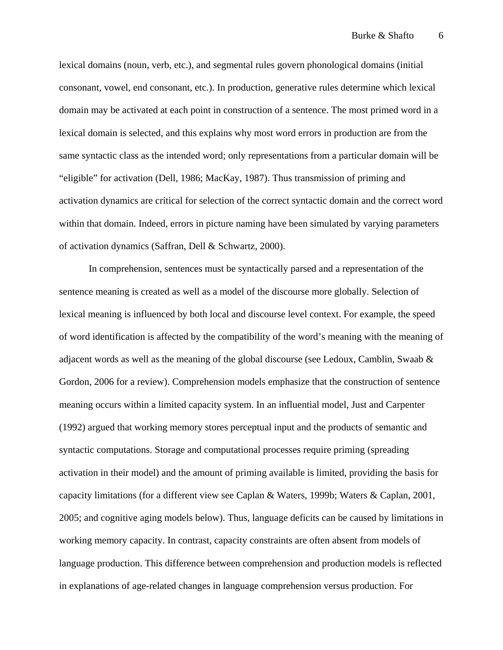lexical domains (noun, verb, etc.), and segmental rules govern phonological domains (initial consonant, vowel, end consonant, etc.). In production, generative rules determine which lexical domain may be activated at each point in construction of a sentence. The most primed word in a lexical domain is selected, and this explains why most word errors in production are from the same syntactic class as the intended word; only representations from a particular domain will be "eligible" for activation (Dell, 1986; MacKay, 1987). Thus transmission of priming and activation dynamics are critical for selection of the correct syntactic domain and the correct word within that domain. Indeed, errors in picture naming have been simulated by varying parameters of activation dynamics (Saffran, Dell & Schwartz, 2000).

In comprehension, sentences must be syntactically parsed and a representation of the sentence meaning is created as well as a model of the discourse more globally. Selection of lexical meaning is influenced by both local and discourse level context. For example, the speed of word identification is affected by the compatibility of the word's meaning with the meaning of adjacent words as well as the meaning of the global discourse (see Ledoux, Camblin, Swaab & Gordon, 2006 for a review). Comprehension models emphasize that the construction of sentence meaning occurs within a limited capacity system. In an influential model, Just and Carpenter (1992) argued that working memory stores perceptual input and the products of semantic and syntactic computations. Storage and computational processes require priming (spreading activation in their model) and the amount of priming available is limited, providing the basis for capacity limitations (for a different view see Caplan & Waters, 1999b; Waters & Caplan, 2001, 2005; and cognitive aging models below). Thus, language deficits can be caused by limitations in working memory capacity. In contrast, capacity constraints are often absent from models of language production. This difference between comprehension and production models is reflected in explanations of age-related changes in language comprehension versus production. For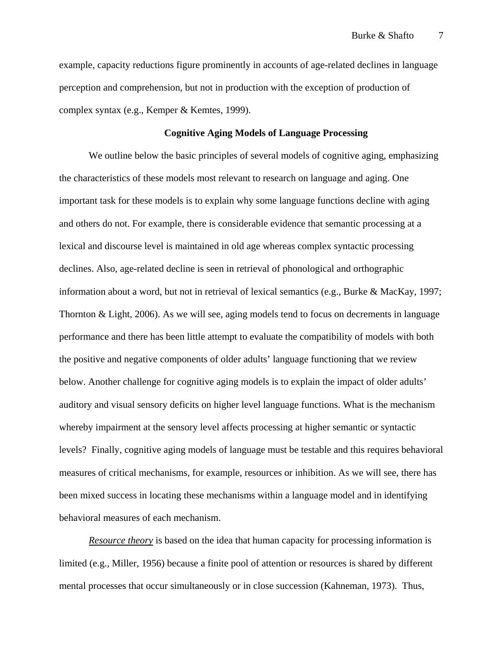example, capacity reductions figure prominently in accounts of age-related declines in language perception and comprehension, but not in production with the exception of production of complex syntax (e.g., Kemper & Kemtes, 1999).

## **Cognitive Aging Models of Language Processing**

We outline below the basic principles of several models of cognitive aging, emphasizing the characteristics of these models most relevant to research on language and aging. One important task for these models is to explain why some language functions decline with aging and others do not. For example, there is considerable evidence that semantic processing at a lexical and discourse level is maintained in old age whereas complex syntactic processing declines. Also, age-related decline is seen in retrieval of phonological and orthographic information about a word, but not in retrieval of lexical semantics (e.g., Burke & MacKay, 1997; Thornton & Light, 2006). As we will see, aging models tend to focus on decrements in language performance and there has been little attempt to evaluate the compatibility of models with both the positive and negative components of older adults' language functioning that we review below. Another challenge for cognitive aging models is to explain the impact of older adults' auditory and visual sensory deficits on higher level language functions. What is the mechanism whereby impairment at the sensory level affects processing at higher semantic or syntactic levels? Finally, cognitive aging models of language must be testable and this requires behavioral measures of critical mechanisms, for example, resources or inhibition. As we will see, there has been mixed success in locating these mechanisms within a language model and in identifying behavioral measures of each mechanism.

*Resource theory* is based on the idea that human capacity for processing information is limited (e.g., Miller, 1956) because a finite pool of attention or resources is shared by different mental processes that occur simultaneously or in close succession (Kahneman, 1973). Thus,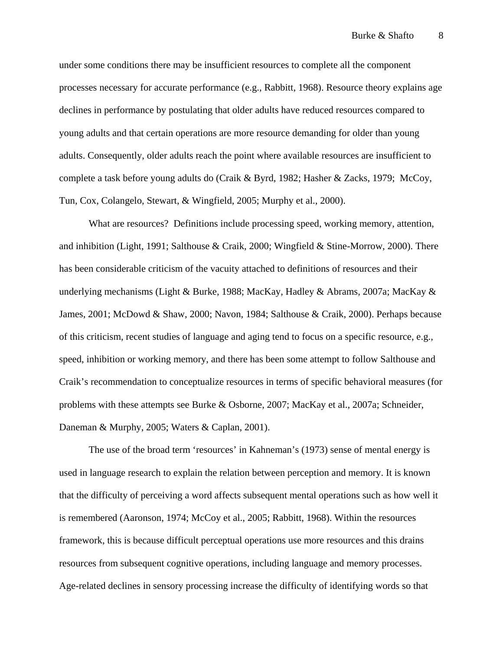under some conditions there may be insufficient resources to complete all the component processes necessary for accurate performance (e.g., Rabbitt, 1968). Resource theory explains age declines in performance by postulating that older adults have reduced resources compared to young adults and that certain operations are more resource demanding for older than young adults. Consequently, older adults reach the point where available resources are insufficient to complete a task before young adults do (Craik & Byrd, 1982; Hasher & Zacks, 1979; McCoy, Tun, Cox, Colangelo, Stewart, & Wingfield, 2005; Murphy et al., 2000).

What are resources? Definitions include processing speed, working memory, attention, and inhibition (Light, 1991; Salthouse & Craik, 2000; Wingfield & Stine-Morrow, 2000). There has been considerable criticism of the vacuity attached to definitions of resources and their underlying mechanisms (Light & Burke, 1988; MacKay, Hadley & Abrams, 2007a; MacKay & James, 2001; McDowd & Shaw, 2000; Navon, 1984; Salthouse & Craik, 2000). Perhaps because of this criticism, recent studies of language and aging tend to focus on a specific resource, e.g., speed, inhibition or working memory, and there has been some attempt to follow Salthouse and Craik's recommendation to conceptualize resources in terms of specific behavioral measures (for problems with these attempts see Burke & Osborne, 2007; MacKay et al., 2007a; Schneider, Daneman & Murphy, 2005; Waters & Caplan, 2001).

The use of the broad term 'resources' in Kahneman's (1973) sense of mental energy is used in language research to explain the relation between perception and memory. It is known that the difficulty of perceiving a word affects subsequent mental operations such as how well it is remembered (Aaronson, 1974; McCoy et al., 2005; Rabbitt, 1968). Within the resources framework, this is because difficult perceptual operations use more resources and this drains resources from subsequent cognitive operations, including language and memory processes. Age-related declines in sensory processing increase the difficulty of identifying words so that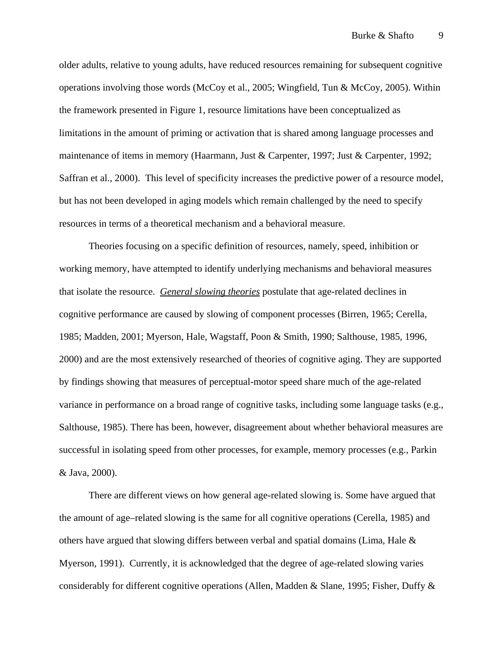older adults, relative to young adults, have reduced resources remaining for subsequent cognitive operations involving those words (McCoy et al., 2005; Wingfield, Tun & McCoy, 2005). Within the framework presented in Figure 1, resource limitations have been conceptualized as limitations in the amount of priming or activation that is shared among language processes and maintenance of items in memory (Haarmann, Just & Carpenter, 1997; Just & Carpenter, 1992; Saffran et al., 2000). This level of specificity increases the predictive power of a resource model, but has not been developed in aging models which remain challenged by the need to specify resources in terms of a theoretical mechanism and a behavioral measure.

Theories focusing on a specific definition of resources, namely, speed, inhibition or working memory, have attempted to identify underlying mechanisms and behavioral measures that isolate the resource. *General slowing theories* postulate that age-related declines in cognitive performance are caused by slowing of component processes (Birren, 1965; Cerella, 1985; Madden, 2001; Myerson, Hale, Wagstaff, Poon & Smith, 1990; Salthouse, 1985, 1996, 2000) and are the most extensively researched of theories of cognitive aging. They are supported by findings showing that measures of perceptual-motor speed share much of the age-related variance in performance on a broad range of cognitive tasks, including some language tasks (e.g., Salthouse, 1985). There has been, however, disagreement about whether behavioral measures are successful in isolating speed from other processes, for example, memory processes (e.g., Parkin & Java, 2000).

There are different views on how general age-related slowing is. Some have argued that the amount of age–related slowing is the same for all cognitive operations (Cerella, 1985) and others have argued that slowing differs between verbal and spatial domains (Lima, Hale  $\&$ Myerson, 1991). Currently, it is acknowledged that the degree of age-related slowing varies considerably for different cognitive operations (Allen, Madden & Slane, 1995; Fisher, Duffy &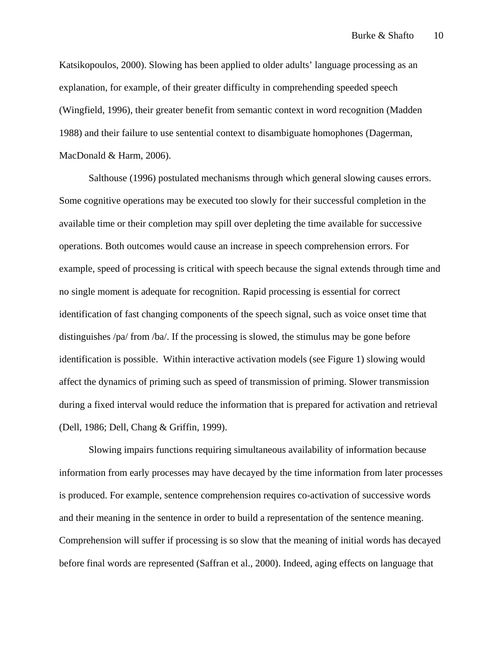Katsikopoulos, 2000). Slowing has been applied to older adults' language processing as an explanation, for example, of their greater difficulty in comprehending speeded speech (Wingfield, 1996), their greater benefit from semantic context in word recognition (Madden 1988) and their failure to use sentential context to disambiguate homophones (Dagerman, MacDonald & Harm, 2006).

Salthouse (1996) postulated mechanisms through which general slowing causes errors. Some cognitive operations may be executed too slowly for their successful completion in the available time or their completion may spill over depleting the time available for successive operations. Both outcomes would cause an increase in speech comprehension errors. For example, speed of processing is critical with speech because the signal extends through time and no single moment is adequate for recognition. Rapid processing is essential for correct identification of fast changing components of the speech signal, such as voice onset time that distinguishes /pa/ from /ba/. If the processing is slowed, the stimulus may be gone before identification is possible. Within interactive activation models (see Figure 1) slowing would affect the dynamics of priming such as speed of transmission of priming. Slower transmission during a fixed interval would reduce the information that is prepared for activation and retrieval (Dell, 1986; Dell, Chang & Griffin, 1999).

Slowing impairs functions requiring simultaneous availability of information because information from early processes may have decayed by the time information from later processes is produced. For example, sentence comprehension requires co-activation of successive words and their meaning in the sentence in order to build a representation of the sentence meaning. Comprehension will suffer if processing is so slow that the meaning of initial words has decayed before final words are represented (Saffran et al., 2000). Indeed, aging effects on language that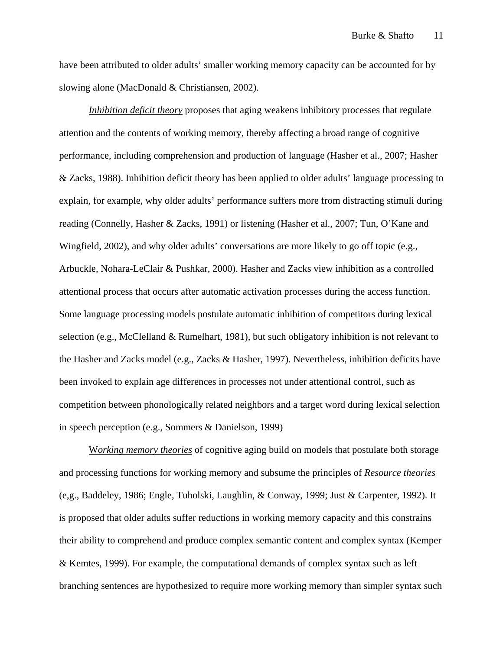have been attributed to older adults' smaller working memory capacity can be accounted for by slowing alone (MacDonald & Christiansen, 2002).

*Inhibition deficit theory* proposes that aging weakens inhibitory processes that regulate attention and the contents of working memory, thereby affecting a broad range of cognitive performance, including comprehension and production of language (Hasher et al., 2007; Hasher & Zacks, 1988). Inhibition deficit theory has been applied to older adults' language processing to explain, for example, why older adults' performance suffers more from distracting stimuli during reading (Connelly, Hasher & Zacks, 1991) or listening (Hasher et al., 2007; Tun, O'Kane and Wingfield, 2002), and why older adults' conversations are more likely to go off topic (e.g., Arbuckle, Nohara-LeClair & Pushkar, 2000). Hasher and Zacks view inhibition as a controlled attentional process that occurs after automatic activation processes during the access function. Some language processing models postulate automatic inhibition of competitors during lexical selection (e.g., McClelland & Rumelhart, 1981), but such obligatory inhibition is not relevant to the Hasher and Zacks model (e.g., Zacks & Hasher, 1997). Nevertheless, inhibition deficits have been invoked to explain age differences in processes not under attentional control, such as competition between phonologically related neighbors and a target word during lexical selection in speech perception (e.g., Sommers & Danielson, 1999)

W*orking memory theories* of cognitive aging build on models that postulate both storage and processing functions for working memory and subsume the principles of *Resource theories* (e,g., Baddeley, 1986; Engle, Tuholski, Laughlin, & Conway, 1999; Just & Carpenter, 1992). It is proposed that older adults suffer reductions in working memory capacity and this constrains their ability to comprehend and produce complex semantic content and complex syntax (Kemper & Kemtes, 1999). For example, the computational demands of complex syntax such as left branching sentences are hypothesized to require more working memory than simpler syntax such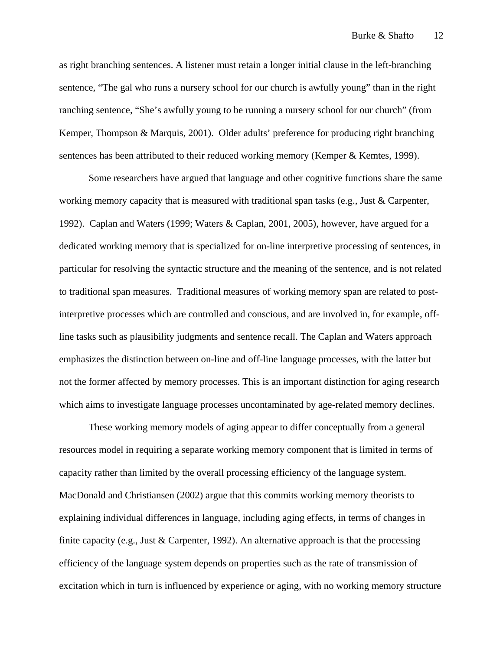as right branching sentences. A listener must retain a longer initial clause in the left-branching sentence, "The gal who runs a nursery school for our church is awfully young" than in the right ranching sentence, "She's awfully young to be running a nursery school for our church" (from Kemper, Thompson & Marquis, 2001). Older adults' preference for producing right branching sentences has been attributed to their reduced working memory (Kemper & Kemtes, 1999).

Some researchers have argued that language and other cognitive functions share the same working memory capacity that is measured with traditional span tasks (e.g., Just & Carpenter, 1992). Caplan and Waters (1999; Waters & Caplan, 2001, 2005), however, have argued for a dedicated working memory that is specialized for on-line interpretive processing of sentences, in particular for resolving the syntactic structure and the meaning of the sentence, and is not related to traditional span measures. Traditional measures of working memory span are related to postinterpretive processes which are controlled and conscious, and are involved in, for example, offline tasks such as plausibility judgments and sentence recall. The Caplan and Waters approach emphasizes the distinction between on-line and off-line language processes, with the latter but not the former affected by memory processes. This is an important distinction for aging research which aims to investigate language processes uncontaminated by age-related memory declines.

These working memory models of aging appear to differ conceptually from a general resources model in requiring a separate working memory component that is limited in terms of capacity rather than limited by the overall processing efficiency of the language system. MacDonald and Christiansen (2002) argue that this commits working memory theorists to explaining individual differences in language, including aging effects, in terms of changes in finite capacity (e.g., Just  $&$  Carpenter, 1992). An alternative approach is that the processing efficiency of the language system depends on properties such as the rate of transmission of excitation which in turn is influenced by experience or aging, with no working memory structure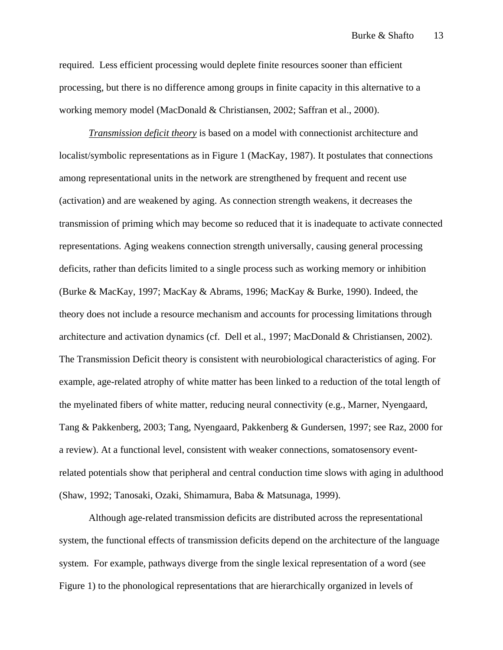required. Less efficient processing would deplete finite resources sooner than efficient processing, but there is no difference among groups in finite capacity in this alternative to a working memory model (MacDonald & Christiansen, 2002; Saffran et al., 2000).

*Transmission deficit theory* is based on a model with connectionist architecture and localist/symbolic representations as in Figure 1 (MacKay, 1987). It postulates that connections among representational units in the network are strengthened by frequent and recent use (activation) and are weakened by aging. As connection strength weakens, it decreases the transmission of priming which may become so reduced that it is inadequate to activate connected representations. Aging weakens connection strength universally, causing general processing deficits, rather than deficits limited to a single process such as working memory or inhibition (Burke & MacKay, 1997; MacKay & Abrams, 1996; MacKay & Burke, 1990). Indeed, the theory does not include a resource mechanism and accounts for processing limitations through architecture and activation dynamics (cf. Dell et al., 1997; MacDonald & Christiansen, 2002). The Transmission Deficit theory is consistent with neurobiological characteristics of aging. For example, age-related atrophy of white matter has been linked to a reduction of the total length of the myelinated fibers of white matter, reducing neural connectivity (e.g., Marner, Nyengaard, Tang & Pakkenberg, 2003; Tang, Nyengaard, Pakkenberg & Gundersen, 1997; see Raz, 2000 for a review). At a functional level, consistent with weaker connections, somatosensory eventrelated potentials show that peripheral and central conduction time slows with aging in adulthood (Shaw, 1992; Tanosaki, Ozaki, Shimamura, Baba & Matsunaga, 1999).

Although age-related transmission deficits are distributed across the representational system, the functional effects of transmission deficits depend on the architecture of the language system. For example, pathways diverge from the single lexical representation of a word (see Figure 1) to the phonological representations that are hierarchically organized in levels of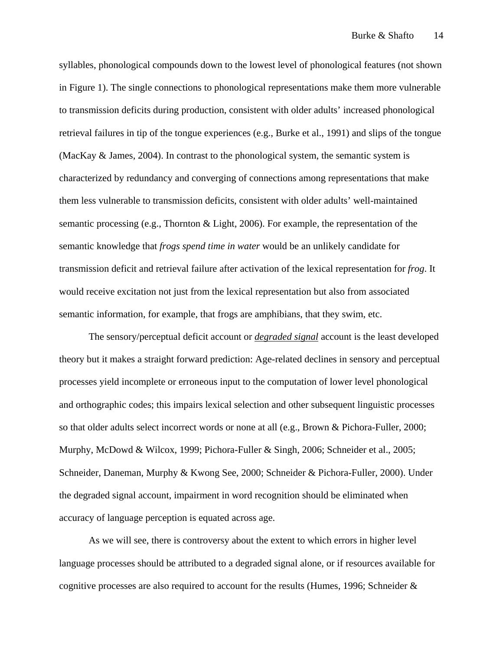syllables, phonological compounds down to the lowest level of phonological features (not shown in Figure 1). The single connections to phonological representations make them more vulnerable to transmission deficits during production, consistent with older adults' increased phonological retrieval failures in tip of the tongue experiences (e.g., Burke et al., 1991) and slips of the tongue (MacKay & James, 2004). In contrast to the phonological system, the semantic system is characterized by redundancy and converging of connections among representations that make them less vulnerable to transmission deficits, consistent with older adults' well-maintained semantic processing (e.g., Thornton & Light, 2006). For example, the representation of the semantic knowledge that *frogs spend time in water* would be an unlikely candidate for transmission deficit and retrieval failure after activation of the lexical representation for *frog*. It would receive excitation not just from the lexical representation but also from associated semantic information, for example, that frogs are amphibians, that they swim, etc.

The sensory/perceptual deficit account or *degraded signal* account is the least developed theory but it makes a straight forward prediction: Age-related declines in sensory and perceptual processes yield incomplete or erroneous input to the computation of lower level phonological and orthographic codes; this impairs lexical selection and other subsequent linguistic processes so that older adults select incorrect words or none at all (e.g., Brown & Pichora-Fuller, 2000; Murphy, McDowd & Wilcox, 1999; Pichora-Fuller & Singh, 2006; Schneider et al., 2005; Schneider, Daneman, Murphy & Kwong See, 2000; Schneider & Pichora-Fuller, 2000). Under the degraded signal account, impairment in word recognition should be eliminated when accuracy of language perception is equated across age.

As we will see, there is controversy about the extent to which errors in higher level language processes should be attributed to a degraded signal alone, or if resources available for cognitive processes are also required to account for the results (Humes, 1996; Schneider &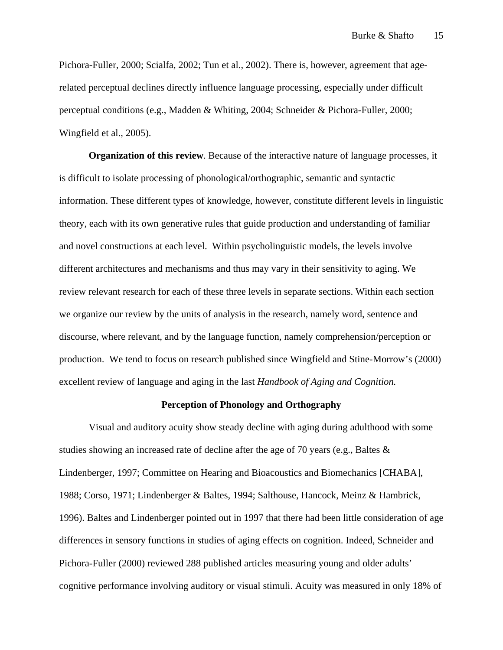Pichora-Fuller, 2000; Scialfa, 2002; Tun et al., 2002). There is, however, agreement that agerelated perceptual declines directly influence language processing, especially under difficult perceptual conditions (e.g., Madden & Whiting, 2004; Schneider & Pichora-Fuller, 2000; Wingfield et al., 2005).

**Organization of this review**. Because of the interactive nature of language processes, it is difficult to isolate processing of phonological/orthographic, semantic and syntactic information. These different types of knowledge, however, constitute different levels in linguistic theory, each with its own generative rules that guide production and understanding of familiar and novel constructions at each level. Within psycholinguistic models, the levels involve different architectures and mechanisms and thus may vary in their sensitivity to aging. We review relevant research for each of these three levels in separate sections. Within each section we organize our review by the units of analysis in the research, namely word, sentence and discourse, where relevant, and by the language function, namely comprehension/perception or production. We tend to focus on research published since Wingfield and Stine-Morrow's (2000) excellent review of language and aging in the last *Handbook of Aging and Cognition.*

### **Perception of Phonology and Orthography**

Visual and auditory acuity show steady decline with aging during adulthood with some studies showing an increased rate of decline after the age of 70 years (e.g., Baltes  $\&$ Lindenberger, 1997; Committee on Hearing and Bioacoustics and Biomechanics [CHABA], 1988; Corso, 1971; Lindenberger & Baltes, 1994; Salthouse, Hancock, Meinz & Hambrick, 1996). Baltes and Lindenberger pointed out in 1997 that there had been little consideration of age differences in sensory functions in studies of aging effects on cognition. Indeed, Schneider and Pichora-Fuller (2000) reviewed 288 published articles measuring young and older adults' cognitive performance involving auditory or visual stimuli. Acuity was measured in only 18% of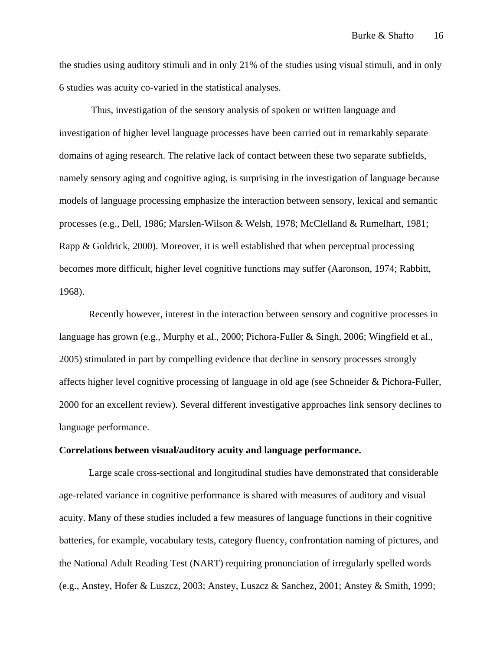the studies using auditory stimuli and in only 21% of the studies using visual stimuli, and in only 6 studies was acuity co-varied in the statistical analyses.

 Thus, investigation of the sensory analysis of spoken or written language and investigation of higher level language processes have been carried out in remarkably separate domains of aging research. The relative lack of contact between these two separate subfields, namely sensory aging and cognitive aging, is surprising in the investigation of language because models of language processing emphasize the interaction between sensory, lexical and semantic processes (e.g., Dell, 1986; Marslen-Wilson & Welsh, 1978; McClelland & Rumelhart, 1981; Rapp & Goldrick, 2000). Moreover, it is well established that when perceptual processing becomes more difficult, higher level cognitive functions may suffer (Aaronson, 1974; Rabbitt, 1968).

Recently however, interest in the interaction between sensory and cognitive processes in language has grown (e.g., Murphy et al., 2000; Pichora-Fuller & Singh, 2006; Wingfield et al., 2005) stimulated in part by compelling evidence that decline in sensory processes strongly affects higher level cognitive processing of language in old age (see Schneider & Pichora-Fuller, 2000 for an excellent review). Several different investigative approaches link sensory declines to language performance.

### **Correlations between visual/auditory acuity and language performance.**

Large scale cross-sectional and longitudinal studies have demonstrated that considerable age-related variance in cognitive performance is shared with measures of auditory and visual acuity. Many of these studies included a few measures of language functions in their cognitive batteries, for example, vocabulary tests, category fluency, confrontation naming of pictures, and the National Adult Reading Test (NART) requiring pronunciation of irregularly spelled words (e.g., Anstey, Hofer & Luszcz, 2003; Anstey, Luszcz & Sanchez, 2001; Anstey & Smith, 1999;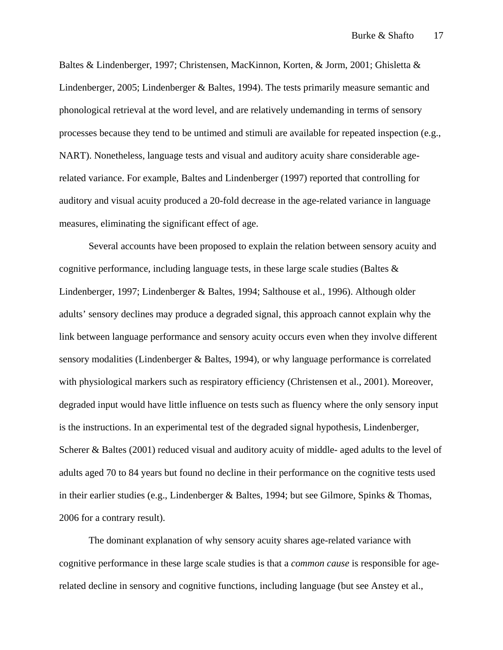Baltes & Lindenberger, 1997; Christensen, MacKinnon, Korten, & Jorm, 2001; Ghisletta & Lindenberger, 2005; Lindenberger & Baltes, 1994). The tests primarily measure semantic and phonological retrieval at the word level, and are relatively undemanding in terms of sensory processes because they tend to be untimed and stimuli are available for repeated inspection (e.g., NART). Nonetheless, language tests and visual and auditory acuity share considerable agerelated variance. For example, Baltes and Lindenberger (1997) reported that controlling for auditory and visual acuity produced a 20-fold decrease in the age-related variance in language measures, eliminating the significant effect of age.

Several accounts have been proposed to explain the relation between sensory acuity and cognitive performance, including language tests, in these large scale studies (Baltes  $\&$ Lindenberger, 1997; Lindenberger & Baltes, 1994; Salthouse et al., 1996). Although older adults' sensory declines may produce a degraded signal, this approach cannot explain why the link between language performance and sensory acuity occurs even when they involve different sensory modalities (Lindenberger & Baltes, 1994), or why language performance is correlated with physiological markers such as respiratory efficiency (Christensen et al., 2001). Moreover, degraded input would have little influence on tests such as fluency where the only sensory input is the instructions. In an experimental test of the degraded signal hypothesis, Lindenberger, Scherer & Baltes (2001) reduced visual and auditory acuity of middle- aged adults to the level of adults aged 70 to 84 years but found no decline in their performance on the cognitive tests used in their earlier studies (e.g., Lindenberger & Baltes, 1994; but see Gilmore, Spinks & Thomas, 2006 for a contrary result).

The dominant explanation of why sensory acuity shares age-related variance with cognitive performance in these large scale studies is that a *common cause* is responsible for agerelated decline in sensory and cognitive functions, including language (but see Anstey et al.,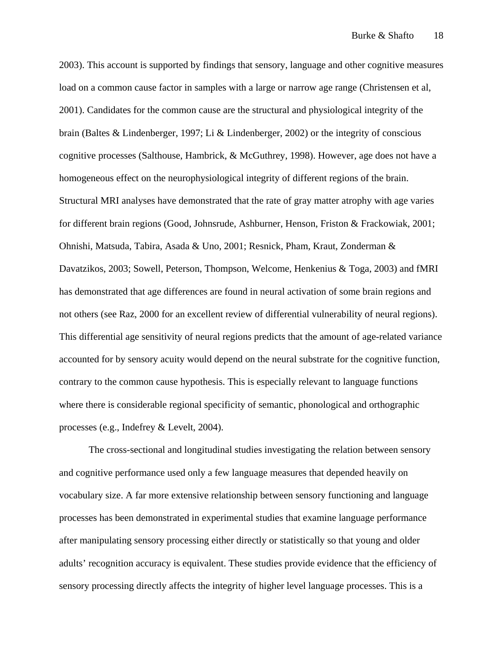2003). This account is supported by findings that sensory, language and other cognitive measures load on a common cause factor in samples with a large or narrow age range (Christensen et al, 2001). Candidates for the common cause are the structural and physiological integrity of the brain (Baltes & Lindenberger, 1997; Li & Lindenberger, 2002) or the integrity of conscious cognitive processes (Salthouse, Hambrick, & McGuthrey, 1998). However, age does not have a homogeneous effect on the neurophysiological integrity of different regions of the brain. Structural MRI analyses have demonstrated that the rate of gray matter atrophy with age varies for different brain regions (Good, Johnsrude, Ashburner, Henson, Friston & Frackowiak, 2001; Ohnishi, Matsuda, Tabira, Asada & Uno, 2001; Resnick, Pham, Kraut, Zonderman & Davatzikos, 2003; Sowell, Peterson, Thompson, Welcome, Henkenius & Toga, 2003) and fMRI has demonstrated that age differences are found in neural activation of some brain regions and not others (see Raz, 2000 for an excellent review of differential vulnerability of neural regions). This differential age sensitivity of neural regions predicts that the amount of age-related variance accounted for by sensory acuity would depend on the neural substrate for the cognitive function, contrary to the common cause hypothesis. This is especially relevant to language functions where there is considerable regional specificity of semantic, phonological and orthographic processes (e.g., Indefrey & Levelt, 2004).

The cross-sectional and longitudinal studies investigating the relation between sensory and cognitive performance used only a few language measures that depended heavily on vocabulary size. A far more extensive relationship between sensory functioning and language processes has been demonstrated in experimental studies that examine language performance after manipulating sensory processing either directly or statistically so that young and older adults' recognition accuracy is equivalent. These studies provide evidence that the efficiency of sensory processing directly affects the integrity of higher level language processes. This is a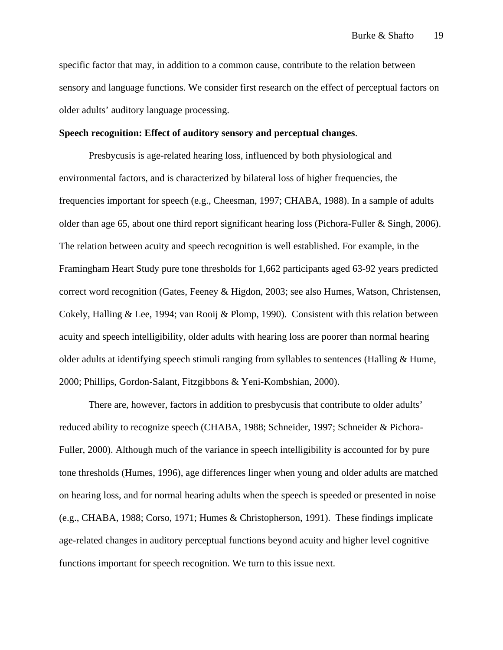specific factor that may, in addition to a common cause, contribute to the relation between sensory and language functions. We consider first research on the effect of perceptual factors on older adults' auditory language processing.

### **Speech recognition: Effect of auditory sensory and perceptual changes**.

Presbycusis is age-related hearing loss, influenced by both physiological and environmental factors, and is characterized by bilateral loss of higher frequencies, the frequencies important for speech (e.g., Cheesman, 1997; CHABA, 1988). In a sample of adults older than age 65, about one third report significant hearing loss (Pichora-Fuller & Singh, 2006). The relation between acuity and speech recognition is well established. For example, in the Framingham Heart Study pure tone thresholds for 1,662 participants aged 63-92 years predicted correct word recognition (Gates, Feeney & Higdon, 2003; see also Humes, Watson, Christensen, Cokely, Halling & Lee, 1994; van Rooij & Plomp, 1990). Consistent with this relation between acuity and speech intelligibility, older adults with hearing loss are poorer than normal hearing older adults at identifying speech stimuli ranging from syllables to sentences (Halling & Hume, 2000; Phillips, Gordon-Salant, Fitzgibbons & Yeni-Kombshian, 2000).

There are, however, factors in addition to presbycusis that contribute to older adults' reduced ability to recognize speech (CHABA, 1988; Schneider, 1997; Schneider & Pichora-Fuller, 2000). Although much of the variance in speech intelligibility is accounted for by pure tone thresholds (Humes, 1996), age differences linger when young and older adults are matched on hearing loss, and for normal hearing adults when the speech is speeded or presented in noise (e.g., CHABA, 1988; Corso, 1971; Humes & Christopherson, 1991). These findings implicate age-related changes in auditory perceptual functions beyond acuity and higher level cognitive functions important for speech recognition. We turn to this issue next.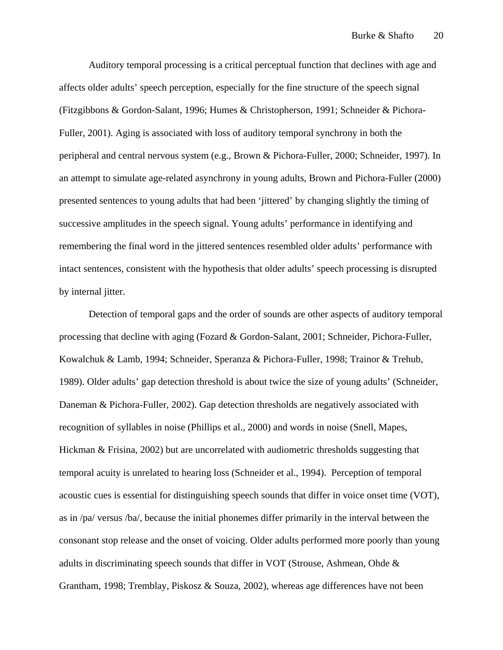Auditory temporal processing is a critical perceptual function that declines with age and affects older adults' speech perception, especially for the fine structure of the speech signal (Fitzgibbons & Gordon-Salant, 1996; Humes & Christopherson, 1991; Schneider & Pichora-Fuller, 2001). Aging is associated with loss of auditory temporal synchrony in both the peripheral and central nervous system (e.g., Brown & Pichora-Fuller, 2000; Schneider, 1997). In an attempt to simulate age-related asynchrony in young adults, Brown and Pichora-Fuller (2000) presented sentences to young adults that had been 'jittered' by changing slightly the timing of successive amplitudes in the speech signal. Young adults' performance in identifying and remembering the final word in the jittered sentences resembled older adults' performance with intact sentences, consistent with the hypothesis that older adults' speech processing is disrupted by internal jitter.

Detection of temporal gaps and the order of sounds are other aspects of auditory temporal processing that decline with aging (Fozard & Gordon-Salant, 2001; Schneider, Pichora-Fuller, Kowalchuk & Lamb, 1994; Schneider, Speranza & Pichora-Fuller, 1998; Trainor & Trehub, 1989). Older adults' gap detection threshold is about twice the size of young adults' (Schneider, Daneman & Pichora-Fuller, 2002). Gap detection thresholds are negatively associated with recognition of syllables in noise (Phillips et al., 2000) and words in noise (Snell, Mapes, Hickman & Frisina, 2002) but are uncorrelated with audiometric thresholds suggesting that temporal acuity is unrelated to hearing loss (Schneider et al., 1994). Perception of temporal acoustic cues is essential for distinguishing speech sounds that differ in voice onset time (VOT), as in /pa/ versus /ba/, because the initial phonemes differ primarily in the interval between the consonant stop release and the onset of voicing. Older adults performed more poorly than young adults in discriminating speech sounds that differ in VOT (Strouse, Ashmean, Ohde & Grantham, 1998; Tremblay, Piskosz & Souza, 2002), whereas age differences have not been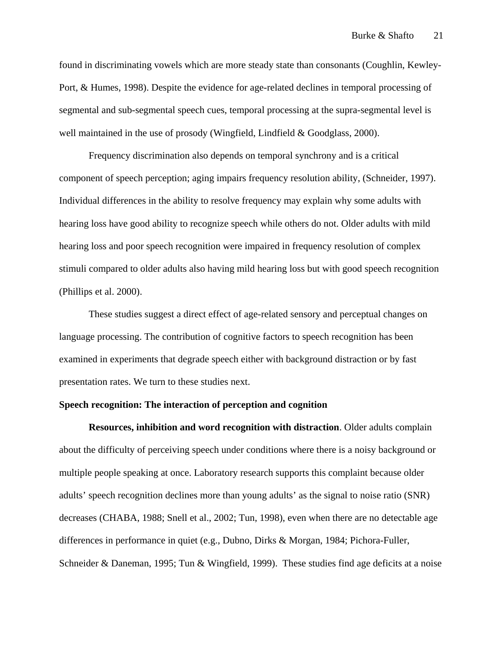found in discriminating vowels which are more steady state than consonants (Coughlin, Kewley-Port, & Humes, 1998). Despite the evidence for age-related declines in temporal processing of segmental and sub-segmental speech cues, temporal processing at the supra-segmental level is well maintained in the use of prosody (Wingfield, Lindfield & Goodglass, 2000).

Frequency discrimination also depends on temporal synchrony and is a critical component of speech perception; aging impairs frequency resolution ability, (Schneider, 1997). Individual differences in the ability to resolve frequency may explain why some adults with hearing loss have good ability to recognize speech while others do not. Older adults with mild hearing loss and poor speech recognition were impaired in frequency resolution of complex stimuli compared to older adults also having mild hearing loss but with good speech recognition (Phillips et al. 2000).

These studies suggest a direct effect of age-related sensory and perceptual changes on language processing. The contribution of cognitive factors to speech recognition has been examined in experiments that degrade speech either with background distraction or by fast presentation rates. We turn to these studies next.

# **Speech recognition: The interaction of perception and cognition**

**Resources, inhibition and word recognition with distraction**. Older adults complain about the difficulty of perceiving speech under conditions where there is a noisy background or multiple people speaking at once. Laboratory research supports this complaint because older adults' speech recognition declines more than young adults' as the signal to noise ratio (SNR) decreases (CHABA, 1988; Snell et al., 2002; Tun, 1998), even when there are no detectable age differences in performance in quiet (e.g., Dubno, Dirks & Morgan, 1984; Pichora-Fuller, Schneider & Daneman, 1995; Tun & Wingfield, 1999). These studies find age deficits at a noise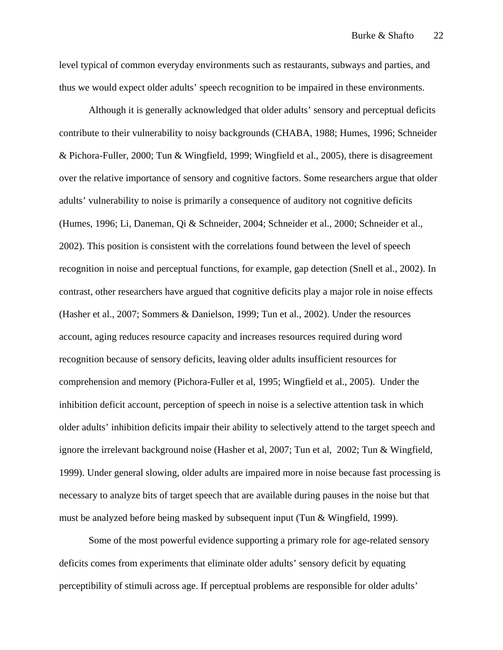level typical of common everyday environments such as restaurants, subways and parties, and thus we would expect older adults' speech recognition to be impaired in these environments.

Although it is generally acknowledged that older adults' sensory and perceptual deficits contribute to their vulnerability to noisy backgrounds (CHABA, 1988; Humes, 1996; Schneider & Pichora-Fuller, 2000; Tun & Wingfield, 1999; Wingfield et al., 2005), there is disagreement over the relative importance of sensory and cognitive factors. Some researchers argue that older adults' vulnerability to noise is primarily a consequence of auditory not cognitive deficits (Humes, 1996; Li, Daneman, Qi & Schneider, 2004; Schneider et al., 2000; Schneider et al., 2002). This position is consistent with the correlations found between the level of speech recognition in noise and perceptual functions, for example, gap detection (Snell et al., 2002). In contrast, other researchers have argued that cognitive deficits play a major role in noise effects (Hasher et al., 2007; Sommers & Danielson, 1999; Tun et al., 2002). Under the resources account, aging reduces resource capacity and increases resources required during word recognition because of sensory deficits, leaving older adults insufficient resources for comprehension and memory (Pichora-Fuller et al, 1995; Wingfield et al., 2005). Under the inhibition deficit account, perception of speech in noise is a selective attention task in which older adults' inhibition deficits impair their ability to selectively attend to the target speech and ignore the irrelevant background noise (Hasher et al, 2007; Tun et al, 2002; Tun & Wingfield, 1999). Under general slowing, older adults are impaired more in noise because fast processing is necessary to analyze bits of target speech that are available during pauses in the noise but that must be analyzed before being masked by subsequent input (Tun & Wingfield, 1999).

Some of the most powerful evidence supporting a primary role for age-related sensory deficits comes from experiments that eliminate older adults' sensory deficit by equating perceptibility of stimuli across age. If perceptual problems are responsible for older adults'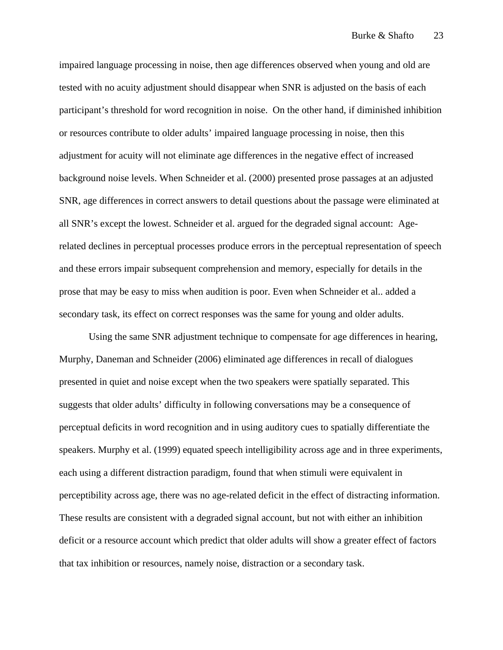impaired language processing in noise, then age differences observed when young and old are tested with no acuity adjustment should disappear when SNR is adjusted on the basis of each participant's threshold for word recognition in noise. On the other hand, if diminished inhibition or resources contribute to older adults' impaired language processing in noise, then this adjustment for acuity will not eliminate age differences in the negative effect of increased background noise levels. When Schneider et al. (2000) presented prose passages at an adjusted SNR, age differences in correct answers to detail questions about the passage were eliminated at all SNR's except the lowest. Schneider et al. argued for the degraded signal account: Agerelated declines in perceptual processes produce errors in the perceptual representation of speech and these errors impair subsequent comprehension and memory, especially for details in the prose that may be easy to miss when audition is poor. Even when Schneider et al.. added a secondary task, its effect on correct responses was the same for young and older adults.

Using the same SNR adjustment technique to compensate for age differences in hearing, Murphy, Daneman and Schneider (2006) eliminated age differences in recall of dialogues presented in quiet and noise except when the two speakers were spatially separated. This suggests that older adults' difficulty in following conversations may be a consequence of perceptual deficits in word recognition and in using auditory cues to spatially differentiate the speakers. Murphy et al. (1999) equated speech intelligibility across age and in three experiments, each using a different distraction paradigm, found that when stimuli were equivalent in perceptibility across age, there was no age-related deficit in the effect of distracting information. These results are consistent with a degraded signal account, but not with either an inhibition deficit or a resource account which predict that older adults will show a greater effect of factors that tax inhibition or resources, namely noise, distraction or a secondary task.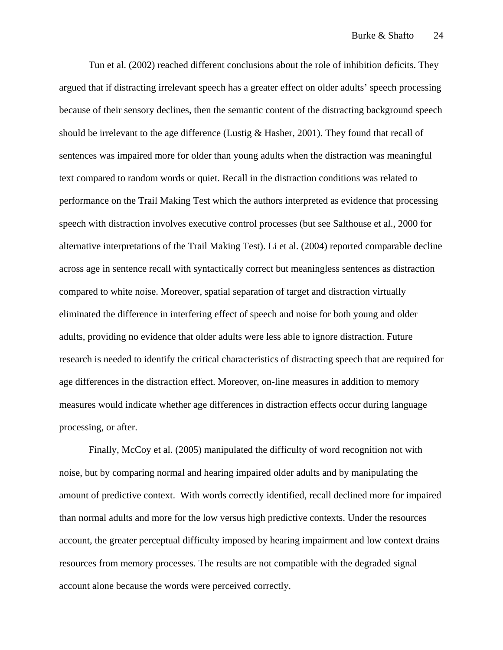Tun et al. (2002) reached different conclusions about the role of inhibition deficits. They argued that if distracting irrelevant speech has a greater effect on older adults' speech processing because of their sensory declines, then the semantic content of the distracting background speech should be irrelevant to the age difference (Lustig & Hasher, 2001). They found that recall of sentences was impaired more for older than young adults when the distraction was meaningful text compared to random words or quiet. Recall in the distraction conditions was related to performance on the Trail Making Test which the authors interpreted as evidence that processing speech with distraction involves executive control processes (but see Salthouse et al., 2000 for alternative interpretations of the Trail Making Test). Li et al. (2004) reported comparable decline across age in sentence recall with syntactically correct but meaningless sentences as distraction compared to white noise. Moreover, spatial separation of target and distraction virtually eliminated the difference in interfering effect of speech and noise for both young and older adults, providing no evidence that older adults were less able to ignore distraction. Future research is needed to identify the critical characteristics of distracting speech that are required for age differences in the distraction effect. Moreover, on-line measures in addition to memory measures would indicate whether age differences in distraction effects occur during language processing, or after.

Finally, McCoy et al. (2005) manipulated the difficulty of word recognition not with noise, but by comparing normal and hearing impaired older adults and by manipulating the amount of predictive context. With words correctly identified, recall declined more for impaired than normal adults and more for the low versus high predictive contexts. Under the resources account, the greater perceptual difficulty imposed by hearing impairment and low context drains resources from memory processes. The results are not compatible with the degraded signal account alone because the words were perceived correctly.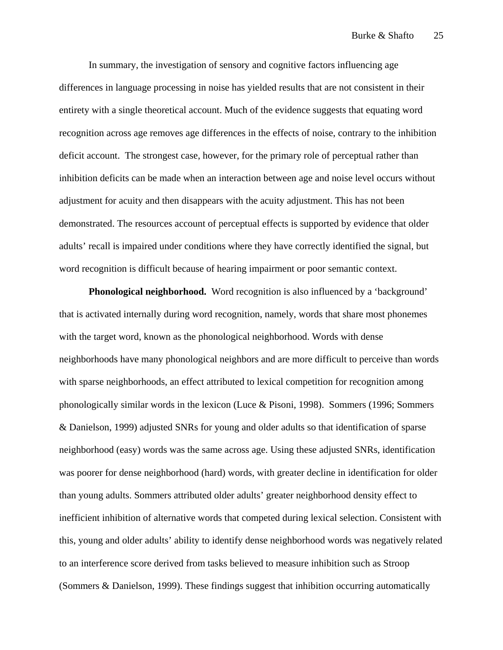In summary, the investigation of sensory and cognitive factors influencing age differences in language processing in noise has yielded results that are not consistent in their entirety with a single theoretical account. Much of the evidence suggests that equating word recognition across age removes age differences in the effects of noise, contrary to the inhibition deficit account. The strongest case, however, for the primary role of perceptual rather than inhibition deficits can be made when an interaction between age and noise level occurs without adjustment for acuity and then disappears with the acuity adjustment. This has not been demonstrated. The resources account of perceptual effects is supported by evidence that older adults' recall is impaired under conditions where they have correctly identified the signal, but word recognition is difficult because of hearing impairment or poor semantic context.

**Phonological neighborhood.** Word recognition is also influenced by a 'background' that is activated internally during word recognition, namely, words that share most phonemes with the target word, known as the phonological neighborhood. Words with dense neighborhoods have many phonological neighbors and are more difficult to perceive than words with sparse neighborhoods, an effect attributed to lexical competition for recognition among phonologically similar words in the lexicon (Luce & Pisoni, 1998). Sommers (1996; Sommers & Danielson, 1999) adjusted SNRs for young and older adults so that identification of sparse neighborhood (easy) words was the same across age. Using these adjusted SNRs, identification was poorer for dense neighborhood (hard) words, with greater decline in identification for older than young adults. Sommers attributed older adults' greater neighborhood density effect to inefficient inhibition of alternative words that competed during lexical selection. Consistent with this, young and older adults' ability to identify dense neighborhood words was negatively related to an interference score derived from tasks believed to measure inhibition such as Stroop (Sommers & Danielson, 1999). These findings suggest that inhibition occurring automatically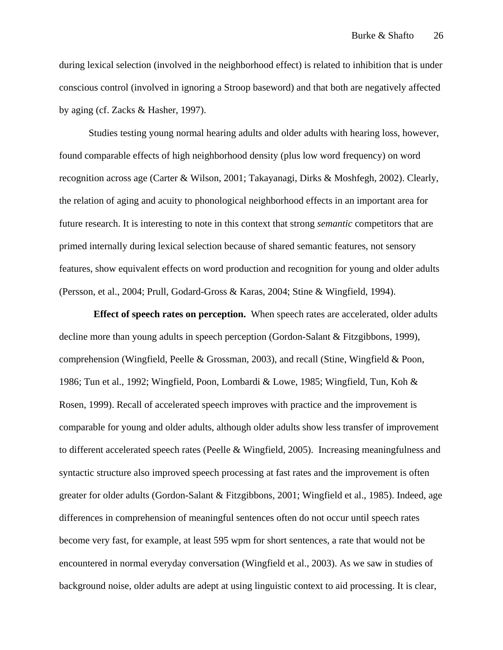during lexical selection (involved in the neighborhood effect) is related to inhibition that is under conscious control (involved in ignoring a Stroop baseword) and that both are negatively affected by aging (cf. Zacks & Hasher, 1997).

Studies testing young normal hearing adults and older adults with hearing loss, however, found comparable effects of high neighborhood density (plus low word frequency) on word recognition across age (Carter & Wilson, 2001; Takayanagi, Dirks & Moshfegh, 2002). Clearly, the relation of aging and acuity to phonological neighborhood effects in an important area for future research. It is interesting to note in this context that strong *semantic* competitors that are primed internally during lexical selection because of shared semantic features, not sensory features, show equivalent effects on word production and recognition for young and older adults (Persson, et al., 2004; Prull, Godard-Gross & Karas, 2004; Stine & Wingfield, 1994).

 **Effect of speech rates on perception.** When speech rates are accelerated, older adults decline more than young adults in speech perception (Gordon-Salant & Fitzgibbons, 1999), comprehension (Wingfield, Peelle & Grossman, 2003), and recall (Stine, Wingfield & Poon, 1986; Tun et al., 1992; Wingfield, Poon, Lombardi & Lowe, 1985; Wingfield, Tun, Koh & Rosen, 1999). Recall of accelerated speech improves with practice and the improvement is comparable for young and older adults, although older adults show less transfer of improvement to different accelerated speech rates (Peelle & Wingfield, 2005). Increasing meaningfulness and syntactic structure also improved speech processing at fast rates and the improvement is often greater for older adults (Gordon-Salant & Fitzgibbons, 2001; Wingfield et al., 1985). Indeed, age differences in comprehension of meaningful sentences often do not occur until speech rates become very fast, for example, at least 595 wpm for short sentences, a rate that would not be encountered in normal everyday conversation (Wingfield et al., 2003). As we saw in studies of background noise, older adults are adept at using linguistic context to aid processing. It is clear,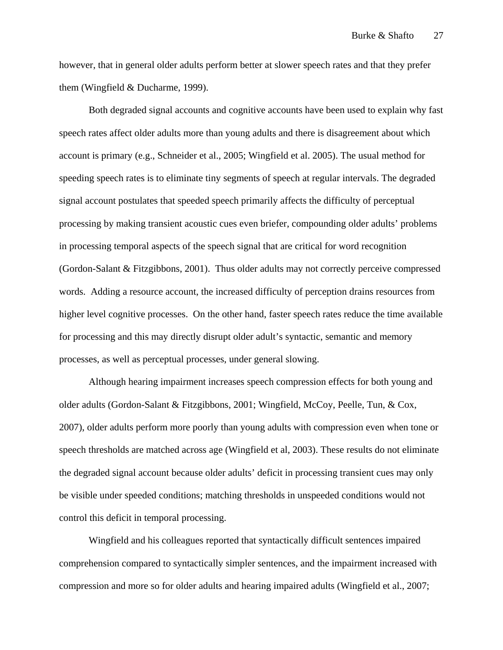however, that in general older adults perform better at slower speech rates and that they prefer them (Wingfield & Ducharme, 1999).

Both degraded signal accounts and cognitive accounts have been used to explain why fast speech rates affect older adults more than young adults and there is disagreement about which account is primary (e.g., Schneider et al., 2005; Wingfield et al. 2005). The usual method for speeding speech rates is to eliminate tiny segments of speech at regular intervals. The degraded signal account postulates that speeded speech primarily affects the difficulty of perceptual processing by making transient acoustic cues even briefer, compounding older adults' problems in processing temporal aspects of the speech signal that are critical for word recognition (Gordon-Salant & Fitzgibbons, 2001). Thus older adults may not correctly perceive compressed words. Adding a resource account, the increased difficulty of perception drains resources from higher level cognitive processes. On the other hand, faster speech rates reduce the time available for processing and this may directly disrupt older adult's syntactic, semantic and memory processes, as well as perceptual processes, under general slowing.

Although hearing impairment increases speech compression effects for both young and older adults (Gordon-Salant & Fitzgibbons, 2001; Wingfield, McCoy, Peelle, Tun, & Cox, 2007), older adults perform more poorly than young adults with compression even when tone or speech thresholds are matched across age (Wingfield et al, 2003). These results do not eliminate the degraded signal account because older adults' deficit in processing transient cues may only be visible under speeded conditions; matching thresholds in unspeeded conditions would not control this deficit in temporal processing.

Wingfield and his colleagues reported that syntactically difficult sentences impaired comprehension compared to syntactically simpler sentences, and the impairment increased with compression and more so for older adults and hearing impaired adults (Wingfield et al., 2007;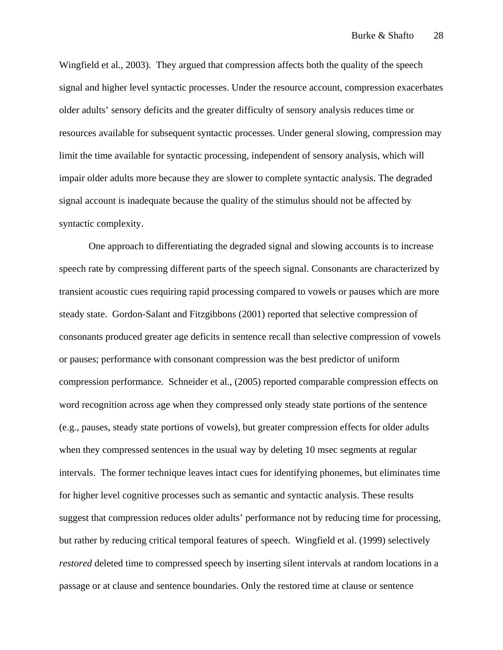Wingfield et al., 2003). They argued that compression affects both the quality of the speech signal and higher level syntactic processes. Under the resource account, compression exacerbates older adults' sensory deficits and the greater difficulty of sensory analysis reduces time or resources available for subsequent syntactic processes. Under general slowing, compression may limit the time available for syntactic processing, independent of sensory analysis, which will impair older adults more because they are slower to complete syntactic analysis. The degraded signal account is inadequate because the quality of the stimulus should not be affected by syntactic complexity.

One approach to differentiating the degraded signal and slowing accounts is to increase speech rate by compressing different parts of the speech signal. Consonants are characterized by transient acoustic cues requiring rapid processing compared to vowels or pauses which are more steady state. Gordon-Salant and Fitzgibbons (2001) reported that selective compression of consonants produced greater age deficits in sentence recall than selective compression of vowels or pauses; performance with consonant compression was the best predictor of uniform compression performance. Schneider et al., (2005) reported comparable compression effects on word recognition across age when they compressed only steady state portions of the sentence (e.g., pauses, steady state portions of vowels), but greater compression effects for older adults when they compressed sentences in the usual way by deleting 10 msec segments at regular intervals. The former technique leaves intact cues for identifying phonemes, but eliminates time for higher level cognitive processes such as semantic and syntactic analysis. These results suggest that compression reduces older adults' performance not by reducing time for processing, but rather by reducing critical temporal features of speech. Wingfield et al. (1999) selectively *restored* deleted time to compressed speech by inserting silent intervals at random locations in a passage or at clause and sentence boundaries. Only the restored time at clause or sentence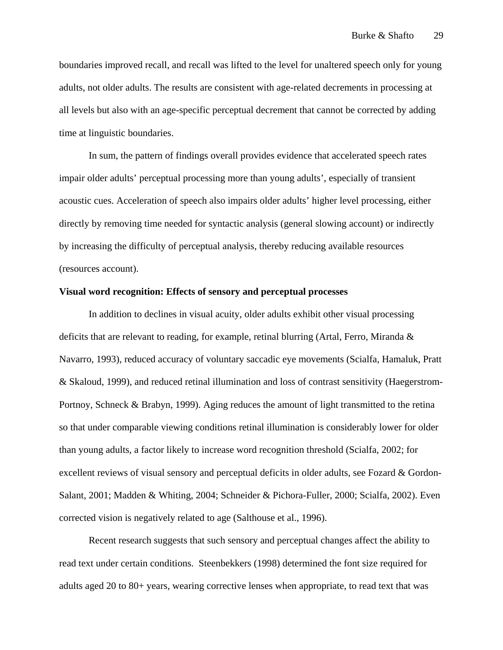boundaries improved recall, and recall was lifted to the level for unaltered speech only for young adults, not older adults. The results are consistent with age-related decrements in processing at all levels but also with an age-specific perceptual decrement that cannot be corrected by adding time at linguistic boundaries.

In sum, the pattern of findings overall provides evidence that accelerated speech rates impair older adults' perceptual processing more than young adults', especially of transient acoustic cues. Acceleration of speech also impairs older adults' higher level processing, either directly by removing time needed for syntactic analysis (general slowing account) or indirectly by increasing the difficulty of perceptual analysis, thereby reducing available resources (resources account).

### **Visual word recognition: Effects of sensory and perceptual processes**

In addition to declines in visual acuity, older adults exhibit other visual processing deficits that are relevant to reading, for example, retinal blurring (Artal, Ferro, Miranda & Navarro, 1993), reduced accuracy of voluntary saccadic eye movements (Scialfa, Hamaluk, Pratt & Skaloud, 1999), and reduced retinal illumination and loss of contrast sensitivity (Haegerstrom-Portnoy, Schneck & Brabyn, 1999). Aging reduces the amount of light transmitted to the retina so that under comparable viewing conditions retinal illumination is considerably lower for older than young adults, a factor likely to increase word recognition threshold (Scialfa, 2002; for excellent reviews of visual sensory and perceptual deficits in older adults, see Fozard & Gordon-Salant, 2001; Madden & Whiting, 2004; Schneider & Pichora-Fuller, 2000; Scialfa, 2002). Even corrected vision is negatively related to age (Salthouse et al., 1996).

Recent research suggests that such sensory and perceptual changes affect the ability to read text under certain conditions. Steenbekkers (1998) determined the font size required for adults aged 20 to 80+ years, wearing corrective lenses when appropriate, to read text that was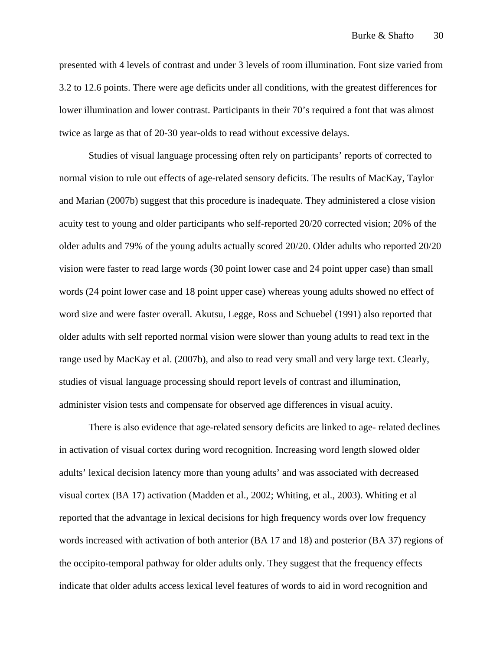presented with 4 levels of contrast and under 3 levels of room illumination. Font size varied from 3.2 to 12.6 points. There were age deficits under all conditions, with the greatest differences for lower illumination and lower contrast. Participants in their 70's required a font that was almost twice as large as that of 20-30 year-olds to read without excessive delays.

Studies of visual language processing often rely on participants' reports of corrected to normal vision to rule out effects of age-related sensory deficits. The results of MacKay, Taylor and Marian (2007b) suggest that this procedure is inadequate. They administered a close vision acuity test to young and older participants who self-reported 20/20 corrected vision; 20% of the older adults and 79% of the young adults actually scored 20/20. Older adults who reported 20/20 vision were faster to read large words (30 point lower case and 24 point upper case) than small words (24 point lower case and 18 point upper case) whereas young adults showed no effect of word size and were faster overall. Akutsu, Legge, Ross and Schuebel (1991) also reported that older adults with self reported normal vision were slower than young adults to read text in the range used by MacKay et al. (2007b), and also to read very small and very large text. Clearly, studies of visual language processing should report levels of contrast and illumination, administer vision tests and compensate for observed age differences in visual acuity.

There is also evidence that age-related sensory deficits are linked to age- related declines in activation of visual cortex during word recognition. Increasing word length slowed older adults' lexical decision latency more than young adults' and was associated with decreased visual cortex (BA 17) activation (Madden et al., 2002; Whiting, et al., 2003). Whiting et al reported that the advantage in lexical decisions for high frequency words over low frequency words increased with activation of both anterior (BA 17 and 18) and posterior (BA 37) regions of the occipito-temporal pathway for older adults only. They suggest that the frequency effects indicate that older adults access lexical level features of words to aid in word recognition and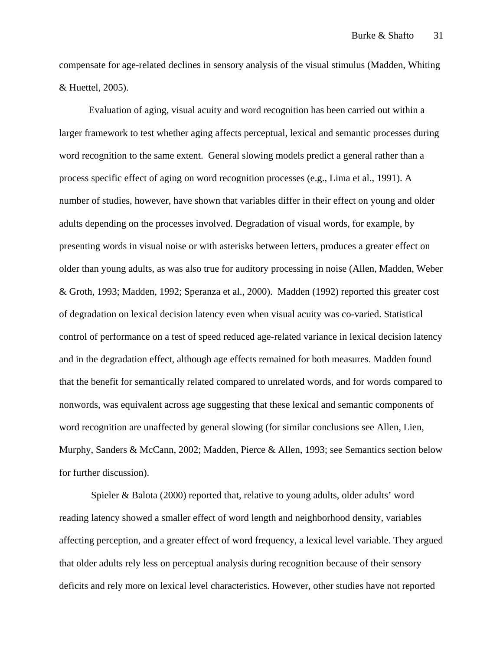compensate for age-related declines in sensory analysis of the visual stimulus (Madden, Whiting & Huettel, 2005).

Evaluation of aging, visual acuity and word recognition has been carried out within a larger framework to test whether aging affects perceptual, lexical and semantic processes during word recognition to the same extent. General slowing models predict a general rather than a process specific effect of aging on word recognition processes (e.g., Lima et al., 1991). A number of studies, however, have shown that variables differ in their effect on young and older adults depending on the processes involved. Degradation of visual words, for example, by presenting words in visual noise or with asterisks between letters, produces a greater effect on older than young adults, as was also true for auditory processing in noise (Allen, Madden, Weber & Groth, 1993; Madden, 1992; Speranza et al., 2000). Madden (1992) reported this greater cost of degradation on lexical decision latency even when visual acuity was co-varied. Statistical control of performance on a test of speed reduced age-related variance in lexical decision latency and in the degradation effect, although age effects remained for both measures. Madden found that the benefit for semantically related compared to unrelated words, and for words compared to nonwords, was equivalent across age suggesting that these lexical and semantic components of word recognition are unaffected by general slowing (for similar conclusions see Allen, Lien, Murphy, Sanders & McCann, 2002; Madden, Pierce & Allen, 1993; see Semantics section below for further discussion).

 Spieler & Balota (2000) reported that, relative to young adults, older adults' word reading latency showed a smaller effect of word length and neighborhood density, variables affecting perception, and a greater effect of word frequency, a lexical level variable. They argued that older adults rely less on perceptual analysis during recognition because of their sensory deficits and rely more on lexical level characteristics. However, other studies have not reported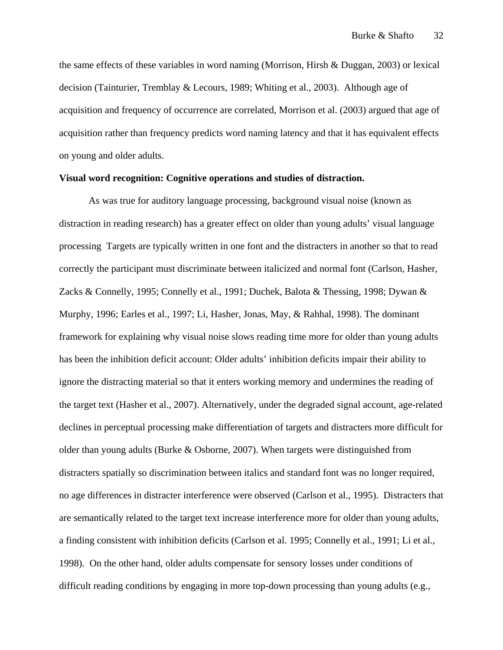the same effects of these variables in word naming (Morrison, Hirsh & Duggan, 2003) or lexical decision (Tainturier, Tremblay & Lecours, 1989; Whiting et al., 2003). Although age of acquisition and frequency of occurrence are correlated, Morrison et al. (2003) argued that age of acquisition rather than frequency predicts word naming latency and that it has equivalent effects on young and older adults.

### **Visual word recognition: Cognitive operations and studies of distraction.**

As was true for auditory language processing, background visual noise (known as distraction in reading research) has a greater effect on older than young adults' visual language processing Targets are typically written in one font and the distracters in another so that to read correctly the participant must discriminate between italicized and normal font (Carlson, Hasher, Zacks & Connelly, 1995; Connelly et al., 1991; Duchek, Balota & Thessing, 1998; Dywan & Murphy, 1996; Earles et al., 1997; Li, Hasher, Jonas, May, & Rahhal, 1998). The dominant framework for explaining why visual noise slows reading time more for older than young adults has been the inhibition deficit account: Older adults' inhibition deficits impair their ability to ignore the distracting material so that it enters working memory and undermines the reading of the target text (Hasher et al., 2007). Alternatively, under the degraded signal account, age-related declines in perceptual processing make differentiation of targets and distracters more difficult for older than young adults (Burke & Osborne, 2007). When targets were distinguished from distracters spatially so discrimination between italics and standard font was no longer required, no age differences in distracter interference were observed (Carlson et al., 1995). Distracters that are semantically related to the target text increase interference more for older than young adults, a finding consistent with inhibition deficits (Carlson et al. 1995; Connelly et al., 1991; Li et al., 1998). On the other hand, older adults compensate for sensory losses under conditions of difficult reading conditions by engaging in more top-down processing than young adults (e.g.,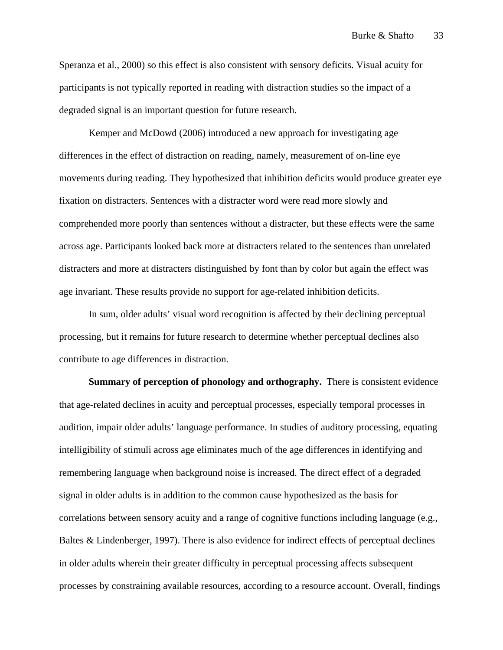Speranza et al., 2000) so this effect is also consistent with sensory deficits. Visual acuity for participants is not typically reported in reading with distraction studies so the impact of a degraded signal is an important question for future research.

Kemper and McDowd (2006) introduced a new approach for investigating age differences in the effect of distraction on reading, namely, measurement of on-line eye movements during reading. They hypothesized that inhibition deficits would produce greater eye fixation on distracters. Sentences with a distracter word were read more slowly and comprehended more poorly than sentences without a distracter, but these effects were the same across age. Participants looked back more at distracters related to the sentences than unrelated distracters and more at distracters distinguished by font than by color but again the effect was age invariant. These results provide no support for age-related inhibition deficits.

In sum, older adults' visual word recognition is affected by their declining perceptual processing, but it remains for future research to determine whether perceptual declines also contribute to age differences in distraction.

**Summary of perception of phonology and orthography.** There is consistent evidence that age-related declines in acuity and perceptual processes, especially temporal processes in audition, impair older adults' language performance. In studies of auditory processing, equating intelligibility of stimuli across age eliminates much of the age differences in identifying and remembering language when background noise is increased. The direct effect of a degraded signal in older adults is in addition to the common cause hypothesized as the basis for correlations between sensory acuity and a range of cognitive functions including language (e.g., Baltes & Lindenberger, 1997). There is also evidence for indirect effects of perceptual declines in older adults wherein their greater difficulty in perceptual processing affects subsequent processes by constraining available resources, according to a resource account. Overall, findings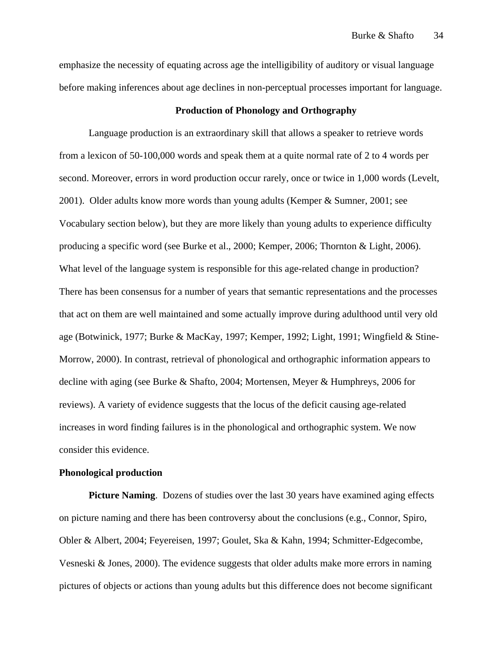emphasize the necessity of equating across age the intelligibility of auditory or visual language before making inferences about age declines in non-perceptual processes important for language.

### **Production of Phonology and Orthography**

Language production is an extraordinary skill that allows a speaker to retrieve words from a lexicon of 50-100,000 words and speak them at a quite normal rate of 2 to 4 words per second. Moreover, errors in word production occur rarely, once or twice in 1,000 words (Levelt, 2001). Older adults know more words than young adults (Kemper & Sumner, 2001; see Vocabulary section below), but they are more likely than young adults to experience difficulty producing a specific word (see Burke et al., 2000; Kemper, 2006; Thornton & Light, 2006). What level of the language system is responsible for this age-related change in production? There has been consensus for a number of years that semantic representations and the processes that act on them are well maintained and some actually improve during adulthood until very old age (Botwinick, 1977; Burke & MacKay, 1997; Kemper, 1992; Light, 1991; Wingfield & Stine-Morrow, 2000). In contrast, retrieval of phonological and orthographic information appears to decline with aging (see Burke & Shafto, 2004; Mortensen, Meyer & Humphreys, 2006 for reviews). A variety of evidence suggests that the locus of the deficit causing age-related increases in word finding failures is in the phonological and orthographic system. We now consider this evidence.

#### **Phonological production**

**Picture Naming**. Dozens of studies over the last 30 years have examined aging effects on picture naming and there has been controversy about the conclusions (e.g., Connor, Spiro, Obler & Albert, 2004; Feyereisen, 1997; Goulet, Ska & Kahn, 1994; Schmitter-Edgecombe, Vesneski & Jones, 2000). The evidence suggests that older adults make more errors in naming pictures of objects or actions than young adults but this difference does not become significant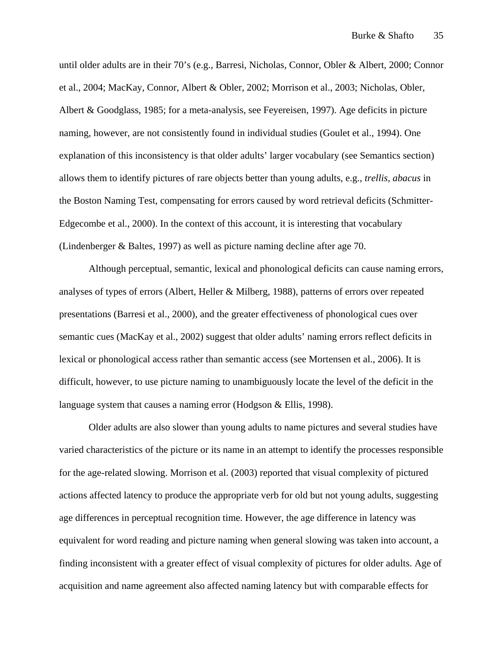until older adults are in their 70's (e.g., Barresi, Nicholas, Connor, Obler & Albert, 2000; Connor et al., 2004; MacKay, Connor, Albert & Obler, 2002; Morrison et al., 2003; Nicholas, Obler, Albert & Goodglass, 1985; for a meta-analysis, see Feyereisen, 1997). Age deficits in picture naming, however, are not consistently found in individual studies (Goulet et al., 1994). One explanation of this inconsistency is that older adults' larger vocabulary (see Semantics section) allows them to identify pictures of rare objects better than young adults, e.g., *trellis, abacus* in the Boston Naming Test, compensating for errors caused by word retrieval deficits (Schmitter-Edgecombe et al., 2000). In the context of this account, it is interesting that vocabulary (Lindenberger & Baltes, 1997) as well as picture naming decline after age 70.

Although perceptual, semantic, lexical and phonological deficits can cause naming errors, analyses of types of errors (Albert, Heller & Milberg, 1988), patterns of errors over repeated presentations (Barresi et al., 2000), and the greater effectiveness of phonological cues over semantic cues (MacKay et al., 2002) suggest that older adults' naming errors reflect deficits in lexical or phonological access rather than semantic access (see Mortensen et al., 2006). It is difficult, however, to use picture naming to unambiguously locate the level of the deficit in the language system that causes a naming error (Hodgson & Ellis, 1998).

Older adults are also slower than young adults to name pictures and several studies have varied characteristics of the picture or its name in an attempt to identify the processes responsible for the age-related slowing. Morrison et al. (2003) reported that visual complexity of pictured actions affected latency to produce the appropriate verb for old but not young adults, suggesting age differences in perceptual recognition time. However, the age difference in latency was equivalent for word reading and picture naming when general slowing was taken into account, a finding inconsistent with a greater effect of visual complexity of pictures for older adults. Age of acquisition and name agreement also affected naming latency but with comparable effects for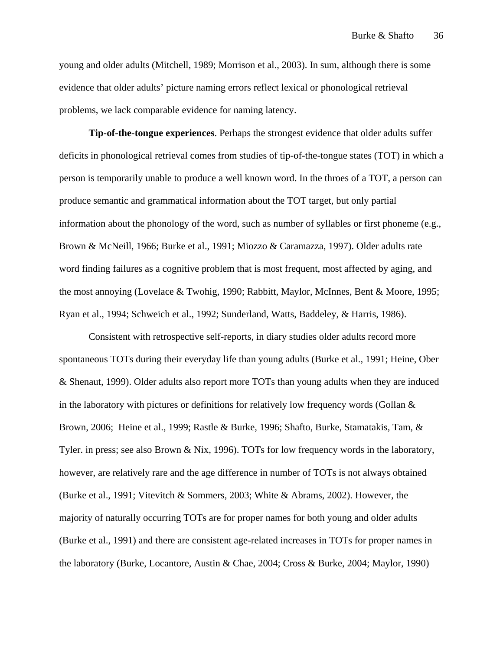young and older adults (Mitchell, 1989; Morrison et al., 2003). In sum, although there is some evidence that older adults' picture naming errors reflect lexical or phonological retrieval problems, we lack comparable evidence for naming latency.

**Tip-of-the-tongue experiences**. Perhaps the strongest evidence that older adults suffer deficits in phonological retrieval comes from studies of tip-of-the-tongue states (TOT) in which a person is temporarily unable to produce a well known word. In the throes of a TOT, a person can produce semantic and grammatical information about the TOT target, but only partial information about the phonology of the word, such as number of syllables or first phoneme (e.g., Brown & McNeill, 1966; Burke et al., 1991; Miozzo & Caramazza, 1997). Older adults rate word finding failures as a cognitive problem that is most frequent, most affected by aging, and the most annoying (Lovelace & Twohig, 1990; Rabbitt, Maylor, McInnes, Bent & Moore, 1995; Ryan et al., 1994; Schweich et al., 1992; Sunderland, Watts, Baddeley, & Harris, 1986).

Consistent with retrospective self-reports, in diary studies older adults record more spontaneous TOTs during their everyday life than young adults (Burke et al., 1991; Heine, Ober & Shenaut, 1999). Older adults also report more TOTs than young adults when they are induced in the laboratory with pictures or definitions for relatively low frequency words (Gollan  $\&$ Brown, 2006; Heine et al., 1999; Rastle & Burke, 1996; Shafto, Burke, Stamatakis, Tam, & Tyler. in press; see also Brown & Nix, 1996). TOTs for low frequency words in the laboratory, however, are relatively rare and the age difference in number of TOTs is not always obtained (Burke et al., 1991; Vitevitch & Sommers, 2003; White & Abrams, 2002). However, the majority of naturally occurring TOTs are for proper names for both young and older adults (Burke et al., 1991) and there are consistent age-related increases in TOTs for proper names in the laboratory (Burke, Locantore, Austin & Chae, 2004; Cross & Burke, 2004; Maylor, 1990)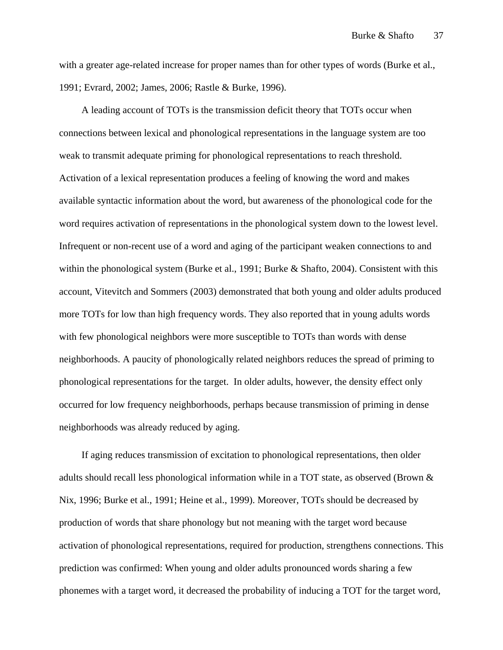with a greater age-related increase for proper names than for other types of words (Burke et al., 1991; Evrard, 2002; James, 2006; Rastle & Burke, 1996).

A leading account of TOTs is the transmission deficit theory that TOTs occur when connections between lexical and phonological representations in the language system are too weak to transmit adequate priming for phonological representations to reach threshold. Activation of a lexical representation produces a feeling of knowing the word and makes available syntactic information about the word, but awareness of the phonological code for the word requires activation of representations in the phonological system down to the lowest level. Infrequent or non-recent use of a word and aging of the participant weaken connections to and within the phonological system (Burke et al., 1991; Burke & Shafto, 2004). Consistent with this account, Vitevitch and Sommers (2003) demonstrated that both young and older adults produced more TOTs for low than high frequency words. They also reported that in young adults words with few phonological neighbors were more susceptible to TOTs than words with dense neighborhoods. A paucity of phonologically related neighbors reduces the spread of priming to phonological representations for the target. In older adults, however, the density effect only occurred for low frequency neighborhoods, perhaps because transmission of priming in dense neighborhoods was already reduced by aging.

If aging reduces transmission of excitation to phonological representations, then older adults should recall less phonological information while in a TOT state, as observed (Brown & Nix, 1996; Burke et al., 1991; Heine et al., 1999). Moreover, TOTs should be decreased by production of words that share phonology but not meaning with the target word because activation of phonological representations, required for production, strengthens connections. This prediction was confirmed: When young and older adults pronounced words sharing a few phonemes with a target word, it decreased the probability of inducing a TOT for the target word,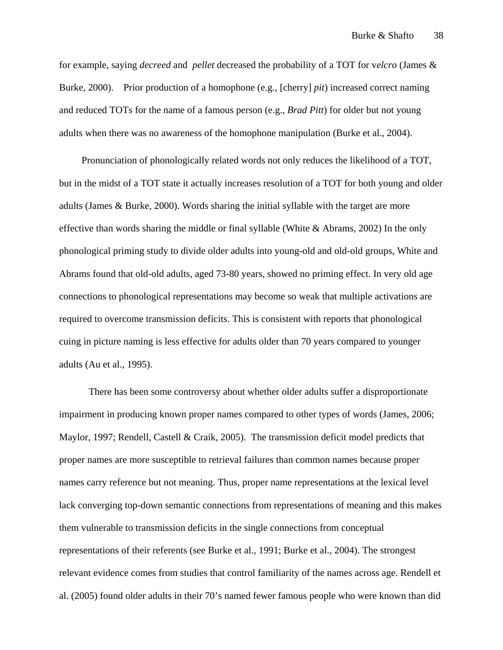for example, saying *decreed* and *pellet* decreased the probability of a TOT for v*elcro* (James & Burke, 2000). Prior production of a homophone (e.g., [cherry] *pit*) increased correct naming and reduced TOTs for the name of a famous person (e.g., *Brad Pitt*) for older but not young adults when there was no awareness of the homophone manipulation (Burke et al., 2004).

Pronunciation of phonologically related words not only reduces the likelihood of a TOT, but in the midst of a TOT state it actually increases resolution of a TOT for both young and older adults (James & Burke, 2000). Words sharing the initial syllable with the target are more effective than words sharing the middle or final syllable (White & Abrams, 2002) In the only phonological priming study to divide older adults into young-old and old-old groups, White and Abrams found that old-old adults, aged 73-80 years, showed no priming effect. In very old age connections to phonological representations may become so weak that multiple activations are required to overcome transmission deficits. This is consistent with reports that phonological cuing in picture naming is less effective for adults older than 70 years compared to younger adults (Au et al., 1995).

There has been some controversy about whether older adults suffer a disproportionate impairment in producing known proper names compared to other types of words (James, 2006; Maylor, 1997; Rendell, Castell & Craik, 2005). The transmission deficit model predicts that proper names are more susceptible to retrieval failures than common names because proper names carry reference but not meaning. Thus, proper name representations at the lexical level lack converging top-down semantic connections from representations of meaning and this makes them vulnerable to transmission deficits in the single connections from conceptual representations of their referents (see Burke et al., 1991; Burke et al., 2004). The strongest relevant evidence comes from studies that control familiarity of the names across age. Rendell et al. (2005) found older adults in their 70's named fewer famous people who were known than did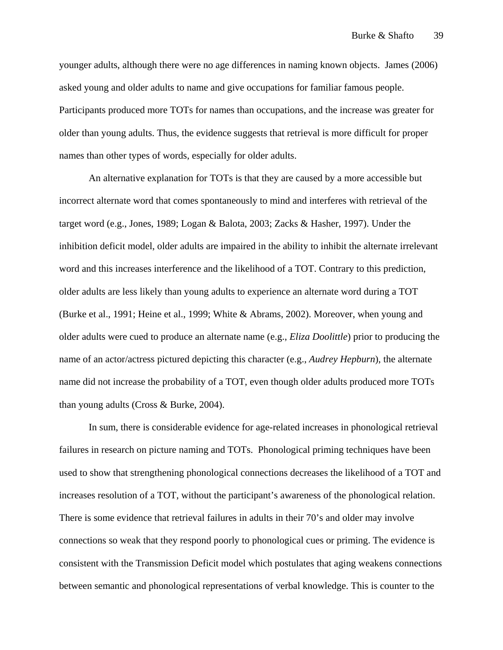younger adults, although there were no age differences in naming known objects. James (2006) asked young and older adults to name and give occupations for familiar famous people. Participants produced more TOTs for names than occupations, and the increase was greater for older than young adults. Thus, the evidence suggests that retrieval is more difficult for proper names than other types of words, especially for older adults.

An alternative explanation for TOTs is that they are caused by a more accessible but incorrect alternate word that comes spontaneously to mind and interferes with retrieval of the target word (e.g., Jones, 1989; Logan & Balota, 2003; Zacks & Hasher, 1997). Under the inhibition deficit model, older adults are impaired in the ability to inhibit the alternate irrelevant word and this increases interference and the likelihood of a TOT. Contrary to this prediction, older adults are less likely than young adults to experience an alternate word during a TOT (Burke et al., 1991; Heine et al., 1999; White & Abrams, 2002). Moreover, when young and older adults were cued to produce an alternate name (e.g., *Eliza Doolittle*) prior to producing the name of an actor/actress pictured depicting this character (e.g., *Audrey Hepburn*), the alternate name did not increase the probability of a TOT, even though older adults produced more TOTs than young adults (Cross & Burke, 2004).

In sum, there is considerable evidence for age-related increases in phonological retrieval failures in research on picture naming and TOTs. Phonological priming techniques have been used to show that strengthening phonological connections decreases the likelihood of a TOT and increases resolution of a TOT, without the participant's awareness of the phonological relation. There is some evidence that retrieval failures in adults in their 70's and older may involve connections so weak that they respond poorly to phonological cues or priming. The evidence is consistent with the Transmission Deficit model which postulates that aging weakens connections between semantic and phonological representations of verbal knowledge. This is counter to the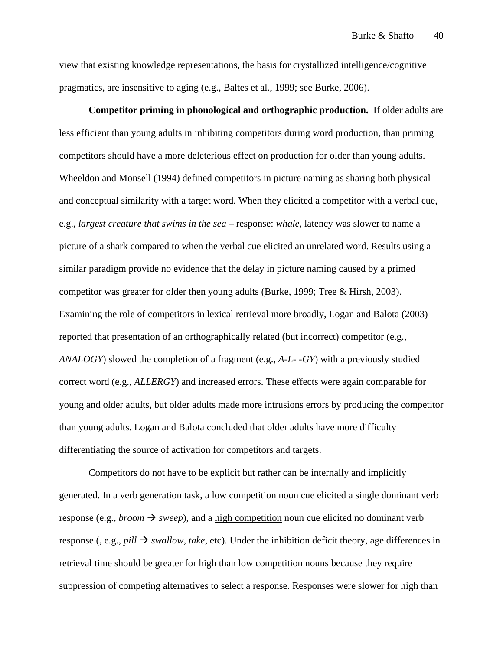view that existing knowledge representations, the basis for crystallized intelligence/cognitive pragmatics, are insensitive to aging (e.g., Baltes et al., 1999; see Burke, 2006).

**Competitor priming in phonological and orthographic production.** If older adults are less efficient than young adults in inhibiting competitors during word production, than priming competitors should have a more deleterious effect on production for older than young adults. Wheeldon and Monsell (1994) defined competitors in picture naming as sharing both physical and conceptual similarity with a target word. When they elicited a competitor with a verbal cue, e.g., *largest creature that swims in the sea* – response: *whale*, latency was slower to name a picture of a shark compared to when the verbal cue elicited an unrelated word. Results using a similar paradigm provide no evidence that the delay in picture naming caused by a primed competitor was greater for older then young adults (Burke, 1999; Tree & Hirsh, 2003). Examining the role of competitors in lexical retrieval more broadly, Logan and Balota (2003) reported that presentation of an orthographically related (but incorrect) competitor (e.g., *ANALOGY*) slowed the completion of a fragment (e.g., *A-L- -GY*) with a previously studied correct word (e.g., *ALLERGY*) and increased errors. These effects were again comparable for young and older adults, but older adults made more intrusions errors by producing the competitor than young adults. Logan and Balota concluded that older adults have more difficulty differentiating the source of activation for competitors and targets.

Competitors do not have to be explicit but rather can be internally and implicitly generated. In a verb generation task, a low competition noun cue elicited a single dominant verb response (e.g., *broom*  $\rightarrow$  *sweep*), and a high competition noun cue elicited no dominant verb response (, e.g., *pill*  $\rightarrow$  *swallow, take*, etc). Under the inhibition deficit theory, age differences in retrieval time should be greater for high than low competition nouns because they require suppression of competing alternatives to select a response. Responses were slower for high than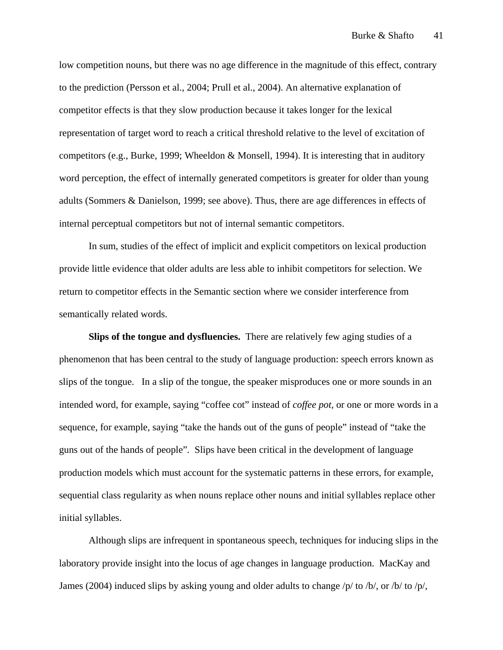low competition nouns, but there was no age difference in the magnitude of this effect, contrary to the prediction (Persson et al., 2004; Prull et al., 2004). An alternative explanation of competitor effects is that they slow production because it takes longer for the lexical representation of target word to reach a critical threshold relative to the level of excitation of competitors (e.g., Burke, 1999; Wheeldon & Monsell, 1994). It is interesting that in auditory word perception, the effect of internally generated competitors is greater for older than young adults (Sommers & Danielson, 1999; see above). Thus, there are age differences in effects of internal perceptual competitors but not of internal semantic competitors.

In sum, studies of the effect of implicit and explicit competitors on lexical production provide little evidence that older adults are less able to inhibit competitors for selection. We return to competitor effects in the Semantic section where we consider interference from semantically related words.

**Slips of the tongue and dysfluencies.** There are relatively few aging studies of a phenomenon that has been central to the study of language production: speech errors known as slips of the tongue. In a slip of the tongue, the speaker misproduces one or more sounds in an intended word, for example, saying "coffee cot" instead of *coffee pot,* or one or more words in a sequence, for example, saying "take the hands out of the guns of people" instead of "take the guns out of the hands of people"*.* Slips have been critical in the development of language production models which must account for the systematic patterns in these errors, for example, sequential class regularity as when nouns replace other nouns and initial syllables replace other initial syllables.

Although slips are infrequent in spontaneous speech, techniques for inducing slips in the laboratory provide insight into the locus of age changes in language production. MacKay and James (2004) induced slips by asking young and older adults to change /p/ to /b/, or /b/ to /p/,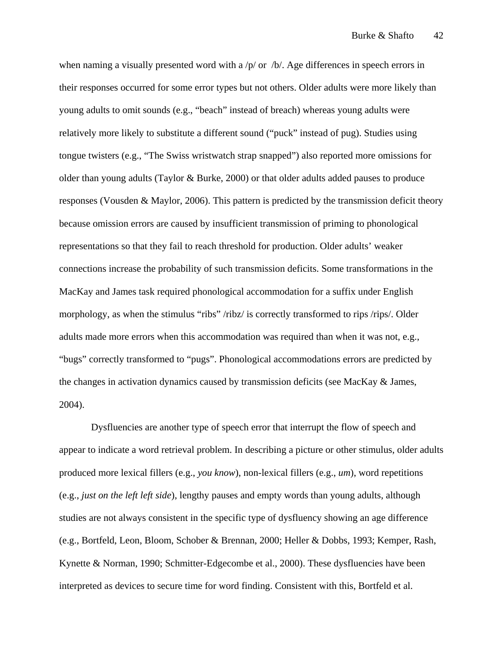when naming a visually presented word with a  $/p/$  or  $/b/$ . Age differences in speech errors in their responses occurred for some error types but not others. Older adults were more likely than young adults to omit sounds (e.g., "beach" instead of breach) whereas young adults were relatively more likely to substitute a different sound ("puck" instead of pug). Studies using tongue twisters (e.g., "The Swiss wristwatch strap snapped") also reported more omissions for older than young adults (Taylor & Burke, 2000) or that older adults added pauses to produce responses (Vousden & Maylor, 2006). This pattern is predicted by the transmission deficit theory because omission errors are caused by insufficient transmission of priming to phonological representations so that they fail to reach threshold for production. Older adults' weaker connections increase the probability of such transmission deficits. Some transformations in the MacKay and James task required phonological accommodation for a suffix under English morphology, as when the stimulus "ribs" /ribz/ is correctly transformed to rips /rips/. Older adults made more errors when this accommodation was required than when it was not, e.g., "bugs" correctly transformed to "pugs". Phonological accommodations errors are predicted by the changes in activation dynamics caused by transmission deficits (see MacKay & James, 2004).

 Dysfluencies are another type of speech error that interrupt the flow of speech and appear to indicate a word retrieval problem. In describing a picture or other stimulus, older adults produced more lexical fillers (e.g., *you know*), non-lexical fillers (e.g., *um*), word repetitions (e.g., *just on the left left side*), lengthy pauses and empty words than young adults, although studies are not always consistent in the specific type of dysfluency showing an age difference (e.g., Bortfeld, Leon, Bloom, Schober & Brennan, 2000; Heller & Dobbs, 1993; Kemper, Rash, Kynette & Norman, 1990; Schmitter-Edgecombe et al., 2000). These dysfluencies have been interpreted as devices to secure time for word finding. Consistent with this, Bortfeld et al.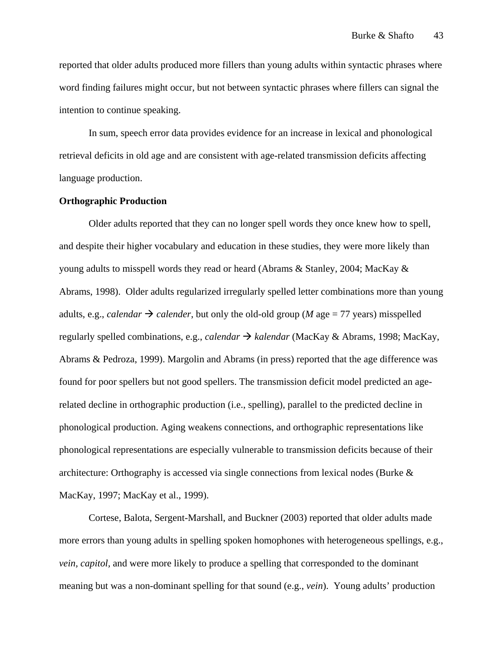reported that older adults produced more fillers than young adults within syntactic phrases where word finding failures might occur, but not between syntactic phrases where fillers can signal the intention to continue speaking.

In sum, speech error data provides evidence for an increase in lexical and phonological retrieval deficits in old age and are consistent with age-related transmission deficits affecting language production.

## **Orthographic Production**

Older adults reported that they can no longer spell words they once knew how to spell, and despite their higher vocabulary and education in these studies, they were more likely than young adults to misspell words they read or heard (Abrams & Stanley, 2004; MacKay & Abrams, 1998). Older adults regularized irregularly spelled letter combinations more than young adults, e.g., *calendar*  $\rightarrow$  *calender*, but only the old-old group (*M* age = 77 years) misspelled regularly spelled combinations, e.g., *calendar*  $\rightarrow$  *kalendar* (MacKay & Abrams, 1998; MacKay, Abrams & Pedroza, 1999). Margolin and Abrams (in press) reported that the age difference was found for poor spellers but not good spellers. The transmission deficit model predicted an agerelated decline in orthographic production (i.e., spelling), parallel to the predicted decline in phonological production. Aging weakens connections, and orthographic representations like phonological representations are especially vulnerable to transmission deficits because of their architecture: Orthography is accessed via single connections from lexical nodes (Burke  $\&$ MacKay, 1997; MacKay et al., 1999).

Cortese, Balota, Sergent-Marshall, and Buckner (2003) reported that older adults made more errors than young adults in spelling spoken homophones with heterogeneous spellings, e.g., *vein, capitol,* and were more likely to produce a spelling that corresponded to the dominant meaning but was a non-dominant spelling for that sound (e.g., *vein*). Young adults' production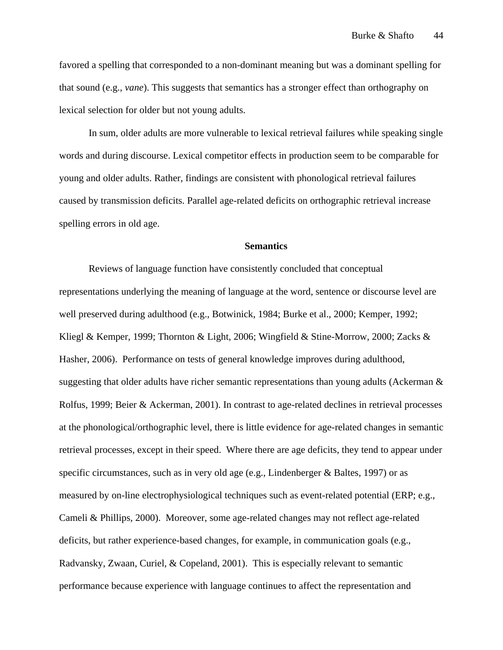favored a spelling that corresponded to a non-dominant meaning but was a dominant spelling for that sound (e.g., *vane*). This suggests that semantics has a stronger effect than orthography on lexical selection for older but not young adults.

In sum, older adults are more vulnerable to lexical retrieval failures while speaking single words and during discourse. Lexical competitor effects in production seem to be comparable for young and older adults. Rather, findings are consistent with phonological retrieval failures caused by transmission deficits. Parallel age-related deficits on orthographic retrieval increase spelling errors in old age.

### **Semantics**

Reviews of language function have consistently concluded that conceptual representations underlying the meaning of language at the word, sentence or discourse level are well preserved during adulthood (e.g., Botwinick, 1984; Burke et al., 2000; Kemper, 1992; Kliegl & Kemper, 1999; Thornton & Light, 2006; Wingfield & Stine-Morrow, 2000; Zacks & Hasher, 2006). Performance on tests of general knowledge improves during adulthood, suggesting that older adults have richer semantic representations than young adults (Ackerman  $\&$ Rolfus, 1999; Beier & Ackerman, 2001). In contrast to age-related declines in retrieval processes at the phonological/orthographic level, there is little evidence for age-related changes in semantic retrieval processes, except in their speed. Where there are age deficits, they tend to appear under specific circumstances, such as in very old age (e.g., Lindenberger & Baltes, 1997) or as measured by on-line electrophysiological techniques such as event-related potential (ERP; e.g., Cameli & Phillips, 2000). Moreover, some age-related changes may not reflect age-related deficits, but rather experience-based changes, for example, in communication goals (e.g., Radvansky, Zwaan, Curiel, & Copeland, 2001). This is especially relevant to semantic performance because experience with language continues to affect the representation and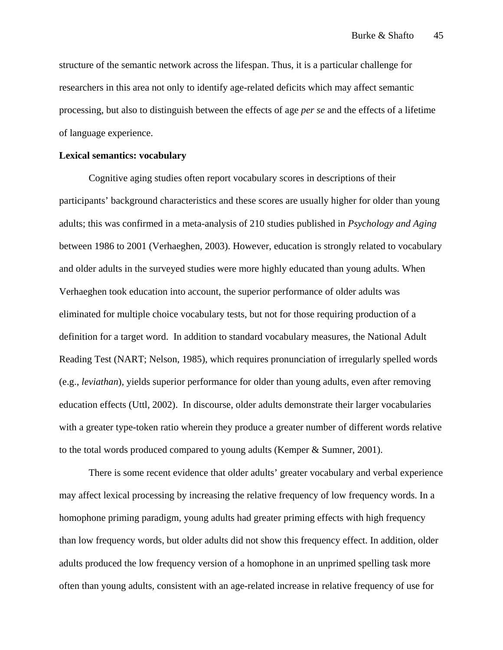structure of the semantic network across the lifespan. Thus, it is a particular challenge for researchers in this area not only to identify age-related deficits which may affect semantic processing, but also to distinguish between the effects of age *per se* and the effects of a lifetime of language experience.

### **Lexical semantics: vocabulary**

Cognitive aging studies often report vocabulary scores in descriptions of their participants' background characteristics and these scores are usually higher for older than young adults; this was confirmed in a meta-analysis of 210 studies published in *Psychology and Aging* between 1986 to 2001 (Verhaeghen, 2003). However, education is strongly related to vocabulary and older adults in the surveyed studies were more highly educated than young adults. When Verhaeghen took education into account, the superior performance of older adults was eliminated for multiple choice vocabulary tests, but not for those requiring production of a definition for a target word. In addition to standard vocabulary measures, the National Adult Reading Test (NART; Nelson, 1985), which requires pronunciation of irregularly spelled words (e.g., *leviathan*), yields superior performance for older than young adults, even after removing education effects (Uttl, 2002). In discourse, older adults demonstrate their larger vocabularies with a greater type-token ratio wherein they produce a greater number of different words relative to the total words produced compared to young adults (Kemper & Sumner, 2001).

There is some recent evidence that older adults' greater vocabulary and verbal experience may affect lexical processing by increasing the relative frequency of low frequency words. In a homophone priming paradigm, young adults had greater priming effects with high frequency than low frequency words, but older adults did not show this frequency effect. In addition, older adults produced the low frequency version of a homophone in an unprimed spelling task more often than young adults, consistent with an age-related increase in relative frequency of use for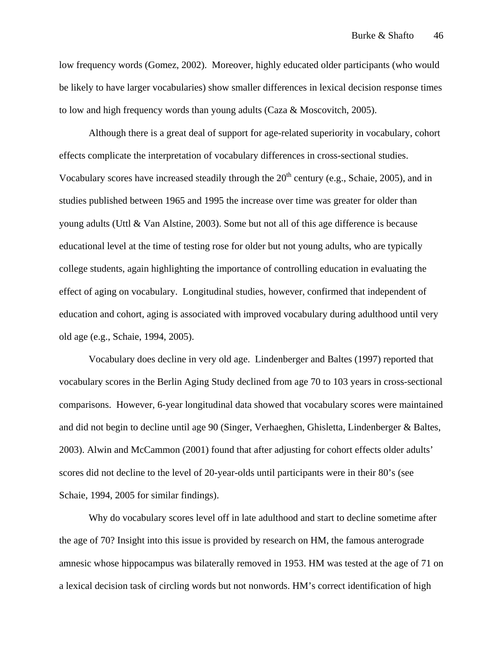low frequency words (Gomez, 2002). Moreover, highly educated older participants (who would be likely to have larger vocabularies) show smaller differences in lexical decision response times to low and high frequency words than young adults (Caza & Moscovitch, 2005).

Although there is a great deal of support for age-related superiority in vocabulary, cohort effects complicate the interpretation of vocabulary differences in cross-sectional studies. Vocabulary scores have increased steadily through the  $20<sup>th</sup>$  century (e.g., Schaie, 2005), and in studies published between 1965 and 1995 the increase over time was greater for older than young adults (Uttl & Van Alstine, 2003). Some but not all of this age difference is because educational level at the time of testing rose for older but not young adults, who are typically college students, again highlighting the importance of controlling education in evaluating the effect of aging on vocabulary. Longitudinal studies, however, confirmed that independent of education and cohort, aging is associated with improved vocabulary during adulthood until very old age (e.g., Schaie, 1994, 2005).

Vocabulary does decline in very old age. Lindenberger and Baltes (1997) reported that vocabulary scores in the Berlin Aging Study declined from age 70 to 103 years in cross-sectional comparisons. However, 6-year longitudinal data showed that vocabulary scores were maintained and did not begin to decline until age 90 (Singer, Verhaeghen, Ghisletta, Lindenberger & Baltes, 2003). Alwin and McCammon (2001) found that after adjusting for cohort effects older adults' scores did not decline to the level of 20-year-olds until participants were in their 80's (see Schaie, 1994, 2005 for similar findings).

Why do vocabulary scores level off in late adulthood and start to decline sometime after the age of 70? Insight into this issue is provided by research on HM, the famous anterograde amnesic whose hippocampus was bilaterally removed in 1953. HM was tested at the age of 71 on a lexical decision task of circling words but not nonwords. HM's correct identification of high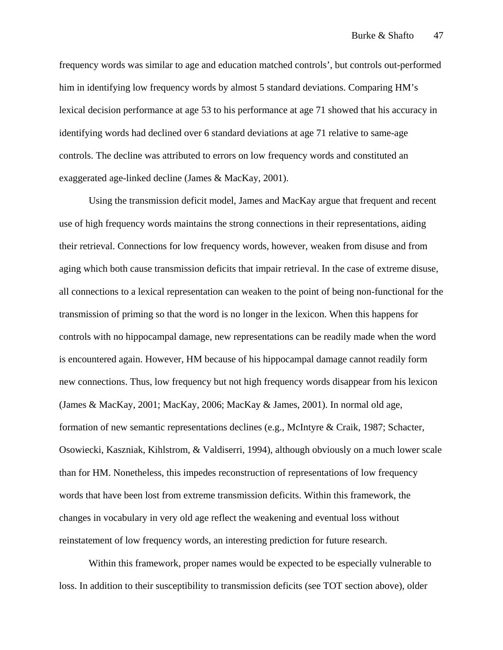frequency words was similar to age and education matched controls', but controls out-performed him in identifying low frequency words by almost 5 standard deviations. Comparing HM's lexical decision performance at age 53 to his performance at age 71 showed that his accuracy in identifying words had declined over 6 standard deviations at age 71 relative to same-age controls. The decline was attributed to errors on low frequency words and constituted an exaggerated age-linked decline (James & MacKay, 2001).

Using the transmission deficit model, James and MacKay argue that frequent and recent use of high frequency words maintains the strong connections in their representations, aiding their retrieval. Connections for low frequency words, however, weaken from disuse and from aging which both cause transmission deficits that impair retrieval. In the case of extreme disuse, all connections to a lexical representation can weaken to the point of being non-functional for the transmission of priming so that the word is no longer in the lexicon. When this happens for controls with no hippocampal damage, new representations can be readily made when the word is encountered again. However, HM because of his hippocampal damage cannot readily form new connections. Thus, low frequency but not high frequency words disappear from his lexicon (James & MacKay, 2001; MacKay, 2006; MacKay & James, 2001). In normal old age, formation of new semantic representations declines (e.g., McIntyre & Craik, 1987; Schacter, Osowiecki, Kaszniak, Kihlstrom, & Valdiserri, 1994), although obviously on a much lower scale than for HM. Nonetheless, this impedes reconstruction of representations of low frequency words that have been lost from extreme transmission deficits. Within this framework, the changes in vocabulary in very old age reflect the weakening and eventual loss without reinstatement of low frequency words, an interesting prediction for future research.

Within this framework, proper names would be expected to be especially vulnerable to loss. In addition to their susceptibility to transmission deficits (see TOT section above), older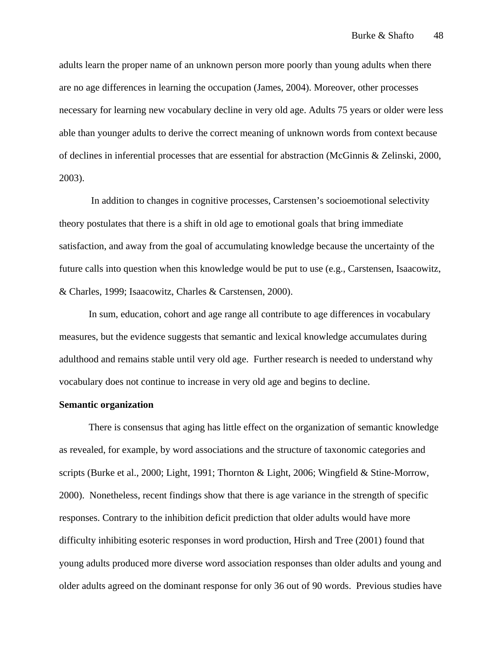adults learn the proper name of an unknown person more poorly than young adults when there are no age differences in learning the occupation (James, 2004). Moreover, other processes necessary for learning new vocabulary decline in very old age. Adults 75 years or older were less able than younger adults to derive the correct meaning of unknown words from context because of declines in inferential processes that are essential for abstraction (McGinnis & Zelinski, 2000, 2003).

 In addition to changes in cognitive processes, Carstensen's socioemotional selectivity theory postulates that there is a shift in old age to emotional goals that bring immediate satisfaction, and away from the goal of accumulating knowledge because the uncertainty of the future calls into question when this knowledge would be put to use (e.g., Carstensen, Isaacowitz, & Charles, 1999; Isaacowitz, Charles & Carstensen, 2000).

In sum, education, cohort and age range all contribute to age differences in vocabulary measures, but the evidence suggests that semantic and lexical knowledge accumulates during adulthood and remains stable until very old age. Further research is needed to understand why vocabulary does not continue to increase in very old age and begins to decline.

### **Semantic organization**

 There is consensus that aging has little effect on the organization of semantic knowledge as revealed, for example, by word associations and the structure of taxonomic categories and scripts (Burke et al., 2000; Light, 1991; Thornton & Light, 2006; Wingfield & Stine-Morrow, 2000).Nonetheless, recent findings show that there is age variance in the strength of specific responses. Contrary to the inhibition deficit prediction that older adults would have more difficulty inhibiting esoteric responses in word production, Hirsh and Tree (2001) found that young adults produced more diverse word association responses than older adults and young and older adults agreed on the dominant response for only 36 out of 90 words. Previous studies have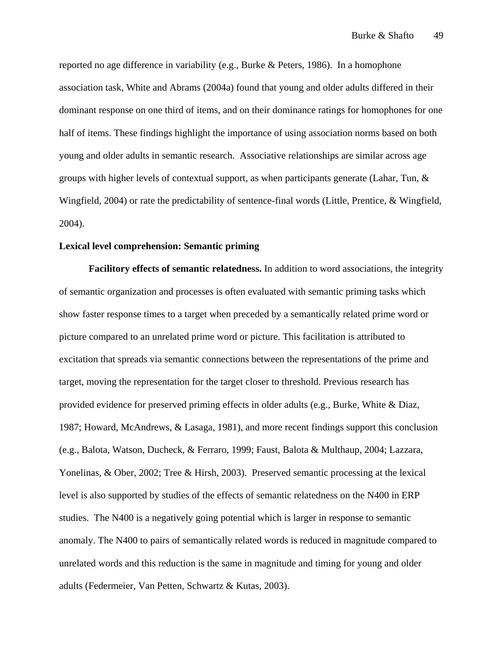reported no age difference in variability (e.g., Burke & Peters, 1986). In a homophone association task, White and Abrams (2004a) found that young and older adults differed in their dominant response on one third of items, and on their dominance ratings for homophones for one half of items. These findings highlight the importance of using association norms based on both young and older adults in semantic research. Associative relationships are similar across age groups with higher levels of contextual support, as when participants generate (Lahar, Tun,  $\&$ Wingfield, 2004) or rate the predictability of sentence-final words (Little, Prentice, & Wingfield, 2004).

# **Lexical level comprehension: Semantic priming**

**Facilitory effects of semantic relatedness.** In addition to word associations, the integrity of semantic organization and processes is often evaluated with semantic priming tasks which show faster response times to a target when preceded by a semantically related prime word or picture compared to an unrelated prime word or picture. This facilitation is attributed to excitation that spreads via semantic connections between the representations of the prime and target, moving the representation for the target closer to threshold. Previous research has provided evidence for preserved priming effects in older adults (e.g., Burke, White & Diaz, 1987; Howard, McAndrews, & Lasaga, 1981), and more recent findings support this conclusion (e.g., Balota, Watson, Ducheck, & Ferraro, 1999; Faust, Balota & Multhaup, 2004; Lazzara, Yonelinas, & Ober, 2002; Tree & Hirsh, 2003). Preserved semantic processing at the lexical level is also supported by studies of the effects of semantic relatedness on the N400 in ERP studies. The N400 is a negatively going potential which is larger in response to semantic anomaly. The N400 to pairs of semantically related words is reduced in magnitude compared to unrelated words and this reduction is the same in magnitude and timing for young and older adults (Federmeier, Van Petten, Schwartz & Kutas, 2003).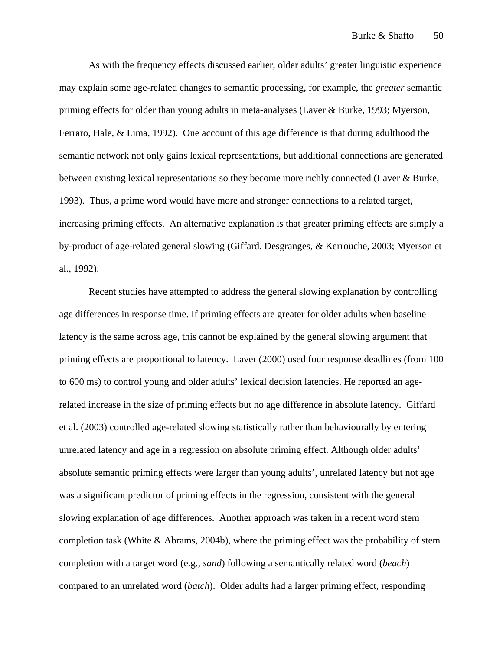As with the frequency effects discussed earlier, older adults' greater linguistic experience may explain some age-related changes to semantic processing, for example, the *greater* semantic priming effects for older than young adults in meta-analyses (Laver & Burke, 1993; Myerson, Ferraro, Hale, & Lima, 1992). One account of this age difference is that during adulthood the semantic network not only gains lexical representations, but additional connections are generated between existing lexical representations so they become more richly connected (Laver & Burke, 1993). Thus, a prime word would have more and stronger connections to a related target, increasing priming effects. An alternative explanation is that greater priming effects are simply a by-product of age-related general slowing (Giffard, Desgranges, & Kerrouche, 2003; Myerson et al., 1992).

Recent studies have attempted to address the general slowing explanation by controlling age differences in response time. If priming effects are greater for older adults when baseline latency is the same across age, this cannot be explained by the general slowing argument that priming effects are proportional to latency. Laver (2000) used four response deadlines (from 100 to 600 ms) to control young and older adults' lexical decision latencies. He reported an agerelated increase in the size of priming effects but no age difference in absolute latency. Giffard et al. (2003) controlled age-related slowing statistically rather than behaviourally by entering unrelated latency and age in a regression on absolute priming effect. Although older adults' absolute semantic priming effects were larger than young adults', unrelated latency but not age was a significant predictor of priming effects in the regression, consistent with the general slowing explanation of age differences. Another approach was taken in a recent word stem completion task (White  $\&$  Abrams, 2004b), where the priming effect was the probability of stem completion with a target word (e.g., *sand*) following a semantically related word (*beach*) compared to an unrelated word (*batch*). Older adults had a larger priming effect, responding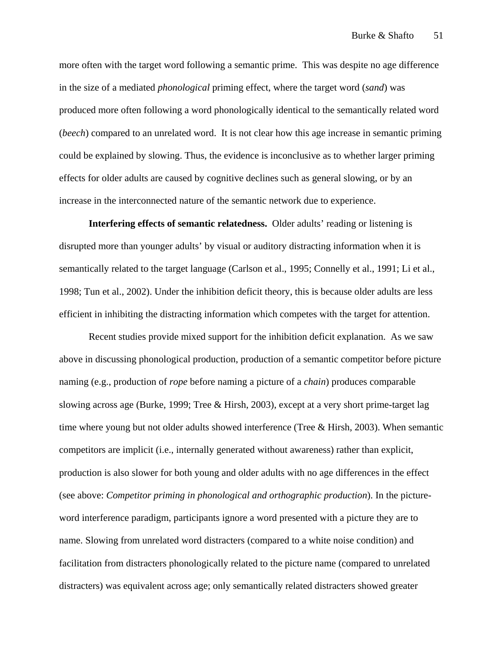more often with the target word following a semantic prime. This was despite no age difference in the size of a mediated *phonological* priming effect, where the target word (*sand*) was produced more often following a word phonologically identical to the semantically related word (*beech*) compared to an unrelated word. It is not clear how this age increase in semantic priming could be explained by slowing. Thus, the evidence is inconclusive as to whether larger priming effects for older adults are caused by cognitive declines such as general slowing, or by an increase in the interconnected nature of the semantic network due to experience.

**Interfering effects of semantic relatedness.** Older adults' reading or listening is disrupted more than younger adults' by visual or auditory distracting information when it is semantically related to the target language (Carlson et al., 1995; Connelly et al., 1991; Li et al., 1998; Tun et al., 2002). Under the inhibition deficit theory, this is because older adults are less efficient in inhibiting the distracting information which competes with the target for attention.

Recent studies provide mixed support for the inhibition deficit explanation. As we saw above in discussing phonological production, production of a semantic competitor before picture naming (e.g., production of *rope* before naming a picture of a *chain*) produces comparable slowing across age (Burke, 1999; Tree & Hirsh, 2003), except at a very short prime-target lag time where young but not older adults showed interference (Tree & Hirsh, 2003). When semantic competitors are implicit (i.e., internally generated without awareness) rather than explicit, production is also slower for both young and older adults with no age differences in the effect (see above: *Competitor priming in phonological and orthographic production*). In the pictureword interference paradigm, participants ignore a word presented with a picture they are to name. Slowing from unrelated word distracters (compared to a white noise condition) and facilitation from distracters phonologically related to the picture name (compared to unrelated distracters) was equivalent across age; only semantically related distracters showed greater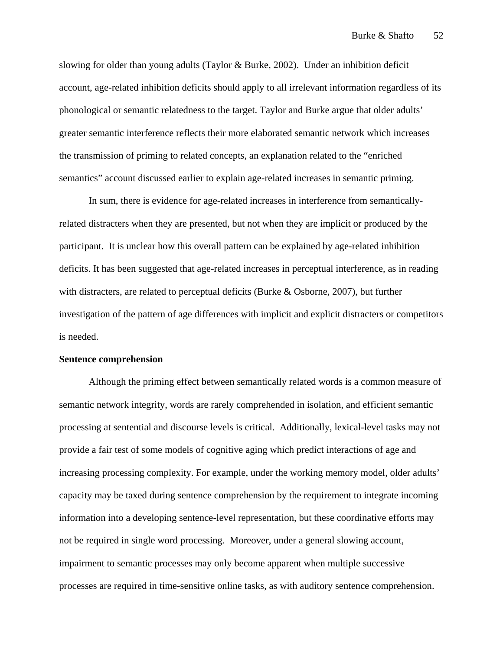slowing for older than young adults (Taylor & Burke, 2002). Under an inhibition deficit account, age-related inhibition deficits should apply to all irrelevant information regardless of its phonological or semantic relatedness to the target. Taylor and Burke argue that older adults' greater semantic interference reflects their more elaborated semantic network which increases the transmission of priming to related concepts, an explanation related to the "enriched semantics" account discussed earlier to explain age-related increases in semantic priming.

In sum, there is evidence for age-related increases in interference from semanticallyrelated distracters when they are presented, but not when they are implicit or produced by the participant. It is unclear how this overall pattern can be explained by age-related inhibition deficits. It has been suggested that age-related increases in perceptual interference, as in reading with distracters, are related to perceptual deficits (Burke & Osborne, 2007), but further investigation of the pattern of age differences with implicit and explicit distracters or competitors is needed.

### **Sentence comprehension**

Although the priming effect between semantically related words is a common measure of semantic network integrity, words are rarely comprehended in isolation, and efficient semantic processing at sentential and discourse levels is critical. Additionally, lexical-level tasks may not provide a fair test of some models of cognitive aging which predict interactions of age and increasing processing complexity. For example, under the working memory model, older adults' capacity may be taxed during sentence comprehension by the requirement to integrate incoming information into a developing sentence-level representation, but these coordinative efforts may not be required in single word processing. Moreover, under a general slowing account, impairment to semantic processes may only become apparent when multiple successive processes are required in time-sensitive online tasks, as with auditory sentence comprehension.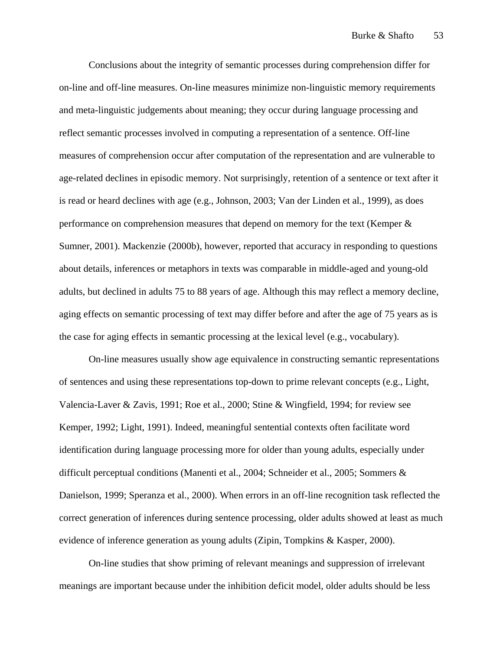Conclusions about the integrity of semantic processes during comprehension differ for on-line and off-line measures. On-line measures minimize non-linguistic memory requirements and meta-linguistic judgements about meaning; they occur during language processing and reflect semantic processes involved in computing a representation of a sentence. Off-line measures of comprehension occur after computation of the representation and are vulnerable to age-related declines in episodic memory. Not surprisingly, retention of a sentence or text after it is read or heard declines with age (e.g., Johnson, 2003; Van der Linden et al., 1999), as does performance on comprehension measures that depend on memory for the text (Kemper & Sumner, 2001). Mackenzie (2000b), however, reported that accuracy in responding to questions about details, inferences or metaphors in texts was comparable in middle-aged and young-old adults, but declined in adults 75 to 88 years of age. Although this may reflect a memory decline, aging effects on semantic processing of text may differ before and after the age of 75 years as is the case for aging effects in semantic processing at the lexical level (e.g., vocabulary).

On-line measures usually show age equivalence in constructing semantic representations of sentences and using these representations top-down to prime relevant concepts (e.g., Light, Valencia-Laver & Zavis, 1991; Roe et al., 2000; Stine & Wingfield, 1994; for review see Kemper, 1992; Light, 1991). Indeed, meaningful sentential contexts often facilitate word identification during language processing more for older than young adults, especially under difficult perceptual conditions (Manenti et al., 2004; Schneider et al., 2005; Sommers & Danielson, 1999; Speranza et al., 2000). When errors in an off-line recognition task reflected the correct generation of inferences during sentence processing, older adults showed at least as much evidence of inference generation as young adults (Zipin, Tompkins & Kasper, 2000).

On-line studies that show priming of relevant meanings and suppression of irrelevant meanings are important because under the inhibition deficit model, older adults should be less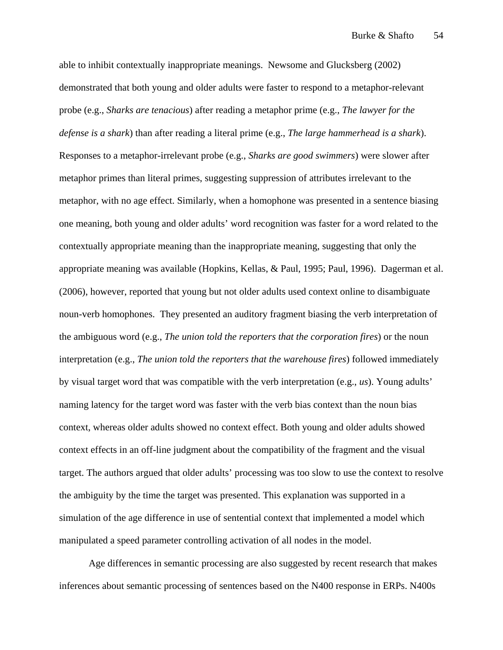able to inhibit contextually inappropriate meanings. Newsome and Glucksberg (2002) demonstrated that both young and older adults were faster to respond to a metaphor-relevant probe (e.g., *Sharks are tenacious*) after reading a metaphor prime (e.g., *The lawyer for the defense is a shark*) than after reading a literal prime (e.g., *The large hammerhead is a shark*). Responses to a metaphor-irrelevant probe (e.g., *Sharks are good swimmers*) were slower after metaphor primes than literal primes, suggesting suppression of attributes irrelevant to the metaphor, with no age effect. Similarly, when a homophone was presented in a sentence biasing one meaning, both young and older adults' word recognition was faster for a word related to the contextually appropriate meaning than the inappropriate meaning, suggesting that only the appropriate meaning was available (Hopkins, Kellas, & Paul, 1995; Paul, 1996). Dagerman et al. (2006), however, reported that young but not older adults used context online to disambiguate noun-verb homophones. They presented an auditory fragment biasing the verb interpretation of the ambiguous word (e.g., *The union told the reporters that the corporation fires*) or the noun interpretation (e.g., *The union told the reporters that the warehouse fires*) followed immediately by visual target word that was compatible with the verb interpretation (e.g., *us*). Young adults' naming latency for the target word was faster with the verb bias context than the noun bias context, whereas older adults showed no context effect. Both young and older adults showed context effects in an off-line judgment about the compatibility of the fragment and the visual target. The authors argued that older adults' processing was too slow to use the context to resolve the ambiguity by the time the target was presented. This explanation was supported in a simulation of the age difference in use of sentential context that implemented a model which manipulated a speed parameter controlling activation of all nodes in the model.

Age differences in semantic processing are also suggested by recent research that makes inferences about semantic processing of sentences based on the N400 response in ERPs. N400s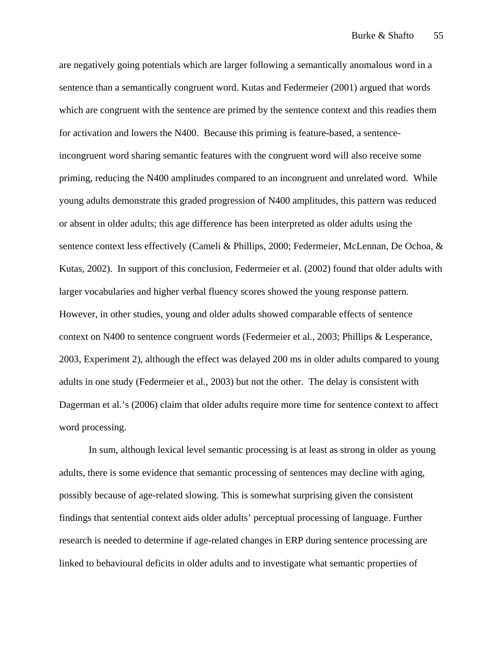are negatively going potentials which are larger following a semantically anomalous word in a sentence than a semantically congruent word. Kutas and Federmeier (2001) argued that words which are congruent with the sentence are primed by the sentence context and this readies them for activation and lowers the N400. Because this priming is feature-based, a sentenceincongruent word sharing semantic features with the congruent word will also receive some priming, reducing the N400 amplitudes compared to an incongruent and unrelated word. While young adults demonstrate this graded progression of N400 amplitudes, this pattern was reduced or absent in older adults; this age difference has been interpreted as older adults using the sentence context less effectively (Cameli & Phillips, 2000; Federmeier, McLennan, De Ochoa, & Kutas, 2002). In support of this conclusion, Federmeier et al. (2002) found that older adults with larger vocabularies and higher verbal fluency scores showed the young response pattern. However, in other studies, young and older adults showed comparable effects of sentence context on N400 to sentence congruent words (Federmeier et al., 2003; Phillips & Lesperance, 2003, Experiment 2), although the effect was delayed 200 ms in older adults compared to young adults in one study (Federmeier et al., 2003) but not the other. The delay is consistent with Dagerman et al.'s (2006) claim that older adults require more time for sentence context to affect word processing.

In sum, although lexical level semantic processing is at least as strong in older as young adults, there is some evidence that semantic processing of sentences may decline with aging, possibly because of age-related slowing. This is somewhat surprising given the consistent findings that sentential context aids older adults' perceptual processing of language. Further research is needed to determine if age-related changes in ERP during sentence processing are linked to behavioural deficits in older adults and to investigate what semantic properties of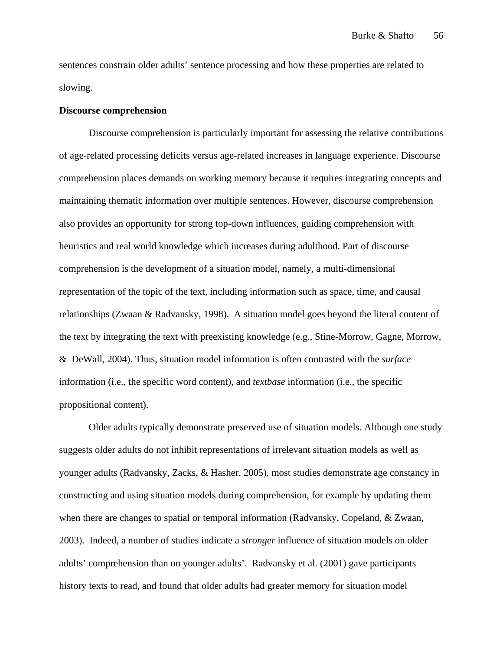sentences constrain older adults' sentence processing and how these properties are related to slowing.

#### **Discourse comprehension**

Discourse comprehension is particularly important for assessing the relative contributions of age-related processing deficits versus age-related increases in language experience. Discourse comprehension places demands on working memory because it requires integrating concepts and maintaining thematic information over multiple sentences. However, discourse comprehension also provides an opportunity for strong top-down influences, guiding comprehension with heuristics and real world knowledge which increases during adulthood. Part of discourse comprehension is the development of a situation model, namely, a multi-dimensional representation of the topic of the text, including information such as space, time, and causal relationships (Zwaan & Radvansky, 1998). A situation model goes beyond the literal content of the text by integrating the text with preexisting knowledge (e.g., Stine-Morrow, Gagne, Morrow, & DeWall, 2004). Thus, situation model information is often contrasted with the *surface* information (i.e., the specific word content), and *textbase* information (i.e., the specific propositional content).

Older adults typically demonstrate preserved use of situation models. Although one study suggests older adults do not inhibit representations of irrelevant situation models as well as younger adults (Radvansky, Zacks, & Hasher, 2005), most studies demonstrate age constancy in constructing and using situation models during comprehension, for example by updating them when there are changes to spatial or temporal information (Radvansky, Copeland, & Zwaan, 2003). Indeed, a number of studies indicate a *stronger* influence of situation models on older adults' comprehension than on younger adults'. Radvansky et al. (2001) gave participants history texts to read, and found that older adults had greater memory for situation model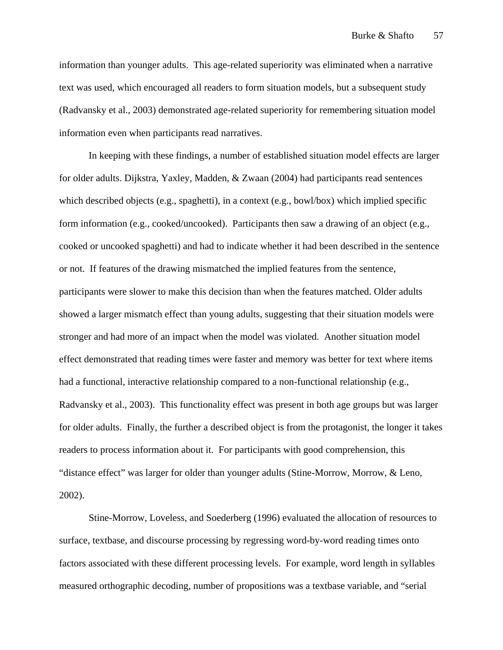information than younger adults. This age-related superiority was eliminated when a narrative text was used, which encouraged all readers to form situation models, but a subsequent study (Radvansky et al., 2003) demonstrated age-related superiority for remembering situation model information even when participants read narratives.

In keeping with these findings, a number of established situation model effects are larger for older adults. Dijkstra, Yaxley, Madden, & Zwaan (2004) had participants read sentences which described objects (e.g., spaghetti), in a context (e.g., bowl/box) which implied specific form information (e.g., cooked/uncooked). Participants then saw a drawing of an object (e.g., cooked or uncooked spaghetti) and had to indicate whether it had been described in the sentence or not. If features of the drawing mismatched the implied features from the sentence, participants were slower to make this decision than when the features matched. Older adults showed a larger mismatch effect than young adults, suggesting that their situation models were stronger and had more of an impact when the model was violated. Another situation model effect demonstrated that reading times were faster and memory was better for text where items had a functional, interactive relationship compared to a non-functional relationship (e.g., Radvansky et al., 2003). This functionality effect was present in both age groups but was larger for older adults. Finally, the further a described object is from the protagonist, the longer it takes readers to process information about it. For participants with good comprehension, this "distance effect" was larger for older than younger adults (Stine-Morrow, Morrow, & Leno, 2002).

Stine-Morrow, Loveless, and Soederberg (1996) evaluated the allocation of resources to surface, textbase, and discourse processing by regressing word-by-word reading times onto factors associated with these different processing levels. For example, word length in syllables measured orthographic decoding, number of propositions was a textbase variable, and "serial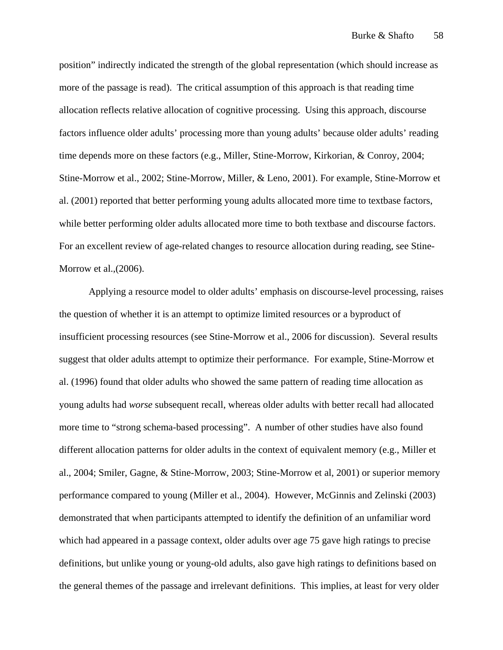position" indirectly indicated the strength of the global representation (which should increase as more of the passage is read). The critical assumption of this approach is that reading time allocation reflects relative allocation of cognitive processing. Using this approach, discourse factors influence older adults' processing more than young adults' because older adults' reading time depends more on these factors (e.g., Miller, Stine-Morrow, Kirkorian, & Conroy, 2004; Stine-Morrow et al., 2002; Stine-Morrow, Miller, & Leno, 2001). For example, Stine-Morrow et al. (2001) reported that better performing young adults allocated more time to textbase factors, while better performing older adults allocated more time to both textbase and discourse factors. For an excellent review of age-related changes to resource allocation during reading, see Stine-Morrow et al.,(2006).

Applying a resource model to older adults' emphasis on discourse-level processing, raises the question of whether it is an attempt to optimize limited resources or a byproduct of insufficient processing resources (see Stine-Morrow et al., 2006 for discussion). Several results suggest that older adults attempt to optimize their performance. For example, Stine-Morrow et al. (1996) found that older adults who showed the same pattern of reading time allocation as young adults had *worse* subsequent recall, whereas older adults with better recall had allocated more time to "strong schema-based processing". A number of other studies have also found different allocation patterns for older adults in the context of equivalent memory (e.g., Miller et al., 2004; Smiler, Gagne, & Stine-Morrow, 2003; Stine-Morrow et al, 2001) or superior memory performance compared to young (Miller et al., 2004). However, McGinnis and Zelinski (2003) demonstrated that when participants attempted to identify the definition of an unfamiliar word which had appeared in a passage context, older adults over age 75 gave high ratings to precise definitions, but unlike young or young-old adults, also gave high ratings to definitions based on the general themes of the passage and irrelevant definitions. This implies, at least for very older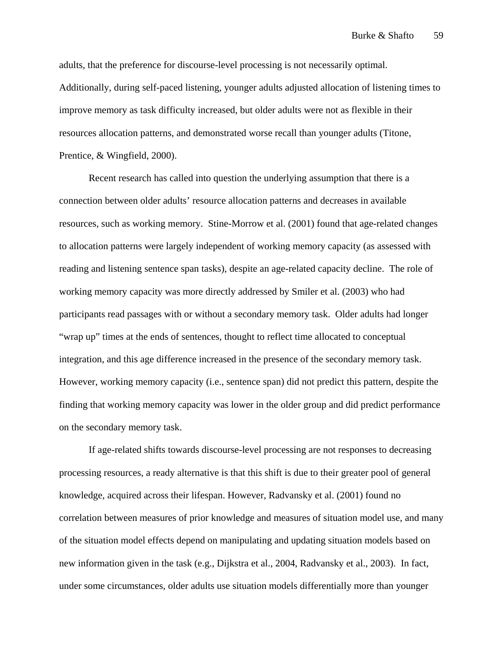adults, that the preference for discourse-level processing is not necessarily optimal. Additionally, during self-paced listening, younger adults adjusted allocation of listening times to improve memory as task difficulty increased, but older adults were not as flexible in their resources allocation patterns, and demonstrated worse recall than younger adults (Titone, Prentice, & Wingfield, 2000).

Recent research has called into question the underlying assumption that there is a connection between older adults' resource allocation patterns and decreases in available resources, such as working memory. Stine-Morrow et al. (2001) found that age-related changes to allocation patterns were largely independent of working memory capacity (as assessed with reading and listening sentence span tasks), despite an age-related capacity decline. The role of working memory capacity was more directly addressed by Smiler et al. (2003) who had participants read passages with or without a secondary memory task. Older adults had longer "wrap up" times at the ends of sentences, thought to reflect time allocated to conceptual integration, and this age difference increased in the presence of the secondary memory task. However, working memory capacity (i.e., sentence span) did not predict this pattern, despite the finding that working memory capacity was lower in the older group and did predict performance on the secondary memory task.

If age-related shifts towards discourse-level processing are not responses to decreasing processing resources, a ready alternative is that this shift is due to their greater pool of general knowledge, acquired across their lifespan. However, Radvansky et al. (2001) found no correlation between measures of prior knowledge and measures of situation model use, and many of the situation model effects depend on manipulating and updating situation models based on new information given in the task (e.g., Dijkstra et al., 2004, Radvansky et al., 2003). In fact, under some circumstances, older adults use situation models differentially more than younger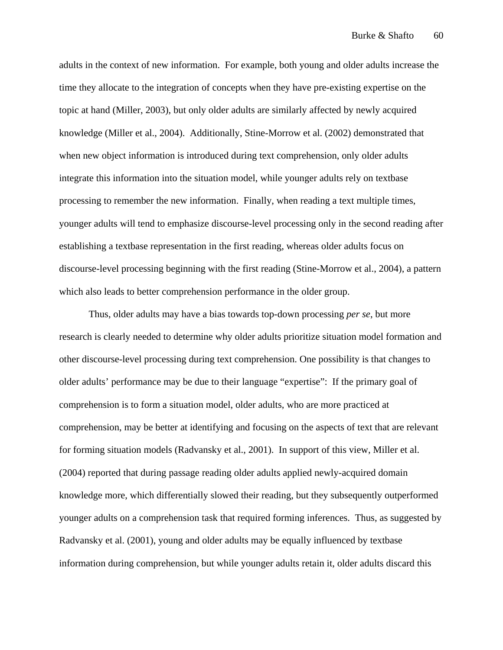adults in the context of new information. For example, both young and older adults increase the time they allocate to the integration of concepts when they have pre-existing expertise on the topic at hand (Miller, 2003), but only older adults are similarly affected by newly acquired knowledge (Miller et al., 2004). Additionally, Stine-Morrow et al. (2002) demonstrated that when new object information is introduced during text comprehension, only older adults integrate this information into the situation model, while younger adults rely on textbase processing to remember the new information. Finally, when reading a text multiple times, younger adults will tend to emphasize discourse-level processing only in the second reading after establishing a textbase representation in the first reading, whereas older adults focus on discourse-level processing beginning with the first reading (Stine-Morrow et al., 2004), a pattern which also leads to better comprehension performance in the older group.

Thus, older adults may have a bias towards top-down processing *per se*, but more research is clearly needed to determine why older adults prioritize situation model formation and other discourse-level processing during text comprehension. One possibility is that changes to older adults' performance may be due to their language "expertise": If the primary goal of comprehension is to form a situation model, older adults, who are more practiced at comprehension, may be better at identifying and focusing on the aspects of text that are relevant for forming situation models (Radvansky et al., 2001). In support of this view, Miller et al. (2004) reported that during passage reading older adults applied newly-acquired domain knowledge more, which differentially slowed their reading, but they subsequently outperformed younger adults on a comprehension task that required forming inferences. Thus, as suggested by Radvansky et al. (2001), young and older adults may be equally influenced by textbase information during comprehension, but while younger adults retain it, older adults discard this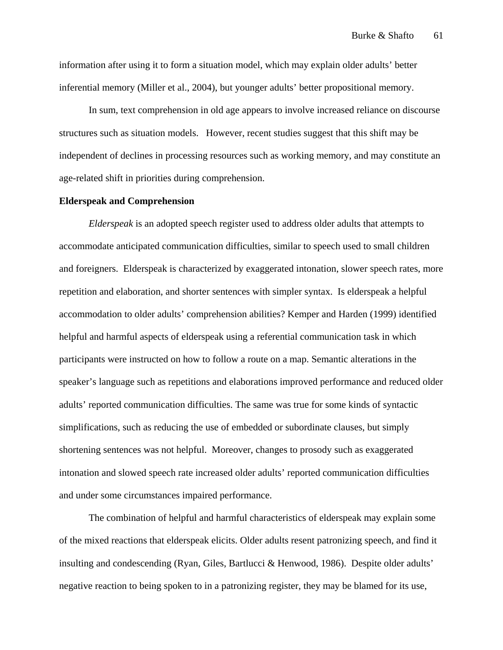information after using it to form a situation model, which may explain older adults' better inferential memory (Miller et al., 2004), but younger adults' better propositional memory.

In sum, text comprehension in old age appears to involve increased reliance on discourse structures such as situation models. However, recent studies suggest that this shift may be independent of declines in processing resources such as working memory, and may constitute an age-related shift in priorities during comprehension.

### **Elderspeak and Comprehension**

*Elderspeak* is an adopted speech register used to address older adults that attempts to accommodate anticipated communication difficulties, similar to speech used to small children and foreigners. Elderspeak is characterized by exaggerated intonation, slower speech rates, more repetition and elaboration, and shorter sentences with simpler syntax. Is elderspeak a helpful accommodation to older adults' comprehension abilities? Kemper and Harden (1999) identified helpful and harmful aspects of elderspeak using a referential communication task in which participants were instructed on how to follow a route on a map. Semantic alterations in the speaker's language such as repetitions and elaborations improved performance and reduced older adults' reported communication difficulties. The same was true for some kinds of syntactic simplifications, such as reducing the use of embedded or subordinate clauses, but simply shortening sentences was not helpful. Moreover, changes to prosody such as exaggerated intonation and slowed speech rate increased older adults' reported communication difficulties and under some circumstances impaired performance.

 The combination of helpful and harmful characteristics of elderspeak may explain some of the mixed reactions that elderspeak elicits. Older adults resent patronizing speech, and find it insulting and condescending (Ryan, Giles, Bartlucci & Henwood, 1986). Despite older adults' negative reaction to being spoken to in a patronizing register, they may be blamed for its use,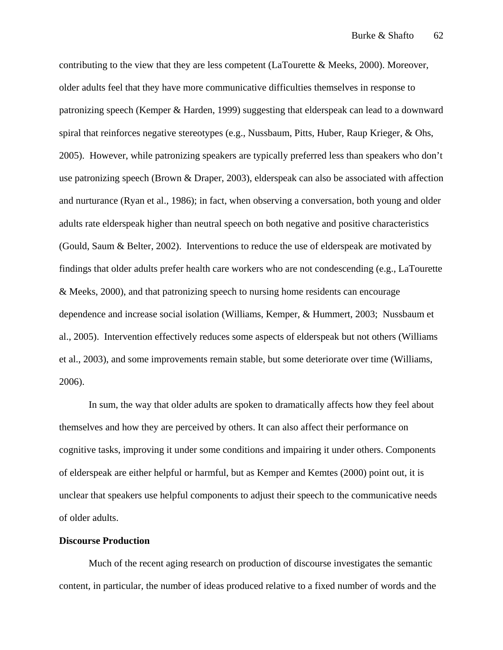contributing to the view that they are less competent (LaTourette & Meeks, 2000). Moreover, older adults feel that they have more communicative difficulties themselves in response to patronizing speech (Kemper & Harden, 1999) suggesting that elderspeak can lead to a downward spiral that reinforces negative stereotypes (e.g., Nussbaum, Pitts, Huber, Raup Krieger, & Ohs, 2005). However, while patronizing speakers are typically preferred less than speakers who don't use patronizing speech (Brown & Draper, 2003), elderspeak can also be associated with affection and nurturance (Ryan et al., 1986); in fact, when observing a conversation, both young and older adults rate elderspeak higher than neutral speech on both negative and positive characteristics (Gould, Saum & Belter, 2002). Interventions to reduce the use of elderspeak are motivated by findings that older adults prefer health care workers who are not condescending (e.g., LaTourette & Meeks, 2000), and that patronizing speech to nursing home residents can encourage dependence and increase social isolation (Williams, Kemper, & Hummert, 2003; Nussbaum et al., 2005). Intervention effectively reduces some aspects of elderspeak but not others (Williams et al., 2003), and some improvements remain stable, but some deteriorate over time (Williams, 2006).

In sum, the way that older adults are spoken to dramatically affects how they feel about themselves and how they are perceived by others. It can also affect their performance on cognitive tasks, improving it under some conditions and impairing it under others. Components of elderspeak are either helpful or harmful, but as Kemper and Kemtes (2000) point out, it is unclear that speakers use helpful components to adjust their speech to the communicative needs of older adults.

### **Discourse Production**

Much of the recent aging research on production of discourse investigates the semantic content, in particular, the number of ideas produced relative to a fixed number of words and the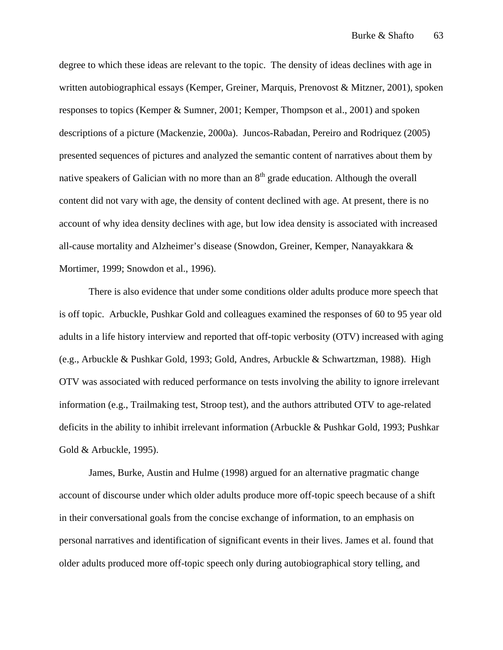degree to which these ideas are relevant to the topic. The density of ideas declines with age in written autobiographical essays (Kemper, Greiner, Marquis, Prenovost & Mitzner, 2001), spoken responses to topics (Kemper & Sumner, 2001; Kemper, Thompson et al., 2001) and spoken descriptions of a picture (Mackenzie, 2000a). Juncos-Rabadan, Pereiro and Rodriquez (2005) presented sequences of pictures and analyzed the semantic content of narratives about them by native speakers of Galician with no more than an  $8<sup>th</sup>$  grade education. Although the overall content did not vary with age, the density of content declined with age. At present, there is no account of why idea density declines with age, but low idea density is associated with increased all-cause mortality and Alzheimer's disease (Snowdon, Greiner, Kemper, Nanayakkara & Mortimer, 1999; Snowdon et al., 1996).

There is also evidence that under some conditions older adults produce more speech that is off topic. Arbuckle, Pushkar Gold and colleagues examined the responses of 60 to 95 year old adults in a life history interview and reported that off-topic verbosity (OTV) increased with aging (e.g., Arbuckle & Pushkar Gold, 1993; Gold, Andres, Arbuckle & Schwartzman, 1988). High OTV was associated with reduced performance on tests involving the ability to ignore irrelevant information (e.g., Trailmaking test, Stroop test), and the authors attributed OTV to age-related deficits in the ability to inhibit irrelevant information (Arbuckle & Pushkar Gold, 1993; Pushkar Gold & Arbuckle, 1995).

James, Burke, Austin and Hulme (1998) argued for an alternative pragmatic change account of discourse under which older adults produce more off-topic speech because of a shift in their conversational goals from the concise exchange of information, to an emphasis on personal narratives and identification of significant events in their lives. James et al. found that older adults produced more off-topic speech only during autobiographical story telling, and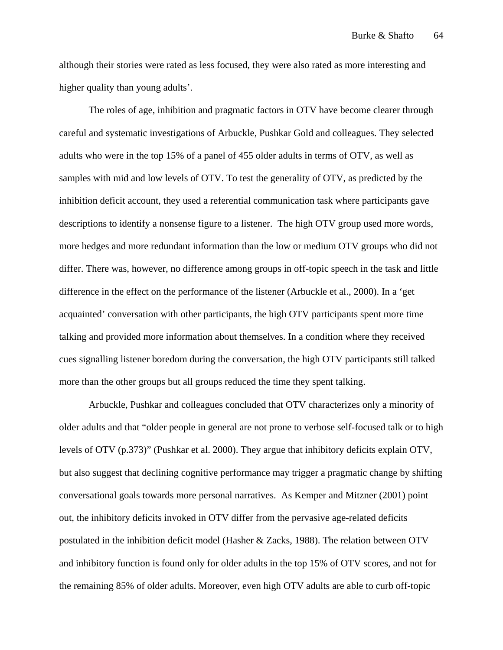although their stories were rated as less focused, they were also rated as more interesting and higher quality than young adults'.

The roles of age, inhibition and pragmatic factors in OTV have become clearer through careful and systematic investigations of Arbuckle, Pushkar Gold and colleagues. They selected adults who were in the top 15% of a panel of 455 older adults in terms of OTV, as well as samples with mid and low levels of OTV. To test the generality of OTV, as predicted by the inhibition deficit account, they used a referential communication task where participants gave descriptions to identify a nonsense figure to a listener. The high OTV group used more words, more hedges and more redundant information than the low or medium OTV groups who did not differ. There was, however, no difference among groups in off-topic speech in the task and little difference in the effect on the performance of the listener (Arbuckle et al., 2000). In a 'get acquainted' conversation with other participants, the high OTV participants spent more time talking and provided more information about themselves. In a condition where they received cues signalling listener boredom during the conversation, the high OTV participants still talked more than the other groups but all groups reduced the time they spent talking.

Arbuckle, Pushkar and colleagues concluded that OTV characterizes only a minority of older adults and that "older people in general are not prone to verbose self-focused talk or to high levels of OTV (p.373)" (Pushkar et al. 2000). They argue that inhibitory deficits explain OTV, but also suggest that declining cognitive performance may trigger a pragmatic change by shifting conversational goals towards more personal narratives. As Kemper and Mitzner (2001) point out, the inhibitory deficits invoked in OTV differ from the pervasive age-related deficits postulated in the inhibition deficit model (Hasher & Zacks, 1988). The relation between OTV and inhibitory function is found only for older adults in the top 15% of OTV scores, and not for the remaining 85% of older adults. Moreover, even high OTV adults are able to curb off-topic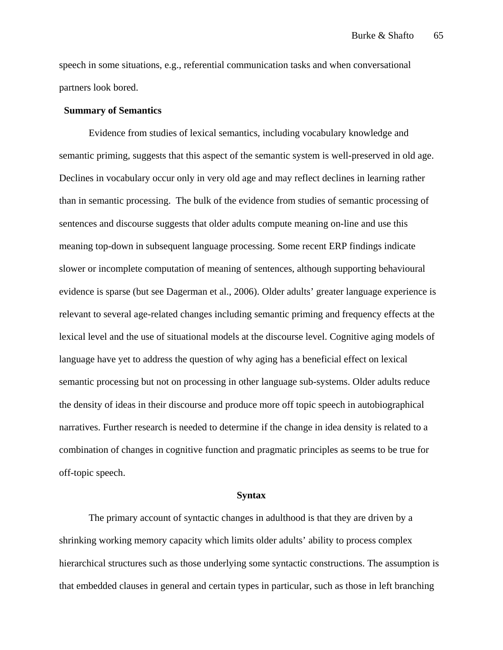speech in some situations, e.g., referential communication tasks and when conversational partners look bored.

### **Summary of Semantics**

Evidence from studies of lexical semantics, including vocabulary knowledge and semantic priming, suggests that this aspect of the semantic system is well-preserved in old age. Declines in vocabulary occur only in very old age and may reflect declines in learning rather than in semantic processing. The bulk of the evidence from studies of semantic processing of sentences and discourse suggests that older adults compute meaning on-line and use this meaning top-down in subsequent language processing. Some recent ERP findings indicate slower or incomplete computation of meaning of sentences, although supporting behavioural evidence is sparse (but see Dagerman et al., 2006). Older adults' greater language experience is relevant to several age-related changes including semantic priming and frequency effects at the lexical level and the use of situational models at the discourse level. Cognitive aging models of language have yet to address the question of why aging has a beneficial effect on lexical semantic processing but not on processing in other language sub-systems. Older adults reduce the density of ideas in their discourse and produce more off topic speech in autobiographical narratives. Further research is needed to determine if the change in idea density is related to a combination of changes in cognitive function and pragmatic principles as seems to be true for off-topic speech.

#### **Syntax**

The primary account of syntactic changes in adulthood is that they are driven by a shrinking working memory capacity which limits older adults' ability to process complex hierarchical structures such as those underlying some syntactic constructions. The assumption is that embedded clauses in general and certain types in particular, such as those in left branching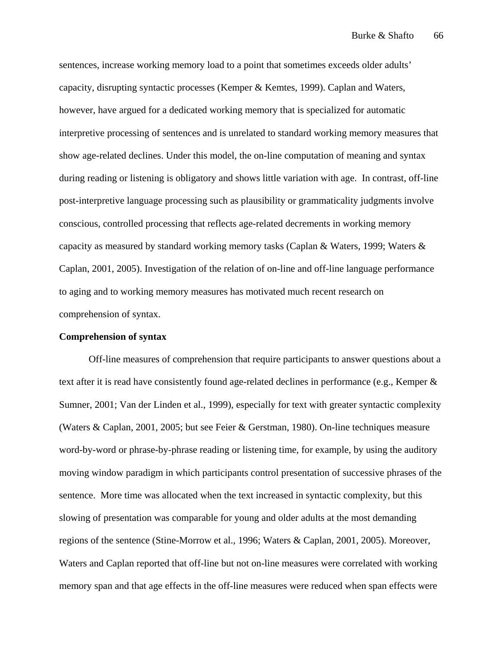sentences, increase working memory load to a point that sometimes exceeds older adults' capacity, disrupting syntactic processes (Kemper & Kemtes, 1999). Caplan and Waters, however, have argued for a dedicated working memory that is specialized for automatic interpretive processing of sentences and is unrelated to standard working memory measures that show age-related declines. Under this model, the on-line computation of meaning and syntax during reading or listening is obligatory and shows little variation with age. In contrast, off-line post-interpretive language processing such as plausibility or grammaticality judgments involve conscious, controlled processing that reflects age-related decrements in working memory capacity as measured by standard working memory tasks (Caplan & Waters, 1999; Waters & Caplan, 2001, 2005). Investigation of the relation of on-line and off-line language performance to aging and to working memory measures has motivated much recent research on comprehension of syntax.

### **Comprehension of syntax**

Off-line measures of comprehension that require participants to answer questions about a text after it is read have consistently found age-related declines in performance (e.g., Kemper & Sumner, 2001; Van der Linden et al., 1999), especially for text with greater syntactic complexity (Waters & Caplan, 2001, 2005; but see Feier & Gerstman, 1980). On-line techniques measure word-by-word or phrase-by-phrase reading or listening time, for example, by using the auditory moving window paradigm in which participants control presentation of successive phrases of the sentence. More time was allocated when the text increased in syntactic complexity, but this slowing of presentation was comparable for young and older adults at the most demanding regions of the sentence (Stine-Morrow et al., 1996; Waters & Caplan, 2001, 2005). Moreover, Waters and Caplan reported that off-line but not on-line measures were correlated with working memory span and that age effects in the off-line measures were reduced when span effects were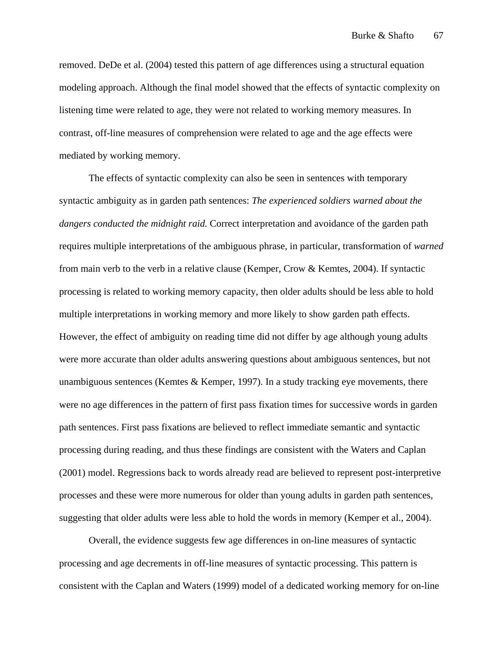removed. DeDe et al. (2004) tested this pattern of age differences using a structural equation modeling approach. Although the final model showed that the effects of syntactic complexity on listening time were related to age, they were not related to working memory measures. In contrast, off-line measures of comprehension were related to age and the age effects were mediated by working memory.

The effects of syntactic complexity can also be seen in sentences with temporary syntactic ambiguity as in garden path sentences: *The experienced soldiers warned about the dangers conducted the midnight raid.* Correct interpretation and avoidance of the garden path requires multiple interpretations of the ambiguous phrase, in particular, transformation of *warned* from main verb to the verb in a relative clause (Kemper, Crow & Kemtes, 2004). If syntactic processing is related to working memory capacity, then older adults should be less able to hold multiple interpretations in working memory and more likely to show garden path effects. However, the effect of ambiguity on reading time did not differ by age although young adults were more accurate than older adults answering questions about ambiguous sentences, but not unambiguous sentences (Kemtes & Kemper, 1997). In a study tracking eye movements, there were no age differences in the pattern of first pass fixation times for successive words in garden path sentences. First pass fixations are believed to reflect immediate semantic and syntactic processing during reading, and thus these findings are consistent with the Waters and Caplan (2001) model. Regressions back to words already read are believed to represent post-interpretive processes and these were more numerous for older than young adults in garden path sentences, suggesting that older adults were less able to hold the words in memory (Kemper et al., 2004).

Overall, the evidence suggests few age differences in on-line measures of syntactic processing and age decrements in off-line measures of syntactic processing. This pattern is consistent with the Caplan and Waters (1999) model of a dedicated working memory for on-line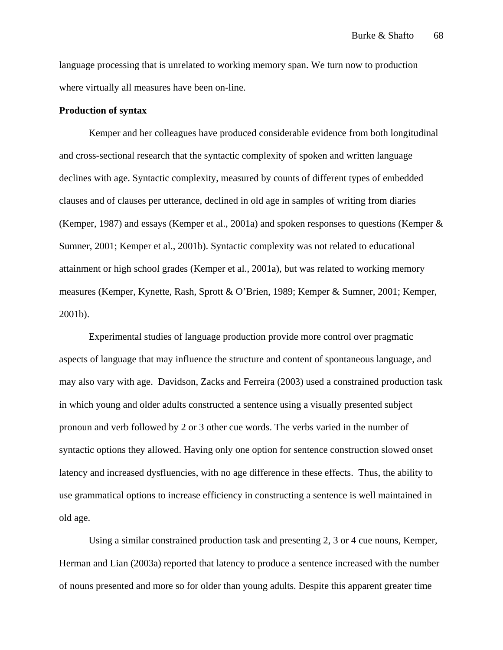language processing that is unrelated to working memory span. We turn now to production where virtually all measures have been on-line.

### **Production of syntax**

Kemper and her colleagues have produced considerable evidence from both longitudinal and cross-sectional research that the syntactic complexity of spoken and written language declines with age. Syntactic complexity, measured by counts of different types of embedded clauses and of clauses per utterance, declined in old age in samples of writing from diaries (Kemper, 1987) and essays (Kemper et al., 2001a) and spoken responses to questions (Kemper & Sumner, 2001; Kemper et al., 2001b). Syntactic complexity was not related to educational attainment or high school grades (Kemper et al., 2001a), but was related to working memory measures (Kemper, Kynette, Rash, Sprott & O'Brien, 1989; Kemper & Sumner, 2001; Kemper, 2001b).

Experimental studies of language production provide more control over pragmatic aspects of language that may influence the structure and content of spontaneous language, and may also vary with age. Davidson, Zacks and Ferreira (2003) used a constrained production task in which young and older adults constructed a sentence using a visually presented subject pronoun and verb followed by 2 or 3 other cue words. The verbs varied in the number of syntactic options they allowed. Having only one option for sentence construction slowed onset latency and increased dysfluencies, with no age difference in these effects. Thus, the ability to use grammatical options to increase efficiency in constructing a sentence is well maintained in old age.

Using a similar constrained production task and presenting 2, 3 or 4 cue nouns, Kemper, Herman and Lian (2003a) reported that latency to produce a sentence increased with the number of nouns presented and more so for older than young adults. Despite this apparent greater time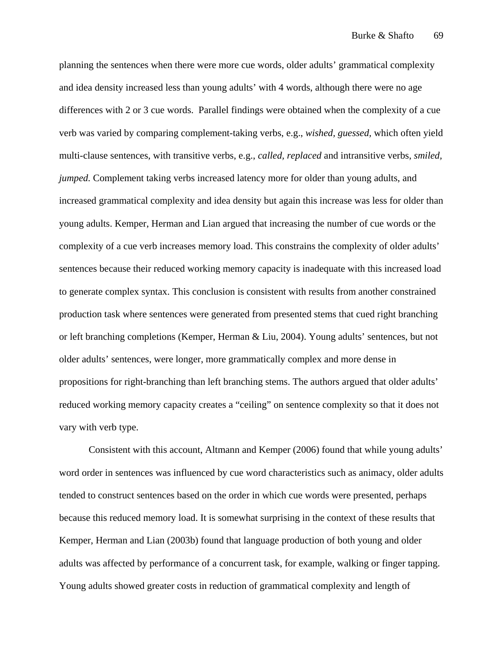planning the sentences when there were more cue words, older adults' grammatical complexity and idea density increased less than young adults' with 4 words, although there were no age differences with 2 or 3 cue words. Parallel findings were obtained when the complexity of a cue verb was varied by comparing complement-taking verbs, e.g., *wished, guessed,* which often yield multi-clause sentences, with transitive verbs, e.g., *called, replaced* and intransitive verbs, *smiled, jumped.* Complement taking verbs increased latency more for older than young adults, and increased grammatical complexity and idea density but again this increase was less for older than young adults. Kemper, Herman and Lian argued that increasing the number of cue words or the complexity of a cue verb increases memory load. This constrains the complexity of older adults' sentences because their reduced working memory capacity is inadequate with this increased load to generate complex syntax. This conclusion is consistent with results from another constrained production task where sentences were generated from presented stems that cued right branching or left branching completions (Kemper, Herman & Liu, 2004). Young adults' sentences, but not older adults' sentences, were longer, more grammatically complex and more dense in propositions for right-branching than left branching stems. The authors argued that older adults' reduced working memory capacity creates a "ceiling" on sentence complexity so that it does not vary with verb type.

Consistent with this account, Altmann and Kemper (2006) found that while young adults' word order in sentences was influenced by cue word characteristics such as animacy, older adults tended to construct sentences based on the order in which cue words were presented, perhaps because this reduced memory load. It is somewhat surprising in the context of these results that Kemper, Herman and Lian (2003b) found that language production of both young and older adults was affected by performance of a concurrent task, for example, walking or finger tapping. Young adults showed greater costs in reduction of grammatical complexity and length of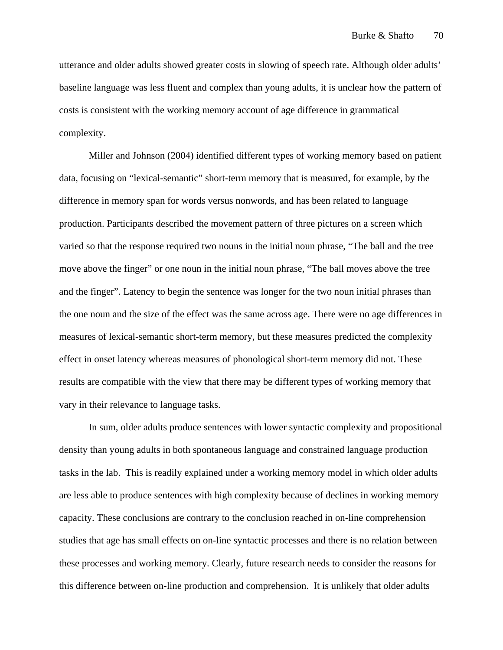utterance and older adults showed greater costs in slowing of speech rate. Although older adults' baseline language was less fluent and complex than young adults, it is unclear how the pattern of costs is consistent with the working memory account of age difference in grammatical complexity.

Miller and Johnson (2004) identified different types of working memory based on patient data, focusing on "lexical-semantic" short-term memory that is measured, for example, by the difference in memory span for words versus nonwords, and has been related to language production. Participants described the movement pattern of three pictures on a screen which varied so that the response required two nouns in the initial noun phrase, "The ball and the tree move above the finger" or one noun in the initial noun phrase, "The ball moves above the tree and the finger". Latency to begin the sentence was longer for the two noun initial phrases than the one noun and the size of the effect was the same across age. There were no age differences in measures of lexical-semantic short-term memory, but these measures predicted the complexity effect in onset latency whereas measures of phonological short-term memory did not. These results are compatible with the view that there may be different types of working memory that vary in their relevance to language tasks.

In sum, older adults produce sentences with lower syntactic complexity and propositional density than young adults in both spontaneous language and constrained language production tasks in the lab. This is readily explained under a working memory model in which older adults are less able to produce sentences with high complexity because of declines in working memory capacity. These conclusions are contrary to the conclusion reached in on-line comprehension studies that age has small effects on on-line syntactic processes and there is no relation between these processes and working memory. Clearly, future research needs to consider the reasons for this difference between on-line production and comprehension. It is unlikely that older adults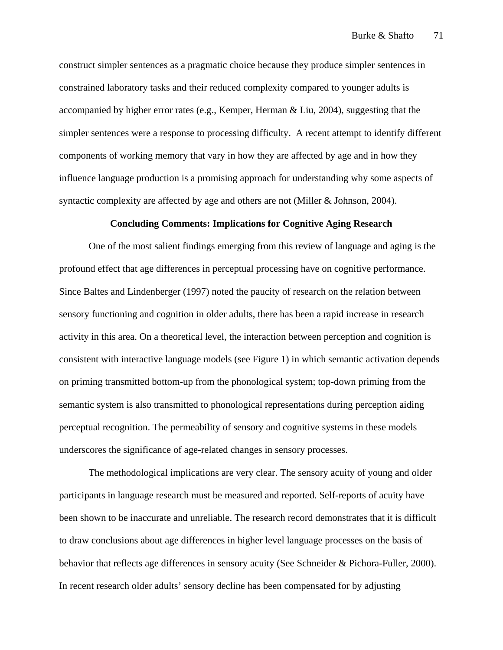construct simpler sentences as a pragmatic choice because they produce simpler sentences in constrained laboratory tasks and their reduced complexity compared to younger adults is accompanied by higher error rates (e.g., Kemper, Herman & Liu, 2004), suggesting that the simpler sentences were a response to processing difficulty. A recent attempt to identify different components of working memory that vary in how they are affected by age and in how they influence language production is a promising approach for understanding why some aspects of syntactic complexity are affected by age and others are not (Miller & Johnson, 2004).

### **Concluding Comments: Implications for Cognitive Aging Research**

One of the most salient findings emerging from this review of language and aging is the profound effect that age differences in perceptual processing have on cognitive performance. Since Baltes and Lindenberger (1997) noted the paucity of research on the relation between sensory functioning and cognition in older adults, there has been a rapid increase in research activity in this area. On a theoretical level, the interaction between perception and cognition is consistent with interactive language models (see Figure 1) in which semantic activation depends on priming transmitted bottom-up from the phonological system; top-down priming from the semantic system is also transmitted to phonological representations during perception aiding perceptual recognition. The permeability of sensory and cognitive systems in these models underscores the significance of age-related changes in sensory processes.

 The methodological implications are very clear. The sensory acuity of young and older participants in language research must be measured and reported. Self-reports of acuity have been shown to be inaccurate and unreliable. The research record demonstrates that it is difficult to draw conclusions about age differences in higher level language processes on the basis of behavior that reflects age differences in sensory acuity (See Schneider & Pichora-Fuller, 2000). In recent research older adults' sensory decline has been compensated for by adjusting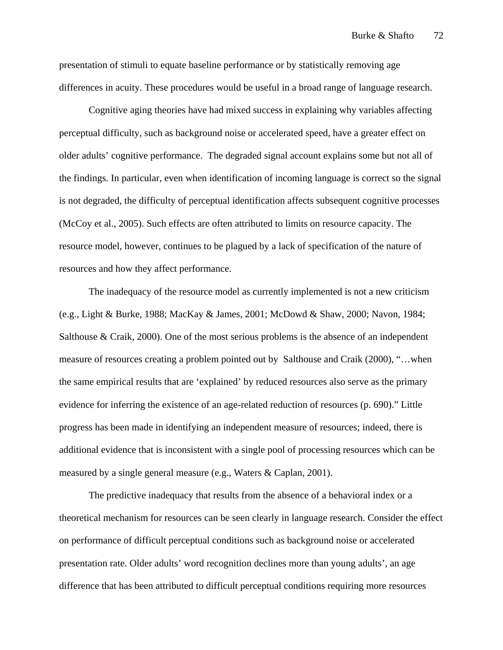presentation of stimuli to equate baseline performance or by statistically removing age differences in acuity. These procedures would be useful in a broad range of language research.

Cognitive aging theories have had mixed success in explaining why variables affecting perceptual difficulty, such as background noise or accelerated speed, have a greater effect on older adults' cognitive performance. The degraded signal account explains some but not all of the findings. In particular, even when identification of incoming language is correct so the signal is not degraded, the difficulty of perceptual identification affects subsequent cognitive processes (McCoy et al., 2005). Such effects are often attributed to limits on resource capacity. The resource model, however, continues to be plagued by a lack of specification of the nature of resources and how they affect performance.

The inadequacy of the resource model as currently implemented is not a new criticism (e.g., Light & Burke, 1988; MacKay & James, 2001; McDowd & Shaw, 2000; Navon, 1984; Salthouse & Craik, 2000). One of the most serious problems is the absence of an independent measure of resources creating a problem pointed out by Salthouse and Craik (2000), "…when the same empirical results that are 'explained' by reduced resources also serve as the primary evidence for inferring the existence of an age-related reduction of resources (p. 690)." Little progress has been made in identifying an independent measure of resources; indeed, there is additional evidence that is inconsistent with a single pool of processing resources which can be measured by a single general measure (e.g., Waters & Caplan, 2001).

The predictive inadequacy that results from the absence of a behavioral index or a theoretical mechanism for resources can be seen clearly in language research. Consider the effect on performance of difficult perceptual conditions such as background noise or accelerated presentation rate. Older adults' word recognition declines more than young adults', an age difference that has been attributed to difficult perceptual conditions requiring more resources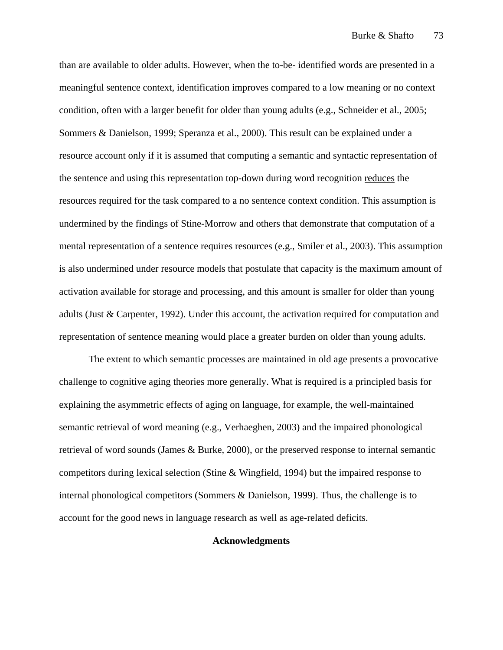than are available to older adults. However, when the to-be- identified words are presented in a meaningful sentence context, identification improves compared to a low meaning or no context condition, often with a larger benefit for older than young adults (e.g., Schneider et al., 2005; Sommers & Danielson, 1999; Speranza et al., 2000). This result can be explained under a resource account only if it is assumed that computing a semantic and syntactic representation of the sentence and using this representation top-down during word recognition reduces the resources required for the task compared to a no sentence context condition. This assumption is undermined by the findings of Stine-Morrow and others that demonstrate that computation of a mental representation of a sentence requires resources (e.g., Smiler et al., 2003). This assumption is also undermined under resource models that postulate that capacity is the maximum amount of activation available for storage and processing, and this amount is smaller for older than young adults (Just & Carpenter, 1992). Under this account, the activation required for computation and representation of sentence meaning would place a greater burden on older than young adults.

The extent to which semantic processes are maintained in old age presents a provocative challenge to cognitive aging theories more generally. What is required is a principled basis for explaining the asymmetric effects of aging on language, for example, the well-maintained semantic retrieval of word meaning (e.g., Verhaeghen, 2003) and the impaired phonological retrieval of word sounds (James & Burke, 2000), or the preserved response to internal semantic competitors during lexical selection (Stine & Wingfield, 1994) but the impaired response to internal phonological competitors (Sommers & Danielson, 1999). Thus, the challenge is to account for the good news in language research as well as age-related deficits.

## **Acknowledgments**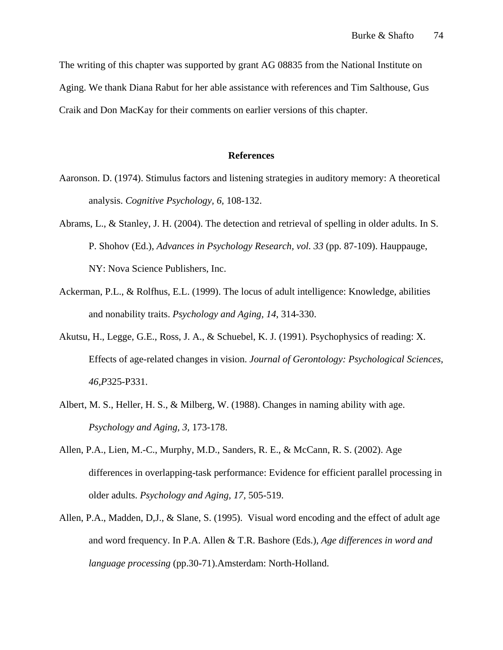The writing of this chapter was supported by grant AG 08835 from the National Institute on Aging. We thank Diana Rabut for her able assistance with references and Tim Salthouse, Gus Craik and Don MacKay for their comments on earlier versions of this chapter.

## **References**

- Aaronson. D. (1974). Stimulus factors and listening strategies in auditory memory: A theoretical analysis. *Cognitive Psychology, 6,* 108-132.
- Abrams, L., & Stanley, J. H. (2004). The detection and retrieval of spelling in older adults. In S. P. Shohov (Ed.), *Advances in Psychology Research, vol. 33* (pp. 87-109). Hauppauge, NY: Nova Science Publishers, Inc.
- Ackerman, P.L., & Rolfhus, E.L. (1999). The locus of adult intelligence: Knowledge, abilities and nonability traits. *Psychology and Aging, 14*, 314-330.
- Akutsu, H., Legge, G.E., Ross, J. A., & Schuebel, K. J. (1991). Psychophysics of reading: X. Effects of age-related changes in vision. *Journal of Gerontology: Psychological Sciences, 46,P*325-P331.
- Albert, M. S., Heller, H. S., & Milberg, W. (1988). Changes in naming ability with age. *Psychology and Aging, 3,* 173-178.
- Allen, P.A., Lien, M.-C., Murphy, M.D., Sanders, R. E., & McCann, R. S. (2002). Age differences in overlapping-task performance: Evidence for efficient parallel processing in older adults. *Psychology and Aging, 17,* 505-519.
- Allen, P.A., Madden, D,J., & Slane, S. (1995). Visual word encoding and the effect of adult age and word frequency. In P.A. Allen & T.R. Bashore (Eds.), *Age differences in word and language processing* (pp.30-71).Amsterdam: North-Holland.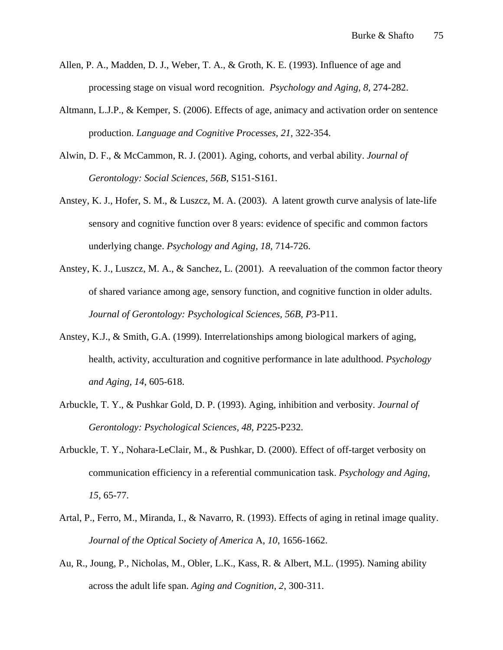- Allen, P. A., Madden, D. J., Weber, T. A., & Groth, K. E. (1993). Influence of age and processing stage on visual word recognition. *Psychology and Aging, 8,* 274-282.
- Altmann, L.J.P., & Kemper, S. (2006). Effects of age, animacy and activation order on sentence production. *Language and Cognitive Processes, 21*, 322-354.
- Alwin, D. F., & McCammon, R. J. (2001). Aging, cohorts, and verbal ability. *Journal of Gerontology: Social Sciences, 56B,* S151-S161.
- Anstey, K. J., Hofer, S. M., & Luszcz, M. A. (2003). A latent growth curve analysis of late-life sensory and cognitive function over 8 years: evidence of specific and common factors underlying change. *Psychology and Aging, 18,* 714-726.
- Anstey, K. J., Luszcz, M. A., & Sanchez, L. (2001). A reevaluation of the common factor theory of shared variance among age, sensory function, and cognitive function in older adults. *Journal of Gerontology: Psychological Sciences, 56B, P*3-P11.
- Anstey, K.J., & Smith, G.A. (1999). Interrelationships among biological markers of aging, health, activity, acculturation and cognitive performance in late adulthood. *Psychology and Aging, 14*, 605-618.
- Arbuckle, T. Y., & Pushkar Gold, D. P. (1993). Aging, inhibition and verbosity. *Journal of Gerontology: Psychological Sciences, 48, P*225-P232.
- Arbuckle, T. Y., Nohara-LeClair, M., & Pushkar, D. (2000). Effect of off-target verbosity on communication efficiency in a referential communication task. *Psychology and Aging, 15*, 65-77.
- Artal, P., Ferro, M., Miranda, I., & Navarro, R. (1993). Effects of aging in retinal image quality. *Journal of the Optical Society of America* A, *10*, 1656-1662.
- Au, R., Joung, P., Nicholas, M., Obler, L.K., Kass, R. & Albert, M.L. (1995). Naming ability across the adult life span. *Aging and Cognition, 2*, 300-311.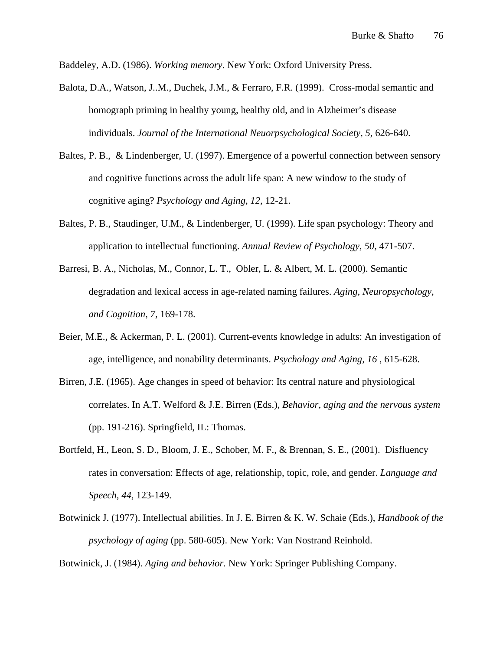Baddeley, A.D. (1986). *Working memory*. New York: Oxford University Press.

- Balota, D.A., Watson, J..M., Duchek, J.M., & Ferraro, F.R. (1999). Cross-modal semantic and homograph priming in healthy young, healthy old, and in Alzheimer's disease individuals. *Journal of the International Neuorpsychological Society, 5*, 626-640.
- Baltes, P. B., & Lindenberger, U. (1997). Emergence of a powerful connection between sensory and cognitive functions across the adult life span: A new window to the study of cognitive aging? *Psychology and Aging, 12,* 12-21.
- Baltes, P. B., Staudinger, U.M., & Lindenberger, U. (1999). Life span psychology: Theory and application to intellectual functioning. *Annual Review of Psychology, 50,* 471-507.
- Barresi, B. A., Nicholas, M., Connor, L. T., Obler, L. & Albert, M. L. (2000). Semantic degradation and lexical access in age-related naming failures. *Aging, Neuropsychology, and Cognition, 7,* 169-178.
- Beier, M.E., & Ackerman, P. L. (2001). Current-events knowledge in adults: An investigation of age, intelligence, and nonability determinants. *Psychology and Aging, 16* , 615-628.
- Birren, J.E. (1965). Age changes in speed of behavior: Its central nature and physiological correlates. In A.T. Welford & J.E. Birren (Eds.), *Behavior, aging and the nervous system* (pp. 191-216). Springfield, IL: Thomas.
- Bortfeld, H., Leon, S. D., Bloom, J. E., Schober, M. F., & Brennan, S. E., (2001). Disfluency rates in conversation: Effects of age, relationship, topic, role, and gender. *Language and Speech, 44,* 123-149.
- Botwinick J. (1977). Intellectual abilities. In J. E. Birren & K. W. Schaie (Eds.), *Handbook of the psychology of aging* (pp. 580-605). New York: Van Nostrand Reinhold.

Botwinick, J. (1984). *Aging and behavior.* New York: Springer Publishing Company.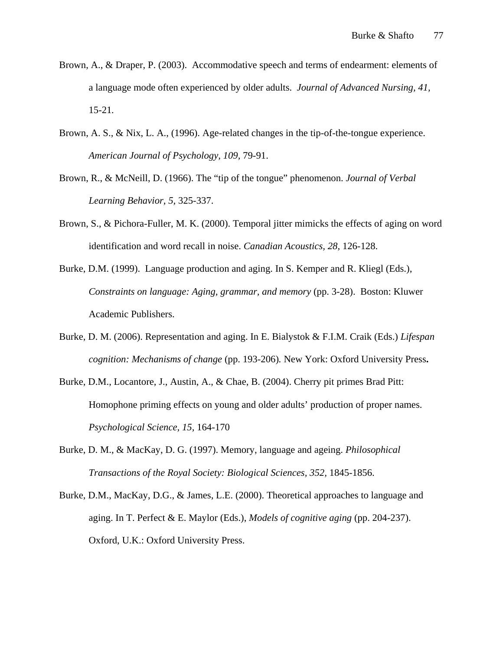- Brown, A., & Draper, P. (2003). Accommodative speech and terms of endearment: elements of a language mode often experienced by older adults. *Journal of Advanced Nursing, 41,*  15-21*.*
- Brown, A. S., & Nix, L. A., (1996). Age-related changes in the tip-of-the-tongue experience. *American Journal of Psychology, 109,* 79-91.
- Brown, R., & McNeill, D. (1966). The "tip of the tongue" phenomenon. *Journal of Verbal Learning Behavior, 5,* 325-337.
- Brown, S., & Pichora-Fuller, M. K. (2000). Temporal jitter mimicks the effects of aging on word identification and word recall in noise. *Canadian Acoustics, 28*, 126-128.
- Burke, D.M. (1999). Language production and aging. In S. Kemper and R. Kliegl (Eds.), *Constraints on language: Aging, grammar, and memory* (pp. 3-28). Boston: Kluwer Academic Publishers.
- Burke, D. M. (2006). Representation and aging. In E. Bialystok & F.I.M. Craik (Eds.) *Lifespan cognition: Mechanisms of change* (pp. 193-206)*.* New York: Oxford University Press**.**
- Burke, D.M., Locantore, J., Austin, A., & Chae, B. (2004). Cherry pit primes Brad Pitt: Homophone priming effects on young and older adults' production of proper names. *Psychological Science, 15,* 164-170
- Burke, D. M., & MacKay, D. G. (1997). Memory, language and ageing. *Philosophical Transactions of the Royal Society: Biological Sciences, 352,* 1845-1856.
- [Burke, D.M., MacKay, D.G., & James, L.E. \(2000\). Theoretical approaches to language and](http://www.psychology.pomona.edu/cogaging/Recent%20Publications/TIMBOOK.DOC)  [aging. In T. Perfect & E. Maylor \(Eds.\),](http://www.psychology.pomona.edu/cogaging/Recent%20Publications/TIMBOOK.DOC) *Models of cognitive aging* (pp. 204-237). [Oxford, U.K.: Oxford University Press.](http://www.psychology.pomona.edu/cogaging/Recent%20Publications/TIMBOOK.DOC)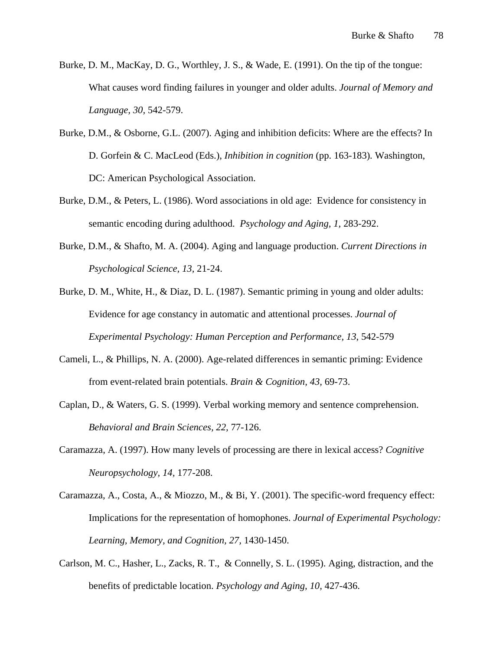- Burke, D. M., MacKay, D. G., Worthley, J. S., & Wade, E. (1991). On the tip of the tongue: What causes word finding failures in younger and older adults. *Journal of Memory and Language, 30,* 542-579.
- [Burke, D.M., & Osborne, G.L. \(2007\). Aging and inhibition deficits: Where are the effects? In](http://www.psychology.pomona.edu/cogaging/Recent%20Publications/Burke&Osborne(in%20press).pdf)  [D. Gorfein & C. MacLeod \(Eds.\),](http://www.psychology.pomona.edu/cogaging/Recent%20Publications/Burke&Osborne(in%20press).pdf) *Inhibition in cognition* (pp. 163-183)*.* Washington, [DC: American Psychological Association.](http://www.psychology.pomona.edu/cogaging/Recent%20Publications/Burke&Osborne(in%20press).pdf)
- Burke, D.M., & Peters, L. (1986). Word associations in old age: Evidence for consistency in semantic encoding during adulthood. *Psychology and Aging, 1,* 283-292.
- [Burke, D.M., & Shafto, M. A. \(2004\). Aging and language production.](http://www.psychology.pomona.edu/cogaging/Recent%20Publications/agingandlanguage.pdf) *Current Directions in [Psychological Science, 13,](http://www.psychology.pomona.edu/cogaging/Recent%20Publications/agingandlanguage.pdf)* 21-24.
- Burke, D. M., White, H., & Diaz, D. L. (1987). Semantic priming in young and older adults: Evidence for age constancy in automatic and attentional processes. *Journal of Experimental Psychology: Human Perception and Performance, 13*, 542-579
- Cameli, L., & Phillips, N. A. (2000). Age-related differences in semantic priming: Evidence from event-related brain potentials. *Brain & Cognition, 43,* 69-73.
- Caplan, D., & Waters, G. S. (1999). Verbal working memory and sentence comprehension. *Behavioral and Brain Sciences, 22,* 77-126.
- Caramazza, A. (1997). How many levels of processing are there in lexical access? *Cognitive Neuropsychology, 14,* 177-208.
- Caramazza, A., Costa, A., & Miozzo, M., & Bi, Y. (2001). The specific-word frequency effect: Implications for the representation of homophones. *Journal of Experimental Psychology: Learning, Memory, and Cognition, 27,* 1430-1450.
- Carlson, M. C., Hasher, L., Zacks, R. T., & Connelly, S. L. (1995). Aging, distraction, and the benefits of predictable location. *Psychology and Aging, 10,* 427-436.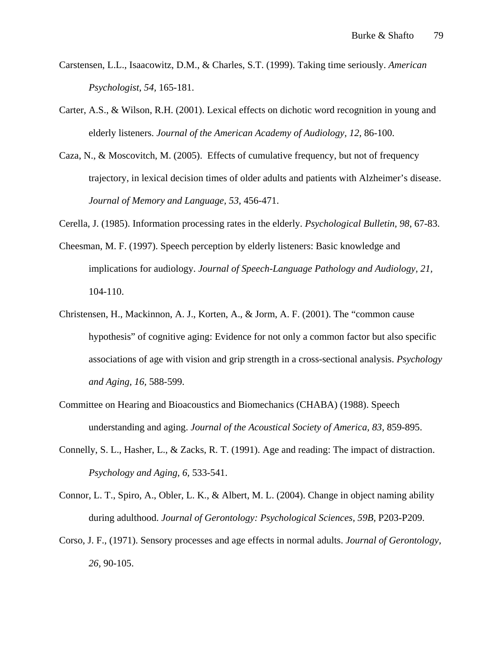- Carstensen, L.L., Isaacowitz, D.M., & Charles, S.T. (1999). Taking time seriously. *American Psychologist, 54,* 165-181.
- Carter, A.S., & Wilson, R.H. (2001). Lexical effects on dichotic word recognition in young and elderly listeners. *Journal of the American Academy of Audiology, 12,* 86-100.
- Caza, N., & Moscovitch, M. (2005). Effects of cumulative frequency, but not of frequency trajectory, in lexical decision times of older adults and patients with Alzheimer's disease. *Journal of Memory and Language, 53,* 456-471.

Cerella, J. (1985). Information processing rates in the elderly. *Psychological Bulletin, 98*, 67-83.

- Cheesman, M. F. (1997). Speech perception by elderly listeners: Basic knowledge and implications for audiology. *Journal of Speech-Language Pathology and Audiology, 21,* 104-110.
- Christensen, H., Mackinnon, A. J., Korten, A., & Jorm, A. F. (2001). The "common cause hypothesis" of cognitive aging: Evidence for not only a common factor but also specific associations of age with vision and grip strength in a cross-sectional analysis. *Psychology and Aging, 16,* 588-599.
- Committee on Hearing and Bioacoustics and Biomechanics (CHABA) (1988). Speech understanding and aging. *Journal of the Acoustical Society of America, 83,* 859-895.
- Connelly, S. L., Hasher, L., & Zacks, R. T. (1991). Age and reading: The impact of distraction. *Psychology and Aging, 6,* 533-541.
- Connor, L. T., Spiro, A., Obler, L. K., & Albert, M. L. (2004). Change in object naming ability during adulthood. *Journal of Gerontology: Psychological Sciences, 59B,* P203-P209.
- Corso, J. F., (1971). Sensory processes and age effects in normal adults. *Journal of Gerontology, 26,* 90-105.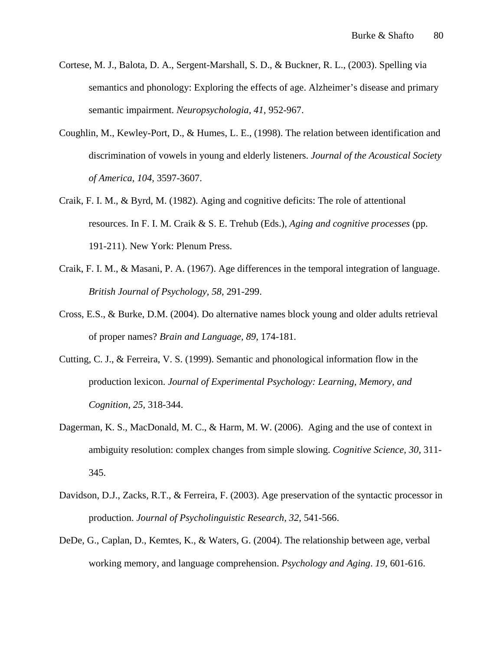- Cortese, M. J., Balota, D. A., Sergent-Marshall, S. D., & Buckner, R. L., (2003). Spelling via semantics and phonology: Exploring the effects of age. Alzheimer's disease and primary semantic impairment. *Neuropsychologia, 41,* 952-967.
- Coughlin, M., Kewley-Port, D., & Humes, L. E., (1998). The relation between identification and discrimination of vowels in young and elderly listeners. *Journal of the Acoustical Society of America, 104,* 3597-3607.
- Craik, F. I. M., & Byrd, M. (1982). Aging and cognitive deficits: The role of attentional resources. In F. I. M. Craik & S. E. Trehub (Eds.), *Aging and cognitive processes* (pp. 191-211). New York: Plenum Press.
- Craik, F. I. M., & Masani, P. A. (1967). Age differences in the temporal integration of language. *British Journal of Psychology, 58,* 291-299.
- [Cross, E.S., & Burke, D.M. \(2004\). Do alternative names block young and older adults retrieval](http://www.psychology.pomona.edu/cogaging/Recent%20Publications/cross%20and%20burke2004.pdf)  of proper names? *[Brain and Language, 89,](http://www.psychology.pomona.edu/cogaging/Recent%20Publications/cross%20and%20burke2004.pdf)* 174-181.
- Cutting, C. J., & Ferreira, V. S. (1999). Semantic and phonological information flow in the production lexicon. *Journal of Experimental Psychology: Learning, Memory, and Cognition, 25,* 318-344.
- Dagerman, K. S., MacDonald, M. C., & Harm, M. W. (2006). Aging and the use of context in ambiguity resolution: complex changes from simple slowing. *Cognitive Science, 30,* 311- 345.
- Davidson, D.J., Zacks, R.T., & Ferreira, F. (2003). Age preservation of the syntactic processor in production. *Journal of Psycholinguistic Research, 32,* 541-566.
- DeDe, G., Caplan, D., Kemtes, K., & Waters, G. (2004). The relationship between age, verbal working memory, and language comprehension. *Psychology and Aging*. *19,* 601-616.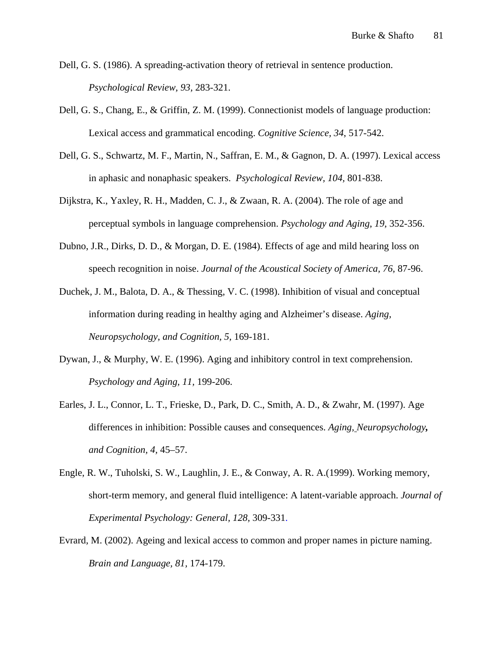- Dell, G. S. (1986). A spreading-activation theory of retrieval in sentence production. *Psychological Review, 93,* 283-321.
- Dell, G. S., Chang, E., & Griffin, Z. M. (1999). Connectionist models of language production: Lexical access and grammatical encoding. *Cognitive Science, 34*, 517-542.
- Dell, G. S., Schwartz, M. F., Martin, N., Saffran, E. M., & Gagnon, D. A. (1997). Lexical access in aphasic and nonaphasic speakers. *Psychological Review, 104,* 801-838.
- Dijkstra, K., Yaxley, R. H., Madden, C. J., & Zwaan, R. A. (2004). The role of age and perceptual symbols in language comprehension. *Psychology and Aging*, *19*, 352-356.
- Dubno, J.R., Dirks, D. D., & Morgan, D. E. (1984). Effects of age and mild hearing loss on speech recognition in noise. *Journal of the Acoustical Society of America, 76,* 87-96.
- Duchek, J. M., Balota, D. A., & Thessing, V. C. (1998). Inhibition of visual and conceptual information during reading in healthy aging and Alzheimer's disease. *Aging, Neuropsychology, and Cognition, 5,* 169-181.
- Dywan, J., & Murphy, W. E. (1996). Aging and inhibitory control in text comprehension. *Psychology and Aging, 11,* 199-206.
- Earles, J. L., Connor, L. T., Frieske, D., Park, D. C., Smith, A. D., & Zwahr, M. (1997). Age differences in inhibition: Possible causes and consequences. *Aging, Neuropsychology, and Cognition, 4,* 45–57.
- Engle, R. W., Tuholski, S. W., Laughlin, J. E., & Conway, A. R. A.(1999). Working memory, short-term memory, and general fluid intelligence: A latent-variable approach. *Journal of Experimental Psychology: General, 128,* 309-331.
- Evrard, M. (2002). Ageing and lexical access to common and proper names in picture naming. *Brain and Language, 81,* 174-179.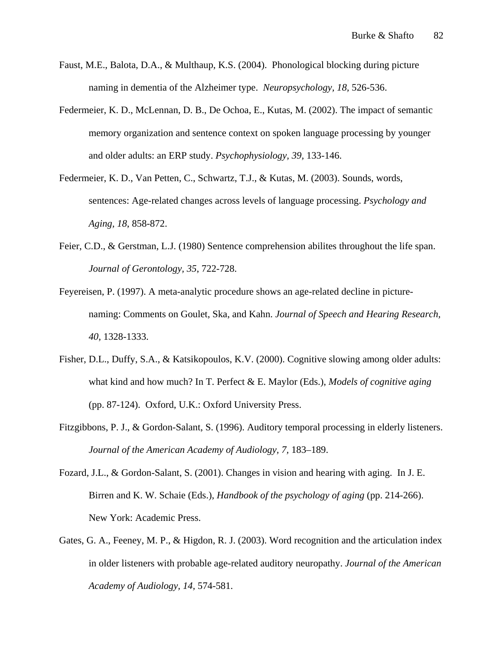- Faust, M.E., Balota, D.A., & Multhaup, K.S. (2004). Phonological blocking during picture naming in dementia of the Alzheimer type. *Neuropsychology, 18,* 526-536.
- Federmeier, K. D., McLennan, D. B., De Ochoa, E., Kutas, M. (2002). The impact of semantic memory organization and sentence context on spoken language processing by younger and older adults: an ERP study. *Psychophysiology, 39,* 133-146.
- Federmeier, K. D., Van Petten, C., Schwartz, T.J., & Kutas, M. (2003). Sounds, words, sentences: Age-related changes across levels of language processing. *Psychology and Aging, 18*, 858-872.
- Feier, C.D., & Gerstman, L.J. (1980) Sentence comprehension abilites throughout the life span. *Journal of Gerontology, 35*, 722-728.
- Feyereisen, P. (1997). A meta-analytic procedure shows an age-related decline in picturenaming: Comments on Goulet, Ska, and Kahn. *Journal of Speech and Hearing Research, 40,* 1328-1333.
- Fisher, D.L., Duffy, S.A., & Katsikopoulos, K.V. (2000). Cognitive slowing among older adults: what kind and how much? In T. Perfect & E. Maylor (Eds.), *Models of cognitive aging*  (pp. 87-124). Oxford, U.K.: Oxford University Press.
- Fitzgibbons, P. J., & Gordon-Salant, S. (1996). Auditory temporal processing in elderly listeners. *Journal of the American Academy of Audiology, 7,* 183–189.
- Fozard, J.L., & Gordon-Salant, S. (2001). Changes in vision and hearing with aging. In J. E. Birren and K. W. Schaie (Eds.), *Handbook of the psychology of aging* (pp. 214-266). New York: Academic Press.
- Gates, G. A., Feeney, M. P., & Higdon, R. J. (2003). Word recognition and the articulation index in older listeners with probable age-related auditory neuropathy. *Journal of the American Academy of Audiology, 14,* 574-581.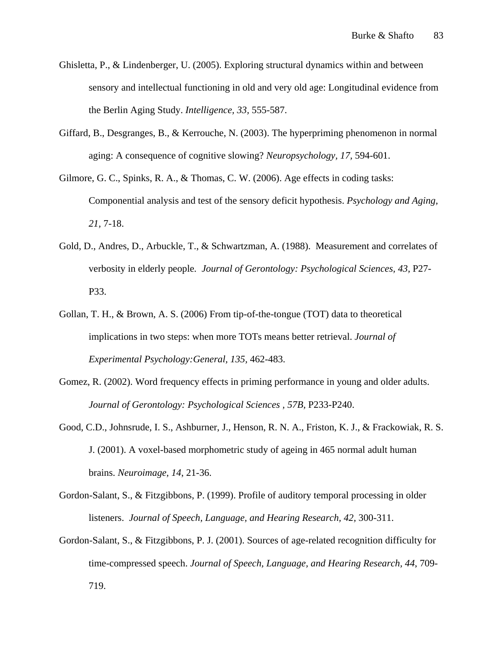- Ghisletta, P., & Lindenberger, U. (2005). Exploring structural dynamics within and between sensory and intellectual functioning in old and very old age: Longitudinal evidence from the Berlin Aging Study. *Intelligence, 33,* 555-587.
- Giffard, B., Desgranges, B., & Kerrouche, N. (2003). The hyperpriming phenomenon in normal aging: A consequence of cognitive slowing? *Neuropsychology, 17,* 594-601.
- Gilmore, G. C., Spinks, R. A., & Thomas, C. W. (2006). Age effects in coding tasks: Componential analysis and test of the sensory deficit hypothesis. *Psychology and Aging, 21,* 7-18.
- Gold, D., Andres, D., Arbuckle, T., & Schwartzman, A. (1988). Measurement and correlates of verbosity in elderly people*. Journal of Gerontology: Psychological Sciences, 43,* P27- P33.
- Gollan, T. H., & Brown, A. S. (2006) From tip-of-the-tongue (TOT) data to theoretical implications in two steps: when more TOTs means better retrieval. *Journal of Experimental Psychology:General, 135,* 462-483.
- Gomez, R. (2002). Word frequency effects in priming performance in young and older adults. *Journal of Gerontology: Psychological Sciences , 57B,* P233-P240.
- Good, C.D., Johnsrude, I. S., Ashburner, J., Henson, R. N. A., Friston, K. J., & Frackowiak, R. S. J. (2001). A voxel-based morphometric study of ageing in 465 normal adult human brains. *Neuroimage, 14*, 21-36.
- Gordon-Salant, S., & Fitzgibbons, P. (1999). Profile of auditory temporal processing in older listeners. *Journal of Speech, Language, and Hearing Research, 42,* 300-311.
- Gordon-Salant, S., & Fitzgibbons, P. J. (2001). Sources of age-related recognition difficulty for time-compressed speech. *Journal of Speech, Language, and Hearing Research, 44*, 709- 719.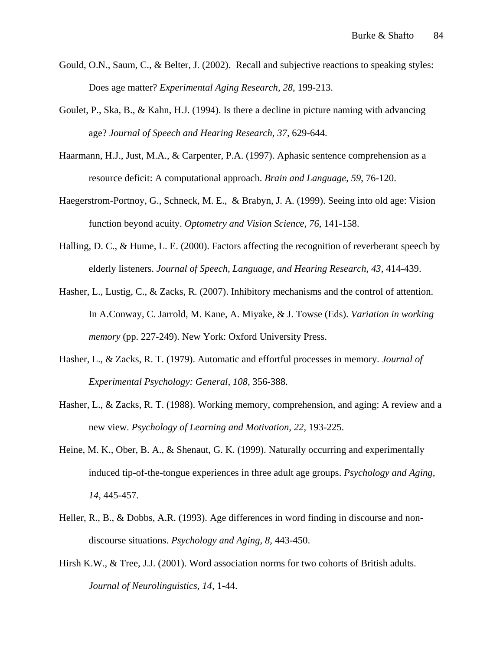- Gould, O.N., Saum, C., & Belter, J. (2002). Recall and subjective reactions to speaking styles: Does age matter? *Experimental Aging Research, 28*, 199-213.
- Goulet, P., Ska, B., & Kahn, H.J. (1994). Is there a decline in picture naming with advancing age? *Journal of Speech and Hearing Research, 37,* 629-644.
- Haarmann, H.J., Just, M.A., & Carpenter, P.A. (1997). Aphasic sentence comprehension as a resource deficit: A computational approach. *Brain and Language, 59*, 76-120.
- Haegerstrom-Portnoy, G., Schneck, M. E., & Brabyn, J. A. (1999). Seeing into old age: Vision function beyond acuity. *Optometry and Vision Science, 76*, 141-158.
- Halling, D. C., & Hume, L. E. (2000). Factors affecting the recognition of reverberant speech by elderly listeners. *Journal of Speech, Language, and Hearing Research, 43,* 414-439.
- Hasher, L., Lustig, C., & Zacks, R. (2007). Inhibitory mechanisms and the control of attention. In A.Conway, C. Jarrold, M. Kane, A. Miyake, & J. Towse (Eds). *Variation in working memory* (pp. 227-249). New York: Oxford University Press.
- Hasher, L., & Zacks, R. T. (1979). Automatic and effortful processes in memory. *Journal of Experimental Psychology: General, 108,* 356-388.
- Hasher, L., & Zacks, R. T. (1988). Working memory, comprehension, and aging: A review and a new view. *Psychology of Learning and Motivation*, *22*, 193-225.
- Heine, M. K., Ober, B. A., & Shenaut, G. K. (1999). Naturally occurring and experimentally induced tip-of-the-tongue experiences in three adult age groups. *Psychology and Aging, 14,* 445-457.
- Heller, R., B., & Dobbs, A.R. (1993). Age differences in word finding in discourse and nondiscourse situations. *Psychology and Aging, 8,* 443-450.
- Hirsh K.W., & Tree, J.J. (2001). Word association norms for two cohorts of British adults. *Journal of Neurolinguistics, 14,* 1-44.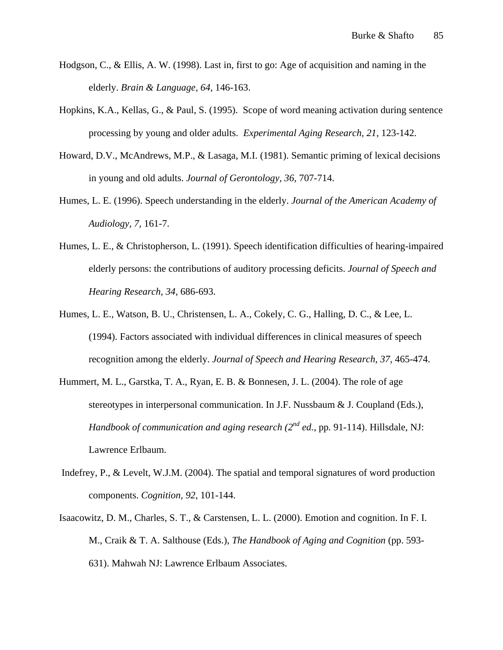- Hodgson, C., & Ellis, A. W. (1998). Last in, first to go: Age of acquisition and naming in the elderly. *Brain & Language, 64,* 146-163.
- Hopkins, K.A., Kellas, G., & Paul, S. (1995). Scope of word meaning activation during sentence processing by young and older adults. *Experimental Aging Research, 21*, 123-142.
- Howard, D.V., McAndrews, M.P., & Lasaga, M.I. (1981). Semantic priming of lexical decisions in young and old adults. *Journal of Gerontology, 36,* 707-714.
- Humes, L. E. (1996). Speech understanding in the elderly. *Journal of the American Academy of Audiology, 7,* 161-7.
- Humes, L. E., & Christopherson, L. (1991). Speech identification difficulties of hearing-impaired elderly persons: the contributions of auditory processing deficits. *Journal of Speech and Hearing Research, 34,* 686-693.
- Humes, L. E., Watson, B. U., Christensen, L. A., Cokely, C. G., Halling, D. C., & Lee, L. (1994). Factors associated with individual differences in clinical measures of speech recognition among the elderly. *Journal of Speech and Hearing Research, 37,* 465-474.
- Hummert, M. L., Garstka, T. A., Ryan, E. B. & Bonnesen, J. L. (2004). The role of age stereotypes in interpersonal communication. In J.F. Nussbaum & J. Coupland (Eds.), *Handbook of communication and aging research (2nd ed.*, pp*.* 91-114). Hillsdale, NJ: Lawrence Erlbaum.
- Indefrey, P., & Levelt, W.J.M. (2004). The spatial and temporal signatures of word production components. *Cognition, 92*, 101-144.
- Isaacowitz, D. M., Charles, S. T., & Carstensen, L. L. (2000). Emotion and cognition. In F. I. M., Craik & T. A. Salthouse (Eds.), *The Handbook of Aging and Cognition* (pp. 593- 631). Mahwah NJ: Lawrence Erlbaum Associates.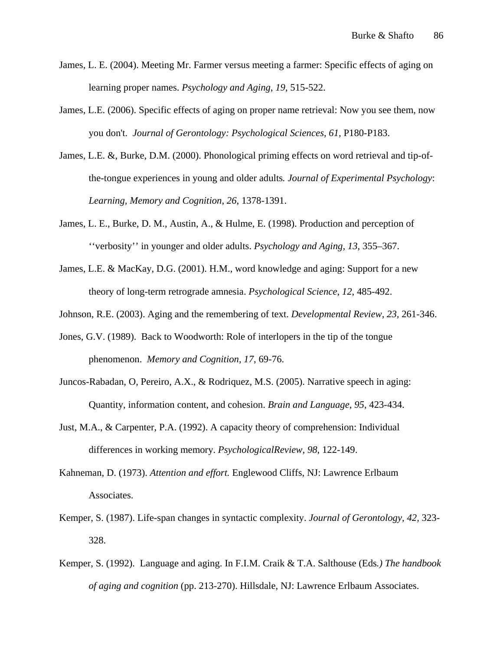- James, L. E. (2004). Meeting Mr. Farmer versus meeting a farmer: Specific effects of aging on learning proper names. *Psychology and Aging*, *19*, 515-522.
- James, L.E. (2006). Specific effects of aging on proper name retrieval: Now you see them, now you don't. *Journal of Gerontology: Psychological Sciences*, *61,* P180-P183.
- James, L.E. &, Burke, D.M. (2000). Phonological priming effects on word retrieval and tip-ofthe-tongue experiences in young and older adults*. Journal of Experimental Psychology*: *Learning, Memory and Cognition*, *26*, 1378-1391.
- James, L. E., Burke, D. M., Austin, A., & Hulme, E. (1998). Production and perception of ''verbosity'' in younger and older adults. *Psychology and Aging, 13*, 355–367.
- James, L.E. & MacKay, D.G. (2001). H.M., word knowledge and aging: Support for a new theory of long-term retrograde amnesia. *Psychological Science*, *12*, 485-492.
- Johnson, R.E. (2003). Aging and the remembering of text. *Developmental Review, 23,* 261-346.
- Jones, G.V. (1989). Back to Woodworth: Role of interlopers in the tip of the tongue phenomenon. *Memory and Cognition, 17*, 69-76.
- Juncos-Rabadan, O, Pereiro, A.X., & Rodriquez, M.S. (2005). Narrative speech in aging: Quantity, information content, and cohesion. *Brain and Language, 95*, 423-434.
- Just, M.A., & Carpenter, P.A. (1992). A capacity theory of comprehension: Individual differences in working memory. *PsychologicalReview, 98*, 122-149.
- Kahneman, D. (1973). *Attention and effort.* Englewood Cliffs, NJ: Lawrence Erlbaum Associates.
- Kemper, S. (1987). Life-span changes in syntactic complexity. *Journal of Gerontology, 42,* 323- 328.
- Kemper, S. (1992). Language and aging. In F.I.M. Craik & T.A. Salthouse (Eds*.) The handbook of aging and cognition* (pp. 213-270). Hillsdale, NJ: Lawrence Erlbaum Associates.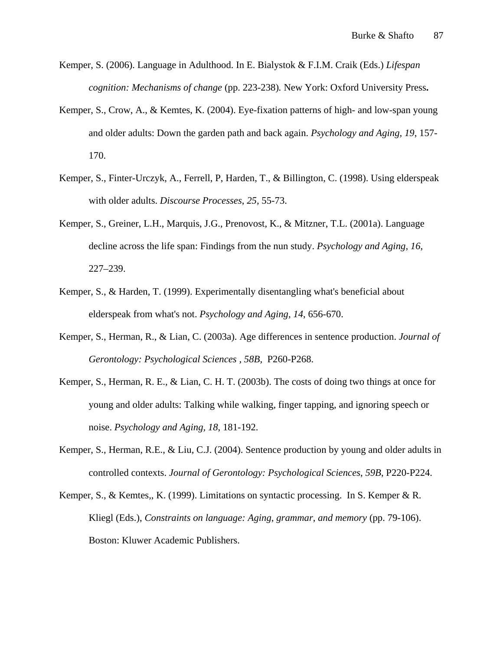- Kemper, S. (2006). Language in Adulthood. In E. Bialystok & F.I.M. Craik (Eds.) *Lifespan cognition: Mechanisms of change* (pp. 223-238)*.* New York: Oxford University Press**.**
- Kemper, S., Crow, A., & Kemtes, K. (2004). Eye-fixation patterns of high- and low-span young and older adults: Down the garden path and back again. *Psychology and Aging, 19*, 157- 170.
- Kemper, S., Finter-Urczyk, A., Ferrell, P, Harden, T., & Billington, C. (1998). Using elderspeak with older adults. *Discourse Processes*, *25,* 55-73.
- Kemper, S., Greiner, L.H., Marquis, J.G., Prenovost, K., & Mitzner, T.L. (2001a). Language decline across the life span: Findings from the nun study. *Psychology and Aging, 16*, 227–239.
- Kemper, S., & Harden, T. (1999). Experimentally disentangling what's beneficial about elderspeak from what's not. *Psychology and Aging, 14*, 656-670.
- Kemper, S., Herman, R., & Lian, C. (2003a). Age differences in sentence production. *Journal of Gerontology: Psychological Sciences , 58B,* P260-P268.
- Kemper, S., Herman, R. E., & Lian, C. H. T. (2003b). The costs of doing two things at once for young and older adults: Talking while walking, finger tapping, and ignoring speech or noise. *Psychology and Aging, 18*, 181-192.
- Kemper, S., Herman, R.E., & Liu, C.J. (2004). Sentence production by young and older adults in controlled contexts. *Journal of Gerontology: Psychological Sciences*, *59B*, P220-P224.
- Kemper, S., & Kemtes,, K. (1999). Limitations on syntactic processing. In S. Kemper & R. Kliegl (Eds.), *Constraints on language: Aging, grammar, and memory* (pp. 79-106). Boston: Kluwer Academic Publishers.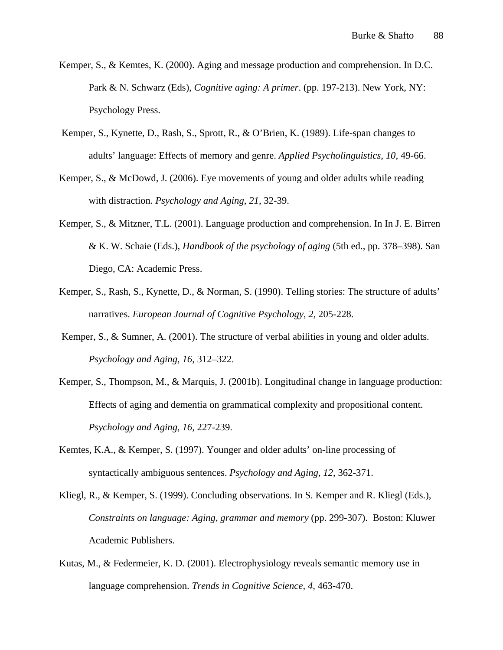- Kemper, S., & Kemtes, K. (2000). Aging and message production and comprehension. In D.C. Park & N. Schwarz (Eds), *Cognitive aging: A primer*. (pp. 197-213). New York, NY: Psychology Press.
- Kemper, S., Kynette, D., Rash, S., Sprott, R., & O'Brien, K. (1989). Life-span changes to adults' language: Effects of memory and genre. *Applied Psycholinguistics, 10,* 49-66.
- Kemper, S., & McDowd, J. (2006). Eye movements of young and older adults while reading with distraction. *Psychology and Aging, 21,* 32-39.
- Kemper, S., & Mitzner, T.L. (2001). Language production and comprehension. In In J. E. Birren & K. W. Schaie (Eds.), *Handbook of the psychology of aging* (5th ed., pp. 378–398). San Diego, CA: Academic Press.
- Kemper, S., Rash, S., Kynette, D., & Norman, S. (1990). Telling stories: The structure of adults' narratives. *European Journal of Cognitive Psychology, 2,* 205-228.
- Kemper, S., & Sumner, A. (2001). The structure of verbal abilities in young and older adults. *Psychology and Aging, 16,* 312–322.
- Kemper, S., Thompson, M., & Marquis, J. (2001b). Longitudinal change in language production: Effects of aging and dementia on grammatical complexity and propositional content. *Psychology and Aging, 16,* 227-239.
- Kemtes, K.A., & Kemper, S. (1997). Younger and older adults' on-line processing of syntactically ambiguous sentences. *Psychology and Aging, 12*, 362-371.
- Kliegl, R., & Kemper, S. (1999). Concluding observations. In S. Kemper and R. Kliegl (Eds.), *Constraints on language: Aging, grammar and memory* (pp. 299-307). Boston: Kluwer Academic Publishers.
- Kutas, M., & Federmeier, K. D. (2001). Electrophysiology reveals semantic memory use in language comprehension. *Trends in Cognitive Science, 4,* 463-470.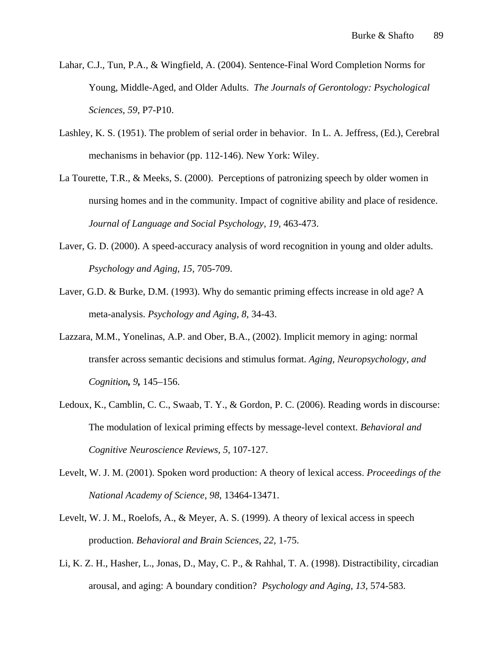- Lahar, C.J., Tun, P.A., & Wingfield, A. (2004). Sentence-Final Word Completion Norms for Young, Middle-Aged, and Older Adults. *The Journals of Gerontology: Psychological Sciences, 59*, P7-P10.
- Lashley, K. S. (1951). The problem of serial order in behavior. In L. A. Jeffress, (Ed.), Cerebral mechanisms in behavior (pp. 112-146). New York: Wiley.
- La Tourette, T.R., & Meeks, S. (2000). Perceptions of patronizing speech by older women in nursing homes and in the community. Impact of cognitive ability and place of residence. *Journal of Language and Social Psychology, 19,* 463-473.
- Laver, G. D. (2000). A speed-accuracy analysis of word recognition in young and older adults. *Psychology and Aging, 15,* 705-709.
- [Laver, G.D. & Burke, D.M. \(1993\). Why do semantic priming effects increase in old age? A](http://www.psychology.pomona.edu/cogaging/Recent%20Publications/laver%20and%20burke%201993.pdf)  meta-analysis. *[Psychology and Aging, 8,](http://www.psychology.pomona.edu/cogaging/Recent%20Publications/laver%20and%20burke%201993.pdf)* 34-43.
- [Lazzara](http://www.sciencedirect.com/science?_ob=ArticleURL&_udi=B6WSS-4CK7246-J&_coverDate=06%2F10%2F2004&_alid=425450653&_rdoc=1&_fmt=&_orig=search&_qd=1&_cdi=7054&_sort=d&view=c&_acct=C000048959&_version=1&_urlVersion=0&_userid=945391&md5=ed956eae9f9a7a9bec7f6b6b4ce3de1d#bbib45#bbib45), M.M., Yonelinas, A.P. and Ober, B.A., (2002). Implicit memory in aging: normal transfer across semantic decisions and stimulus format. *Aging, Neuropsychology, and Cognition, 9,* 145–156.
- Ledoux, K., Camblin, C. C., Swaab, T. Y., & Gordon, P. C. (2006). Reading words in discourse: The modulation of lexical priming effects by message-level context. *Behavioral and Cognitive Neuroscience Reviews, 5,* 107-127.
- Levelt, W. J. M. (2001). Spoken word production: A theory of lexical access. *Proceedings of the National Academy of Science*, *98*, 13464-13471.
- Levelt, W. J. M., Roelofs, A., & Meyer, A. S. (1999). A theory of lexical access in speech production. *Behavioral and Brain Sciences, 22,* 1-75.
- Li, K. Z. H., Hasher, L., Jonas, D., May, C. P., & Rahhal, T. A. (1998). Distractibility, circadian arousal, and aging: A boundary condition? *Psychology and Aging, 13,* 574-583.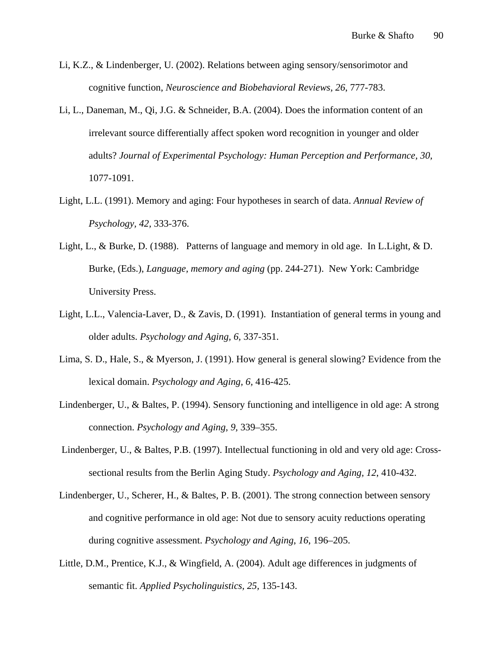- Li, K.Z., & Lindenberger, U. (2002). Relations between aging sensory/sensorimotor and cognitive function, *Neuroscience and Biobehavioral Reviews, 26*, 777-783.
- Li, L., Daneman, M., Qi, J.G. & Schneider, B.A. (2004). Does the information content of an irrelevant source differentially affect spoken word recognition in younger and older adults? *Journal of Experimental Psychology: Human Perception and Performance, 30,*  1077-1091.
- Light, L.L. (1991). Memory and aging: Four hypotheses in search of data. *Annual Review of Psychology, 42,* 333-376.
- Light, L., & Burke, D. (1988). Patterns of language and memory in old age. In L.Light, & D. Burke, (Eds.), *Language, memory and aging* (pp. 244-271). New York: Cambridge University Press.
- Light, L.L., Valencia-Laver, D., & Zavis, D. (1991). Instantiation of general terms in young and older adults. *Psychology and Aging, 6,* 337-351.
- Lima, S. D., Hale, S., & Myerson, J. (1991). How general is general slowing? Evidence from the lexical domain. *Psychology and Aging, 6,* 416-425.
- Lindenberger, U., & Baltes, P. (1994). Sensory functioning and intelligence in old age: A strong connection. *Psychology and Aging, 9,* 339–355.
- Lindenberger, U., & Baltes, P.B. (1997). Intellectual functioning in old and very old age: Crosssectional results from the Berlin Aging Study. *Psychology and Aging, 12*, 410-432.
- Lindenberger, U., Scherer, H., & Baltes, P. B. (2001). The strong connection between sensory and cognitive performance in old age: Not due to sensory acuity reductions operating during cognitive assessment. *Psychology and Aging*, *16*, 196–205.
- Little, D.M., Prentice, K.J., & Wingfield, A. (2004). Adult age differences in judgments of semantic fit. *Applied Psycholinguistics, 25,* 135-143.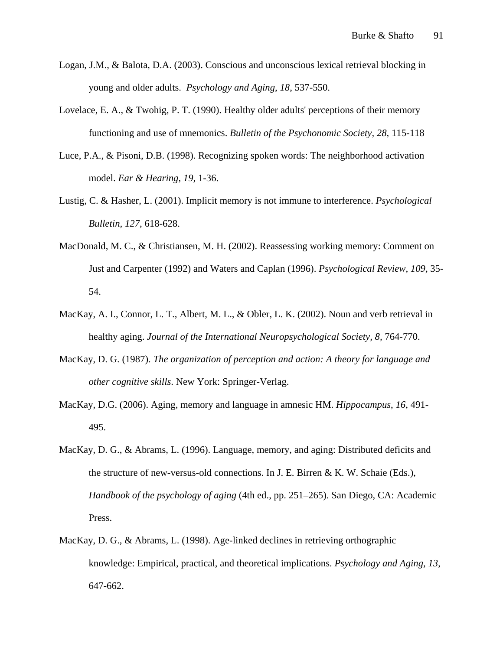- Logan, J.M., & Balota, D.A. (2003). Conscious and unconscious lexical retrieval blocking in young and older adults. *Psychology and Aging*, *18*, 537-550.
- Lovelace, E. A., & Twohig, P. T. (1990). Healthy older adults' perceptions of their memory functioning and use of mnemonics. *Bulletin of the Psychonomic Society, 28,* 115-118
- Luce, P.A., & Pisoni, D.B. (1998). Recognizing spoken words: The neighborhood activation model. *Ear & Hearing, 19,* 1-36.
- Lustig, C. & Hasher, L. (2001). Implicit memory is not immune to interference. *Psychological Bulletin, 127*, 618-628.
- MacDonald, M. C., & Christiansen, M. H. (2002). Reassessing working memory: Comment on Just and Carpenter (1992) and Waters and Caplan (1996). *Psychological Review, 109,* 35- 54.
- MacKay, A. I., Connor, L. T., Albert, M. L., & Obler, L. K. (2002). Noun and verb retrieval in healthy aging. *Journal of the International Neuropsychological Society, 8,* 764-770.
- MacKay, D. G. (1987). *The organization of perception and action: A theory for language and other cognitive skills*. New York: Springer-Verlag.
- MacKay, D.G. (2006). Aging, memory and language in amnesic HM. *Hippocampus*, *16*, 491- 495.
- MacKay, D. G., & Abrams, L. (1996). Language, memory, and aging: Distributed deficits and the structure of new-versus-old connections. In J. E. Birren & K. W. Schaie (Eds.), *Handbook of the psychology of aging* (4th ed., pp. 251–265). San Diego, CA: Academic Press.
- MacKay, D. G., & Abrams, L. (1998). Age-linked declines in retrieving orthographic knowledge: Empirical, practical, and theoretical implications. *Psychology and Aging, 13*, 647-662.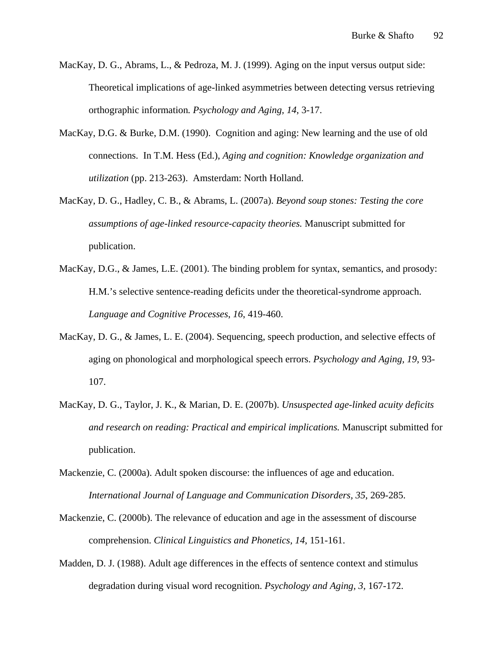- MacKay, D. G., Abrams, L., & Pedroza, M. J. (1999). Aging on the input versus output side: Theoretical implications of age-linked asymmetries between detecting versus retrieving orthographic information*. Psychology and Aging, 14*, 3-17.
- MacKay, D.G. & Burke, D.M. (1990). Cognition and aging: New learning and the use of old connections. In T.M. Hess (Ed.), *Aging and cognition: Knowledge organization and utilization* (pp. 213-263). Amsterdam: North Holland.
- MacKay, D. G., Hadley, C. B., & Abrams, L. (2007a). *Beyond soup stones: Testing the core assumptions of age-linked resource-capacity theories.* Manuscript submitted for publication.
- MacKay, D.G., & James, L.E. (2001). The binding problem for syntax, semantics, and prosody: H.M.'s selective sentence-reading deficits under the theoretical-syndrome approach. *Language and Cognitive Processes*, *16*, 419-460.
- MacKay, D. G., & James, L. E. (2004). Sequencing, speech production, and selective effects of aging on phonological and morphological speech errors. *Psychology and Aging, 19,* 93- 107.
- MacKay, D. G., Taylor, J. K., & Marian, D. E. (2007b). *Unsuspected age-linked acuity deficits and research on reading: Practical and empirical implications.* Manuscript submitted for publication.
- Mackenzie, C. (2000a). Adult spoken discourse: the influences of age and education. *International Journal of Language and Communication Disorders, 35*, 269-285.
- Mackenzie, C. (2000b). The relevance of education and age in the assessment of discourse comprehension. *Clinical Linguistics and Phonetics, 14*, 151-161.
- Madden, D. J. (1988). Adult age differences in the effects of sentence context and stimulus degradation during visual word recognition. *Psychology and Aging, 3,* 167-172.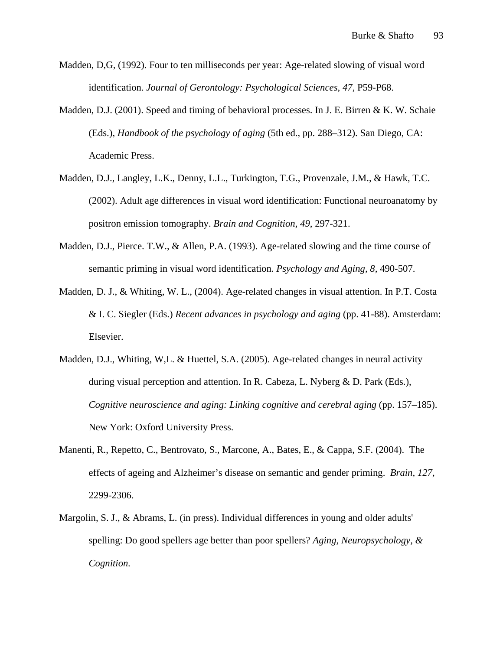- Madden, D,G, (1992). Four to ten milliseconds per year: Age-related slowing of visual word identification. *Journal of Gerontology: Psychological Sciences, 47, P59-P68.*
- Madden, D.J. (2001). Speed and timing of behavioral processes. In J. E. Birren & K. W. Schaie (Eds.), *Handbook of the psychology of aging* (5th ed., pp. 288–312). San Diego, CA: Academic Press.
- Madden, D.J., Langley, L.K., Denny, L.L., Turkington, T.G., Provenzale, J.M., & Hawk, T.C. (2002). Adult age differences in visual word identification: Functional neuroanatomy by positron emission tomography. *Brain and Cognition, 49*, 297-321.
- Madden, D.J., Pierce. T.W., & Allen, P.A. (1993). Age-related slowing and the time course of semantic priming in visual word identification. *Psychology and Aging, 8,* 490-507.
- Madden, D. J., & Whiting, W. L., (2004). Age-related changes in visual attention. In P.T. Costa & I. C. Siegler (Eds.) *Recent advances in psychology and aging* (pp. 41-88). Amsterdam: Elsevier.
- Madden, D.J., Whiting, W,L. & Huettel, S.A. (2005). Age-related changes in neural activity during visual perception and attention. In R. Cabeza, L. Nyberg & D. Park (Eds.), *Cognitive neuroscience and aging: Linking cognitive and cerebral aging* (pp. 157–185). New York: Oxford University Press.
- Manenti, R., Repetto, C., Bentrovato, S., Marcone, A., Bates, E., & Cappa, S.F. (2004). The effects of ageing and Alzheimer's disease on semantic and gender priming. *Brain, 127*, 2299-2306.
- Margolin, S. J., & Abrams, L. (in press). Individual differences in young and older adults' spelling: Do good spellers age better than poor spellers? *Aging, Neuropsychology, & Cognition.*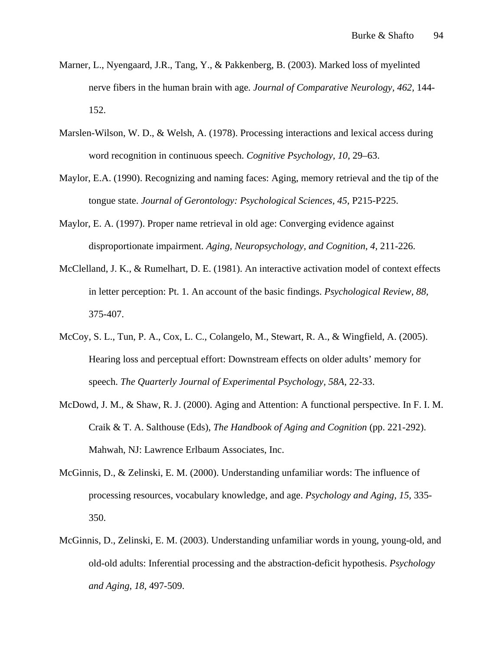- Marner, L., Nyengaard, J.R., Tang, Y., & Pakkenberg, B. (2003). Marked loss of myelinted nerve fibers in the human brain with age*. Journal of Comparative Neurology, 462,* 144- 152.
- Marslen-Wilson, W. D., & Welsh, A. (1978). Processing interactions and lexical access during word recognition in continuous speech. *Cognitive Psychology, 10,* 29–63.
- Maylor, E.A. (1990). Recognizing and naming faces: Aging, memory retrieval and the tip of the tongue state. *Journal of Gerontology: Psychological Sciences, 45*, P215-P225.
- Maylor, E. A. (1997). Proper name retrieval in old age: Converging evidence against disproportionate impairment. *Aging, Neuropsychology, and Cognition*, *4*, 211-226.
- McClelland, J. K., & Rumelhart, D. E. (1981). An interactive activation model of context effects in letter perception: Pt. 1. An account of the basic findings. *Psychological Review, 88,*  375-407.
- McCoy, S. L., Tun, P. A., Cox, L. C., Colangelo, M., Stewart, R. A., & Wingfield, A. (2005). Hearing loss and perceptual effort: Downstream effects on older adults' memory for speech. *The Quarterly Journal of Experimental Psychology, 58A,* 22-33.
- McDowd, J. M., & Shaw, R. J. (2000). Aging and Attention: A functional perspective. In F. I. M. Craik & T. A. Salthouse (Eds), *The Handbook of Aging and Cognition* (pp. 221-292). Mahwah, NJ: Lawrence Erlbaum Associates, Inc.
- McGinnis, D., & Zelinski, E. M. (2000). Understanding unfamiliar words: The influence of processing resources, vocabulary knowledge, and age. *Psychology and Aging, 15,* 335- 350.
- McGinnis, D., Zelinski, E. M. (2003). Understanding unfamiliar words in young, young-old, and old-old adults: Inferential processing and the abstraction-deficit hypothesis. *Psychology and Aging*, *18*, 497-509.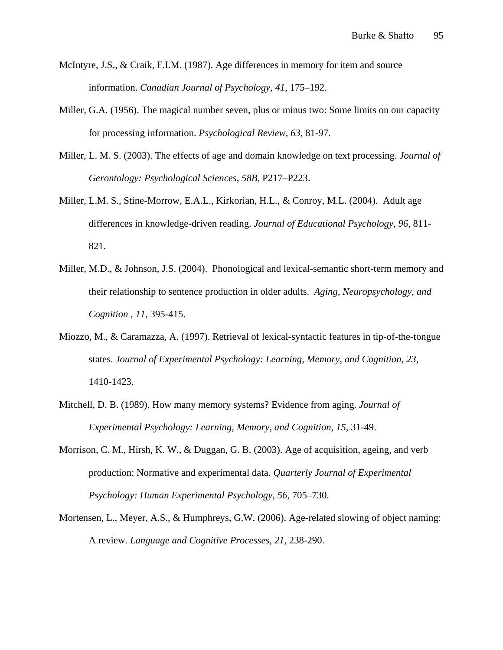- McIntyre, J.S., & Craik, F.I.M. (1987). Age differences in memory for item and source information. *Canadian Journal of Psychology, 41,* 175–192.
- Miller, G.A. (1956). The magical number seven, plus or minus two: Some limits on our capacity for processing information. *Psychological Review, 63*, 81-97.
- Miller, L. M. S. (2003). The effects of age and domain knowledge on text processing. *Journal of Gerontology: Psychological Sciences, 58B,* P217–P223.
- Miller, L.M. S., Stine-Morrow, E.A.L., Kirkorian, H.L., & Conroy, M.L. (2004). Adult age differences in knowledge-driven reading. *Journal of Educational Psychology, 96*, 811- 821.
- Miller, M.D., & Johnson, J.S. (2004). Phonological and lexical-semantic short-term memory and their relationship to sentence production in older adults. *Aging, Neuropsychology, and Cognition , 11,* 395-415.
- Miozzo, M., & Caramazza, A. (1997). Retrieval of lexical-syntactic features in tip-of-the-tongue states. *Journal of Experimental Psychology: Learning, Memory, and Cognition, 23,*  1410-1423.
- Mitchell, D. B. (1989). How many memory systems? Evidence from aging. *Journal of Experimental Psychology: Learning, Memory, and Cognition, 15,* 31-49.
- Morrison, C. M., Hirsh, K. W., & Duggan, G. B. (2003). Age of acquisition, ageing, and verb production: Normative and experimental data. *Quarterly Journal of Experimental Psychology: Human Experimental Psychology, 56,* 705–730.
- Mortensen, L., Meyer, A.S., & Humphreys, G.W. (2006). Age-related slowing of object naming: A review. *Language and Cognitive Processes, 21,* 238-290.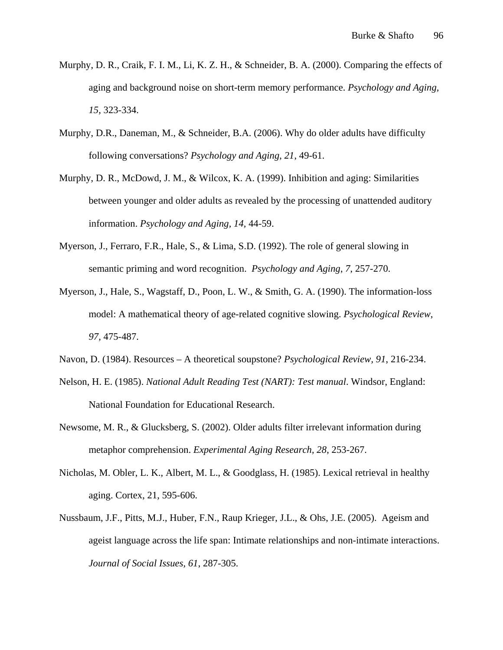- Murphy, D. R., Craik, F. I. M., Li, K. Z. H., & Schneider, B. A. (2000). Comparing the effects of aging and background noise on short-term memory performance. *Psychology and Aging, 15,* 323-334.
- Murphy, D.R., Daneman, M., & Schneider, B.A. (2006). Why do older adults have difficulty following conversations? *Psychology and Aging*, *21*, 49-61.
- Murphy, D. R., McDowd, J. M., & Wilcox, K. A. (1999). Inhibition and aging: Similarities between younger and older adults as revealed by the processing of unattended auditory information. *Psychology and Aging, 14,* 44-59.
- Myerson, J., Ferraro, F.R., Hale, S., & Lima, S.D. (1992). The role of general slowing in semantic priming and word recognition. *Psychology and Aging*, *7*, 257-270.
- Myerson, J., Hale, S., Wagstaff, D., Poon, L. W., & Smith, G. A. (1990). The information-loss model: A mathematical theory of age-related cognitive slowing. *Psychological Review, 97,* 475-487.
- Navon, D. (1984). Resources A theoretical soupstone? *Psychological Review, 91*, 216-234.
- Nelson, H. E. (1985). *National Adult Reading Test (NART): Test manual*. Windsor, England: National Foundation for Educational Research.
- Newsome, M. R., & Glucksberg, S. (2002). Older adults filter irrelevant information during metaphor comprehension. *Experimental Aging Research, 28*, 253-267.
- Nicholas, M. Obler, L. K., Albert, M. L., & Goodglass, H. (1985). Lexical retrieval in healthy aging. Cortex, 21, 595-606.
- Nussbaum, J.F., Pitts, M.J., Huber, F.N., Raup Krieger, J.L., & Ohs, J.E. (2005). Ageism and ageist language across the life span: Intimate relationships and non-intimate interactions. *Journal of Social Issues, 61*, 287-305.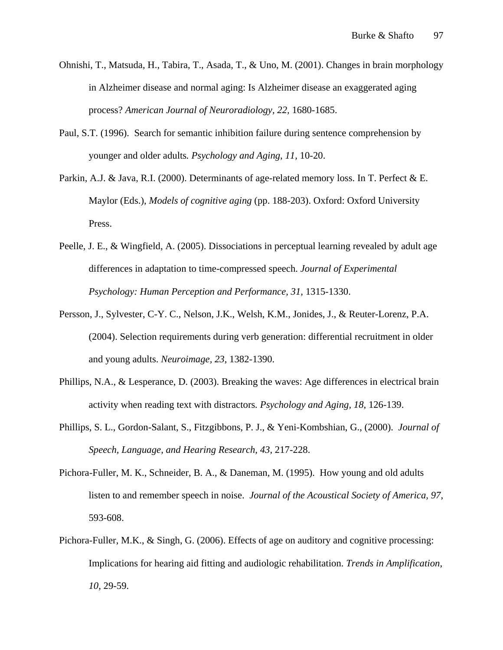- Ohnishi, T., Matsuda, H., Tabira, T., Asada, T., & Uno, M. (2001). Changes in brain morphology in Alzheimer disease and normal aging: Is Alzheimer disease an exaggerated aging process? *American Journal of Neuroradiology, 22,* 1680-1685.
- Paul, S.T. (1996). Search for semantic inhibition failure during sentence comprehension by younger and older adults*. Psychology and Aging, 11,* 10-20.
- Parkin, A.J. & Java, R.I. (2000). Determinants of age-related memory loss. In T. Perfect & E. Maylor (Eds.), *Models of cognitive aging* (pp. 188-203). Oxford: Oxford University Press.
- Peelle, J. E., & Wingfield, A. (2005). Dissociations in perceptual learning revealed by adult age differences in adaptation to time-compressed speech. *Journal of Experimental Psychology: Human Perception and Performance, 31, 1315-1330.*
- Persson, J., Sylvester, C-Y. C., Nelson, J.K., Welsh, K.M., Jonides, J., & Reuter-Lorenz, P.A. (2004). Selection requirements during verb generation: differential recruitment in older and young adults. *Neuroimage, 23*, 1382-1390.
- Phillips, N.A., & Lesperance, D. (2003). Breaking the waves: Age differences in electrical brain activity when reading text with distractors*. Psychology and Aging, 18*, 126-139.
- Phillips, S. L., Gordon-Salant, S., Fitzgibbons, P. J., & Yeni-Kombshian, G., (2000). *Journal of Speech, Language, and Hearing Research, 43,* 217-228.
- Pichora-Fuller, M. K., Schneider, B. A., & Daneman, M. (1995). How young and old adults listen to and remember speech in noise. *Journal of the Acoustical Society of America, 97,*  593-608.
- Pichora-Fuller, M.K., & Singh, G. (2006). Effects of age on auditory and cognitive processing: Implications for hearing aid fitting and audiologic rehabilitation. *Trends in Amplification, 10*, 29-59.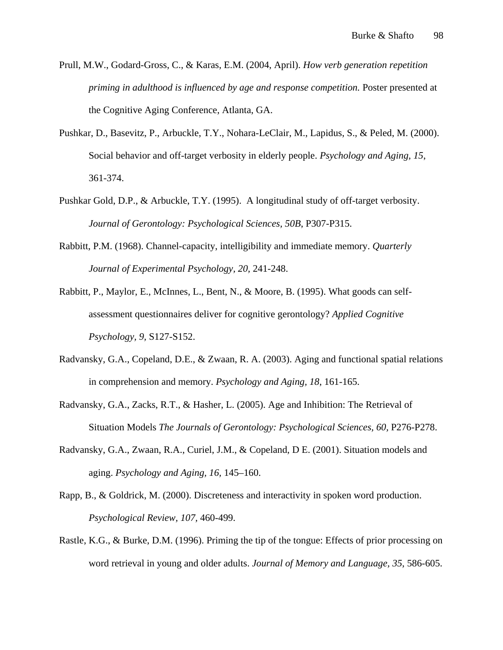- Prull, M.W., Godard-Gross, C., & Karas, E.M. (2004, April). *How verb generation repetition priming in adulthood is influenced by age and response competition.* Poster presented at the Cognitive Aging Conference, Atlanta, GA.
- Pushkar, D., Basevitz, P., Arbuckle, T.Y., Nohara-LeClair, M., Lapidus, S., & Peled, M. (2000). Social behavior and off-target verbosity in elderly people. *Psychology and Aging, 15*, 361-374.
- Pushkar Gold, D.P., & Arbuckle, T.Y. (1995). A longitudinal study of off-target verbosity. *Journal of Gerontology: Psychological Sciences, 50B*, P307-P315.
- Rabbitt, P.M. (1968). Channel-capacity, intelligibility and immediate memory. *Quarterly Journal of Experimental Psychology, 20,* 241-248.
- Rabbitt, P., Maylor, E., McInnes, L., Bent, N., & Moore, B. (1995). What goods can selfassessment questionnaires deliver for cognitive gerontology? *Applied Cognitive Psychology, 9,* S127-S152.
- Radvansky, G.A., Copeland, D.E., & Zwaan, R. A. (2003). Aging and functional spatial relations in comprehension and memory. *Psychology and Aging, 18*, 161-165.
- Radvansky, G.A., Zacks, R.T., & Hasher, L. (2005). Age and Inhibition: The Retrieval of Situation Models *The Journals of Gerontology: Psychological Sciences, 60,* P276-P278.
- Radvansky, G.A., Zwaan, R.A., Curiel, J.M., & Copeland, D E. (2001). Situation models and aging. *Psychology and Aging, 16,* 145–160.
- Rapp, B., & Goldrick, M. (2000). Discreteness and interactivity in spoken word production. *Psychological Review, 107,* 460-499.
- Rastle, K.G., & Burke, D.M. (1996). Priming the tip of the tongue: Effects of prior processing on word retrieval in young and older adults. *Journal of Memory and Language, 35*, 586-605.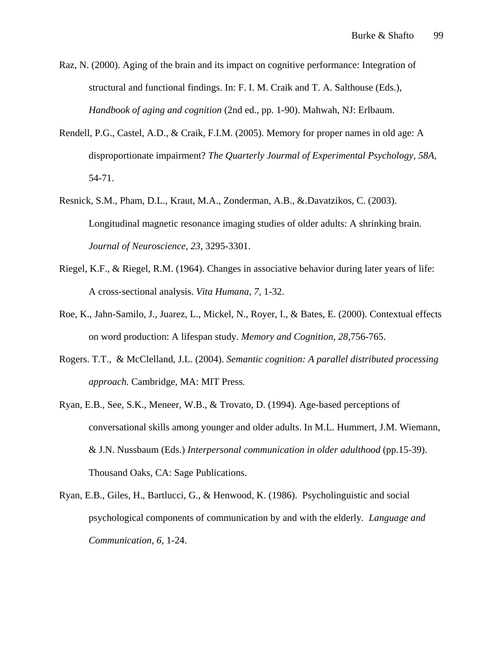Raz, N. (2000). Aging of the brain and its impact on cognitive performance: Integration of structural and functional findings. In: F. I. M. Craik and T. A. Salthouse (Eds.), *Handbook of aging and cognition* (2nd ed., pp. 1-90). Mahwah, NJ: Erlbaum.

- Rendell, P.G., Castel, A.D., & Craik, F.I.M. (2005). Memory for proper names in old age: A disproportionate impairment? *The Quarterly Jourmal of Experimental Psychology, 58A*, 54-71.
- Resnick, S.M., Pham, D.L., Kraut, M.A., Zonderman, A.B., &.Davatzikos, C. (2003). Longitudinal magnetic resonance imaging studies of older adults: A shrinking brain. *Journal of Neuroscience, 23,* 3295-3301.
- Riegel, K.F., & Riegel, R.M. (1964). Changes in associative behavior during later years of life: A cross-sectional analysis. *Vita Humana, 7,* 1-32.
- Roe, K., Jahn-Samilo, J., Juarez, L., Mickel, N., Royer, I., & Bates, E. (2000). Contextual effects on word production: A lifespan study. *Memory and Cognition, 28,*756-765.
- Rogers. T.T., & McClelland, J.L. (2004). *Semantic cognition: A parallel distributed processing approach.* Cambridge, MA: MIT Press*.*
- Ryan, E.B., See, S.K., Meneer, W.B., & Trovato, D. (1994). Age-based perceptions of conversational skills among younger and older adults. In M.L. Hummert, J.M. Wiemann, & J.N. Nussbaum (Eds.) *Interpersonal communication in older adulthood* (pp.15-39). Thousand Oaks, CA: Sage Publications.
- Ryan, E.B., Giles, H., Bartlucci, G., & Henwood, K. (1986). Psycholinguistic and social psychological components of communication by and with the elderly*. Language and Communication, 6,* 1-24.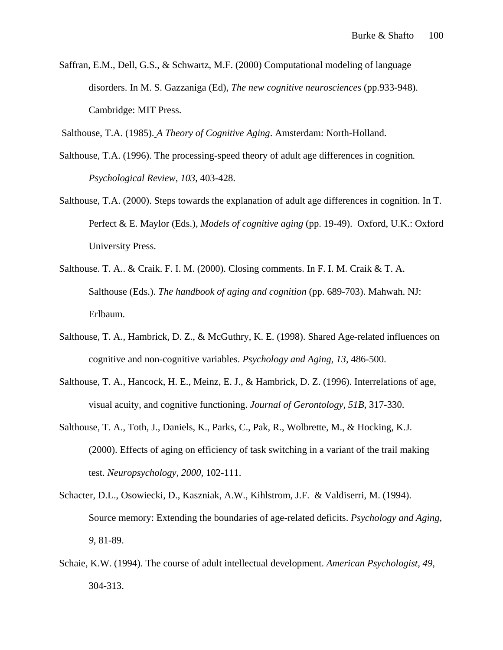Saffran, E.M., Dell, G.S., & Schwartz, M.F. (2000) Computational modeling of language disorders. In M. S. Gazzaniga (Ed), *The new cognitive neurosciences* (pp.933-948). Cambridge: MIT Press.

Salthouse, T.A. (1985). *A Theory of Cognitive Aging*. Amsterdam: North-Holland.

- Salthouse, T.A. (1996). The processing-speed theory of adult age differences in cognition*. Psychological Review, 103*, 403-428.
- Salthouse, T.A. (2000). Steps towards the explanation of adult age differences in cognition. In T. Perfect & E. Maylor (Eds.), *Models of cognitive aging* (pp. 19-49). Oxford, U.K.: Oxford University Press.
- Salthouse. T. A.. & Craik. F. I. M. (2000). Closing comments. In F. I. M. Craik & T. A. Salthouse (Eds.). *The handbook of aging and cognition* (pp. 689-703). Mahwah. NJ: Erlbaum.
- Salthouse, T. A., Hambrick, D. Z., & McGuthry, K. E. (1998). Shared Age-related influences on cognitive and non-cognitive variables. *Psychology and Aging, 13,* 486-500.
- Salthouse, T. A., Hancock, H. E., Meinz, E. J., & Hambrick, D. Z. (1996). Interrelations of age, visual acuity, and cognitive functioning. *Journal of Gerontology, 51B*, 317-330.
- Salthouse, T. A., Toth, J., Daniels, K., Parks, C., Pak, R., Wolbrette, M., & Hocking, K.J. (2000). Effects of aging on efficiency of task switching in a variant of the trail making test. *Neuropsychology, 2000,* 102-111.
- Schacter, D.L., Osowiecki, D., Kaszniak, A.W., Kihlstrom, J.F. & Valdiserri, M. (1994). Source memory: Extending the boundaries of age-related deficits. *Psychology and Aging, 9*, 81-89.
- Schaie, K.W. (1994). The course of adult intellectual development. *American Psychologist, 49,* 304-313.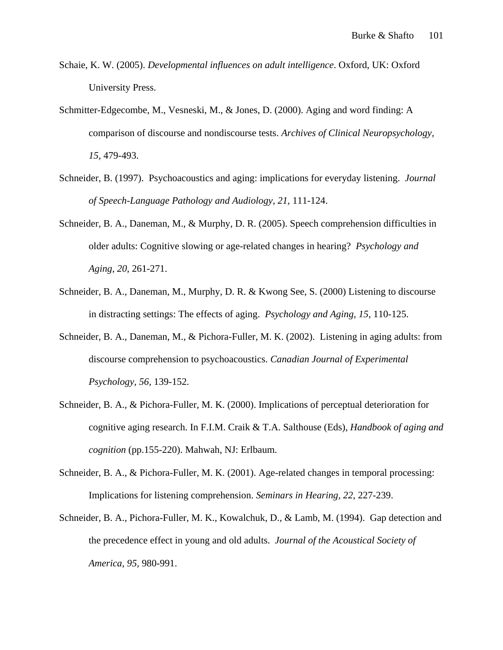- Schaie, K. W. (2005). *Developmental influences on adult intelligence*. Oxford, UK: Oxford University Press.
- Schmitter-Edgecombe, M., Vesneski, M., & Jones, D. (2000). Aging and word finding: A comparison of discourse and nondiscourse tests. *Archives of Clinical Neuropsychology, 15,* 479-493.
- Schneider, B. (1997). Psychoacoustics and aging: implications for everyday listening. *Journal of Speech-Language Pathology and Audiology, 21,* 111-124.
- Schneider, B. A., Daneman, M., & Murphy, D. R. (2005). Speech comprehension difficulties in older adults: Cognitive slowing or age-related changes in hearing? *Psychology and Aging, 20,* 261-271.
- Schneider, B. A., Daneman, M., Murphy, D. R. & Kwong See, S. (2000) Listening to discourse in distracting settings: The effects of aging. *Psychology and Aging, 15,* 110-125.
- Schneider, B. A., Daneman, M., & Pichora-Fuller, M. K. (2002). Listening in aging adults: from discourse comprehension to psychoacoustics. *Canadian Journal of Experimental Psychology, 56,* 139-152.
- Schneider, B. A., & Pichora-Fuller, M. K. (2000). Implications of perceptual deterioration for cognitive aging research. In F.I.M. Craik & T.A. Salthouse (Eds), *Handbook of aging and cognition* (pp.155-220). Mahwah, NJ: Erlbaum.
- Schneider, B. A., & Pichora-Fuller, M. K. (2001). Age-related changes in temporal processing: Implications for listening comprehension. *Seminars in Hearing, 22,* 227-239.
- Schneider, B. A., Pichora-Fuller, M. K., Kowalchuk, D., & Lamb, M. (1994). Gap detection and the precedence effect in young and old adults. *Journal of the Acoustical Society of America, 95,* 980-991.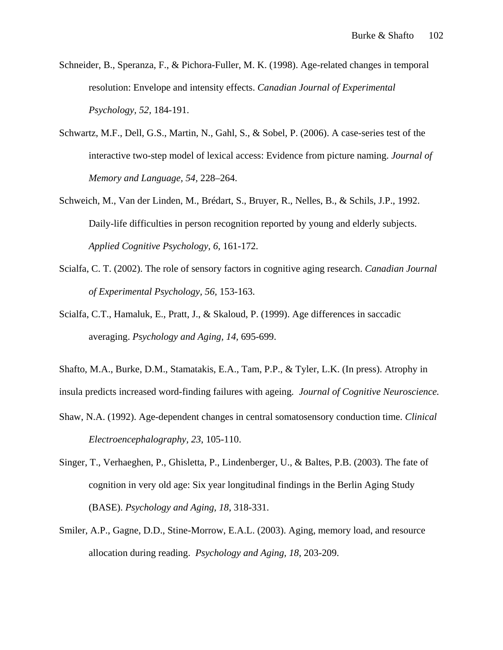- Schneider, B., Speranza, F., & Pichora-Fuller, M. K. (1998). Age-related changes in temporal resolution: Envelope and intensity effects. *Canadian Journal of Experimental Psychology, 52,* 184-191.
- Schwartz, M.F., Dell, G.S., Martin, N., Gahl, S., & Sobel, P. (2006). A case-series test of the interactive two-step model of lexical access: Evidence from picture naming. *Journal of Memory and Language, 54,* 228–264.
- Schweich, M., Van der Linden, M., Brédart, S., Bruyer, R., Nelles, B., & Schils, J.P., 1992. Daily-life difficulties in person recognition reported by young and elderly subjects. *Applied Cognitive Psychology, 6,* 161-172.
- Scialfa, C. T. (2002). The role of sensory factors in cognitive aging research. *Canadian Journal of Experimental Psychology, 56,* 153-163.
- Scialfa, C.T., Hamaluk, E., Pratt, J., & Skaloud, P. (1999). Age differences in saccadic averaging. *Psychology and Aging, 14,* 695-699.

Shafto, M.A., Burke, D.M., Stamatakis, E.A., Tam, P.P., & Tyler, L.K. (In press). Atrophy in

insula predicts increased word-finding failures with ageing*. Journal of Cognitive Neuroscience.* 

- Shaw, N.A. (1992). Age-dependent changes in central somatosensory conduction time. *Clinical Electroencephalography, 23*, 105-110.
- Singer, T., Verhaeghen, P., Ghisletta, P., Lindenberger, U., & Baltes, P.B. (2003). The fate of cognition in very old age: Six year longitudinal findings in the Berlin Aging Study (BASE). *Psychology and Aging, 18*, 318-331.
- Smiler, A.P., Gagne, D.D., Stine-Morrow, E.A.L. (2003). Aging, memory load, and resource allocation during reading. *Psychology and Aging, 18*, 203-209.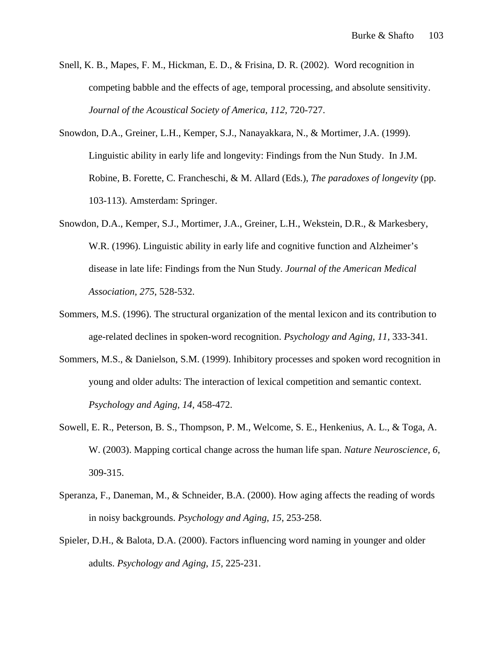- Snell, K. B., Mapes, F. M., Hickman, E. D., & Frisina, D. R. (2002). Word recognition in competing babble and the effects of age, temporal processing, and absolute sensitivity. *Journal of the Acoustical Society of America, 112,* 720-727.
- Snowdon, D.A., Greiner, L.H., Kemper, S.J., Nanayakkara, N., & Mortimer, J.A. (1999). Linguistic ability in early life and longevity: Findings from the Nun Study. In J.M. Robine, B. Forette, C. Francheschi, & M. Allard (Eds.), *The paradoxes of longevity* (pp. 103-113). Amsterdam: Springer.
- Snowdon, D.A., Kemper, S.J., Mortimer, J.A., Greiner, L.H., Wekstein, D.R., & Markesbery, W.R. (1996). Linguistic ability in early life and cognitive function and Alzheimer's disease in late life: Findings from the Nun Study*. Journal of the American Medical Association, 275*, 528-532.
- Sommers, M.S. (1996). The structural organization of the mental lexicon and its contribution to age-related declines in spoken-word recognition. *Psychology and Aging, 11,* 333-341.
- Sommers, M.S., & Danielson, S.M. (1999). Inhibitory processes and spoken word recognition in young and older adults: The interaction of lexical competition and semantic context. *Psychology and Aging, 14,* 458-472.
- Sowell, E. R., Peterson, B. S., Thompson, P. M., Welcome, S. E., Henkenius, A. L., & Toga, A. W. (2003). Mapping cortical change across the human life span. *Nature Neuroscience, 6,*  309-315.
- Speranza, F., Daneman, M., & Schneider, B.A. (2000). How aging affects the reading of words in noisy backgrounds. *Psychology and Aging*, *15*, 253-258.
- Spieler, D.H., & Balota, D.A. (2000). Factors influencing word naming in younger and older adults. *Psychology and Aging*, *15,* 225-231.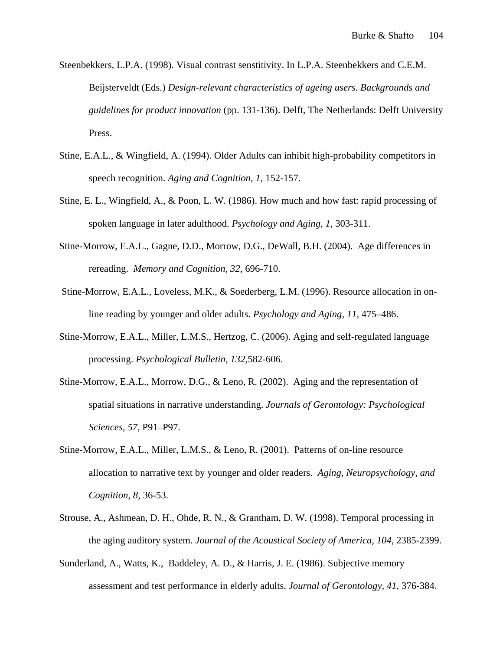- Steenbekkers, L.P.A. (1998). Visual contrast senstitivity. In L.P.A. Steenbekkers and C.E.M. Beijsterveldt (Eds.) *Design-relevant characteristics of ageing users. Backgrounds and guidelines for product innovation* (pp. 131-136). Delft, The Netherlands: Delft University Press.
- Stine, E.A.L., & Wingfield, A. (1994). Older Adults can inhibit high-probability competitors in speech recognition. *Aging and Cognition, 1,* 152-157.
- Stine, E. L., Wingfield, A., & Poon, L. W. (1986). How much and how fast: rapid processing of spoken language in later adulthood. *Psychology and Aging, 1,* 303-311.
- Stine-Morrow, E.A.L., Gagne, D.D., Morrow, D.G., DeWall, B.H. (2004). Age differences in rereading. *Memory and Cognition, 32*, 696-710.
- Stine-Morrow, E.A.L., Loveless, M.K., & Soederberg, L.M. (1996). Resource allocation in online reading by younger and older adults. *Psychology and Aging, 11,* 475–486.
- Stine-Morrow, E.A.L., Miller, L.M.S., Hertzog, C. (2006). Aging and self-regulated language processing. *Psychological Bulletin, 132,*582-606.
- Stine-Morrow, E.A.L., Morrow, D.G., & Leno, R. (2002). Aging and the representation of spatial situations in narrative understanding. *Journals of Gerontology: Psychological Sciences, 57*, P91–P97.
- Stine-Morrow, E.A.L., Miller, L.M.S., & Leno, R. (2001). Patterns of on-line resource allocation to narrative text by younger and older readers. *Aging, Neuropsychology, and Cognition, 8*, 36-53.
- Strouse, A., Ashmean, D. H., Ohde, R. N., & Grantham, D. W. (1998). Temporal processing in the aging auditory system. *Journal of the Acoustical Society of America, 104,* 2385-2399.
- Sunderland, A., Watts, K., Baddeley, A. D., & Harris, J. E. (1986). Subjective memory assessment and test performance in elderly adults. *Journal of Gerontology, 41,* 376-384.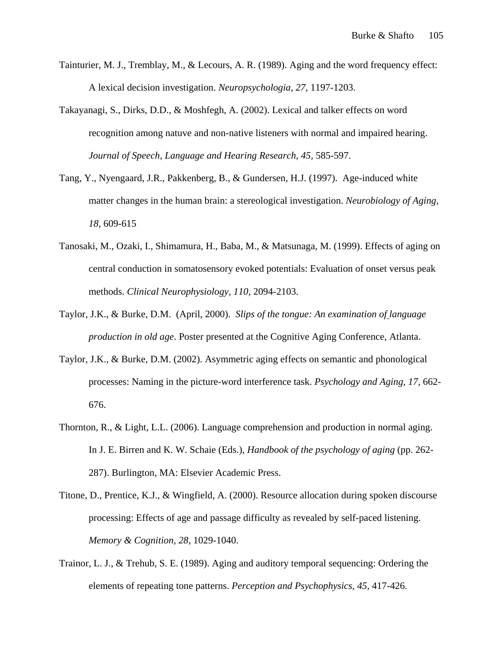- Tainturier, M. J., Tremblay, M., & Lecours, A. R. (1989). Aging and the word frequency effect: A lexical decision investigation. *Neuropsychologia, 27*, 1197-1203.
- Takayanagi, S., Dirks, D.D., & Moshfegh, A. (2002). Lexical and talker effects on word recognition among natuve and non-native listeners with normal and impaired hearing. *Journal of Speech, Language and Hearing Research, 45,* 585-597.
- Tang, Y., Nyengaard, J.R., Pakkenberg, B., & Gundersen, H.J. (1997). Age-induced white matter changes in the human brain: a stereological investigation. *Neurobiology of Aging, 18*, 609-615
- Tanosaki, M., Ozaki, I., Shimamura, H., Baba, M., & Matsunaga, M. (1999). Effects of aging on central conduction in somatosensory evoked potentials: Evaluation of onset versus peak methods. *Clinical Neurophysiology, 110,* 2094-2103.
- Taylor, J.K., & Burke, D.M. (April, 2000). *Slips of the tongue: An examination of language production in old age*. Poster presented at the Cognitive Aging Conference, Atlanta.
- Taylor, J.K., & Burke, D.M. (2002). Asymmetric aging effects on semantic and phonological processes: Naming in the picture-word interference task. *Psychology and Aging, 17,* 662- 676.
- Thornton, R., & Light, L.L. (2006). Language comprehension and production in normal aging. In J. E. Birren and K. W. Schaie (Eds.), *Handbook of the psychology of aging* (pp. 262- 287). Burlington, MA: Elsevier Academic Press.
- Titone, D., Prentice, K.J., & Wingfield, A. (2000). Resource allocation during spoken discourse processing: Effects of age and passage difficulty as revealed by self-paced listening. *Memory & Cognition, 28*, 1029-1040.
- Trainor, L. J., & Trehub, S. E. (1989). Aging and auditory temporal sequencing: Ordering the elements of repeating tone patterns. *Perception and Psychophysics, 45,* 417-426.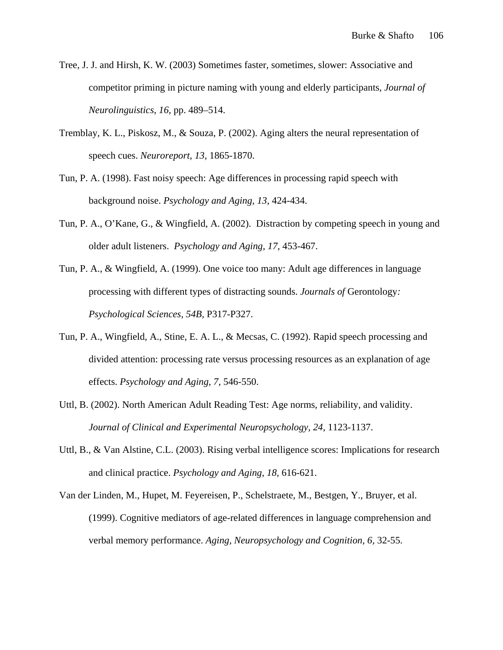- Tree, J. J. and Hirsh, K. W. (2003) Sometimes faster, sometimes, slower: Associative and competitor priming in picture naming with young and elderly participants, *[Journal of](http://dx.doi.org/10.1016/S0911-6044(02)00005-2)  [Neurolinguistics](http://dx.doi.org/10.1016/S0911-6044(02)00005-2)*, *16*, pp. 489–514.
- Tremblay, K. L., Piskosz, M., & Souza, P. (2002). Aging alters the neural representation of speech cues. *Neuroreport, 13,* 1865-1870.
- Tun, P. A. (1998). Fast noisy speech: Age differences in processing rapid speech with background noise. *Psychology and Aging, 13,* 424-434.
- Tun, P. A., O'Kane, G., & Wingfield, A. (2002). Distraction by competing speech in young and older adult listeners. *Psychology and Aging, 17,* 453-467.
- Tun, P. A., & Wingfield, A. (1999). One voice too many: Adult age differences in language processing with different types of distracting sounds. *Journals of* Gerontology*: Psychological Sciences, 54B,* P317-P327.
- Tun, P. A., Wingfield, A., Stine, E. A. L., & Mecsas, C. (1992). Rapid speech processing and divided attention: processing rate versus processing resources as an explanation of age effects. *Psychology and Aging, 7,* 546-550.
- Uttl, B. (2002). North American Adult Reading Test: Age norms, reliability, and validity. Journal of Clinical and Experimental Neuropsychology, 24, 1123-1137.
- Uttl, B., & Van Alstine, C.L. (2003). Rising verbal intelligence scores: Implications for research and clinical practice. *Psychology and Aging, 18,* 616-621.
- Van der Linden, M., Hupet, M. Feyereisen, P., Schelstraete, M., Bestgen, Y., Bruyer, et al. (1999). Cognitive mediators of age-related differences in language comprehension and verbal memory performance. *Aging, Neuropsychology and Cognition, 6,* 32-55.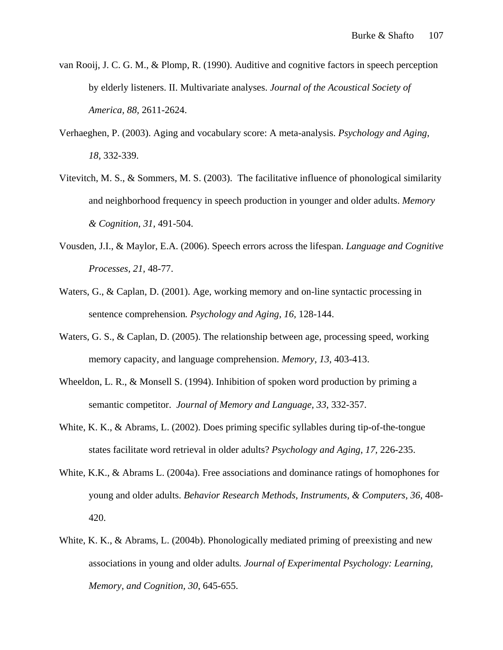- van Rooij, J. C. G. M., & Plomp, R. (1990). Auditive and cognitive factors in speech perception by elderly listeners. II. Multivariate analyses. *Journal of the Acoustical Society of America, 88,* 2611-2624.
- Verhaeghen, P. (2003). Aging and vocabulary score: A meta-analysis. *Psychology and Aging, 18,* 332-339.
- Vitevitch, M. S., & Sommers, M. S. (2003). The facilitative influence of phonological similarity and neighborhood frequency in speech production in younger and older adults. *Memory & Cognition, 31,* 491-504.
- Vousden, J.I., & Maylor, E.A. (2006). Speech errors across the lifespan. *Language and Cognitive Processes, 21,* 48-77.
- Waters, G., & Caplan, D. (2001). Age, working memory and on-line syntactic processing in sentence comprehension*. Psychology and Aging, 16,* 128-144.
- Waters, G. S., & Caplan, D. (2005). The relationship between age, processing speed, working memory capacity, and language comprehension. *Memory, 13,* 403-413.
- Wheeldon, L. R., & Monsell S. (1994). Inhibition of spoken word production by priming a semantic competitor. *Journal of Memory and Language, 33*, 332-357.
- White, K. K., & Abrams, L. (2002). Does priming specific syllables during tip-of-the-tongue states facilitate word retrieval in older adults? *Psychology and Aging, 17,* 226-235.
- White, K.K., & Abrams L. (2004a). Free associations and dominance ratings of homophones for young and older adults. *Behavior Research Methods, Instruments, & Computers, 36,* 408- 420.
- White, K. K., & Abrams, L. (2004b). Phonologically mediated priming of preexisting and new associations in young and older adults*. Journal of Experimental Psychology: Learning, Memory, and Cognition, 30*, 645-655.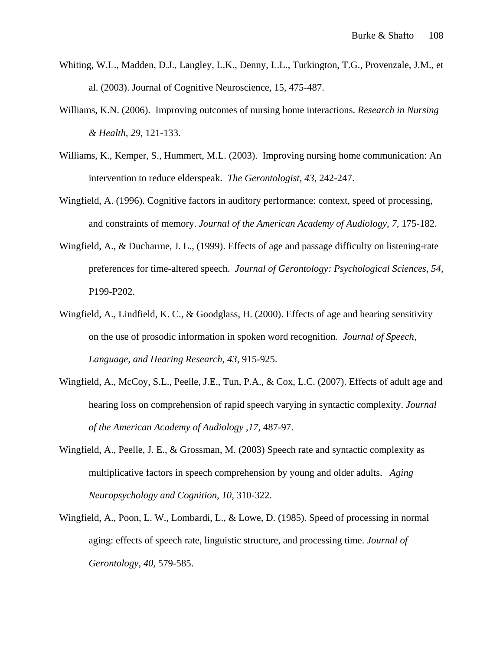- Whiting, W.L., Madden, D.J., Langley, L.K., Denny, L.L., Turkington, T.G., Provenzale, J.M., et al. (2003). Journal of Cognitive Neuroscience, 15, 475-487.
- Williams, K.N. (2006). Improving outcomes of nursing home interactions. *Research in Nursing & Health, 29*, 121-133.
- Williams, K., Kemper, S., Hummert, M.L. (2003). Improving nursing home communication: An intervention to reduce elderspeak. *The Gerontologist, 43*, 242-247.
- Wingfield, A. (1996). Cognitive factors in auditory performance: context, speed of processing, and constraints of memory. *Journal of the American Academy of Audiology, 7,* 175-182.
- Wingfield, A., & Ducharme, J. L., (1999). Effects of age and passage difficulty on listening-rate preferences for time-altered speech. *Journal of Gerontology: Psychological Sciences, 54,*  P199-P202.
- Wingfield, A., Lindfield, K. C., & Goodglass, H. (2000). Effects of age and hearing sensitivity on the use of prosodic information in spoken word recognition. *Journal of Speech, Language, and Hearing Research, 43,* 915-925.
- Wingfield, A., McCoy, S.L., Peelle, J.E., Tun, P.A., & Cox, L.C. (2007). Effects of adult age and hearing loss on comprehension of rapid speech varying in syntactic complexity. *Journal of the American Academy of Audiology ,17,* 487-97.
- Wingfield, A., Peelle, J. E., & Grossman, M. (2003) Speech rate and syntactic complexity as multiplicative factors in speech comprehension by young and older adults. *Aging Neuropsychology and Cognition, 10,* 310-322.
- Wingfield, A., Poon, L. W., Lombardi, L., & Lowe, D. (1985). Speed of processing in normal aging: effects of speech rate, linguistic structure, and processing time. *Journal of Gerontology, 40,* 579-585.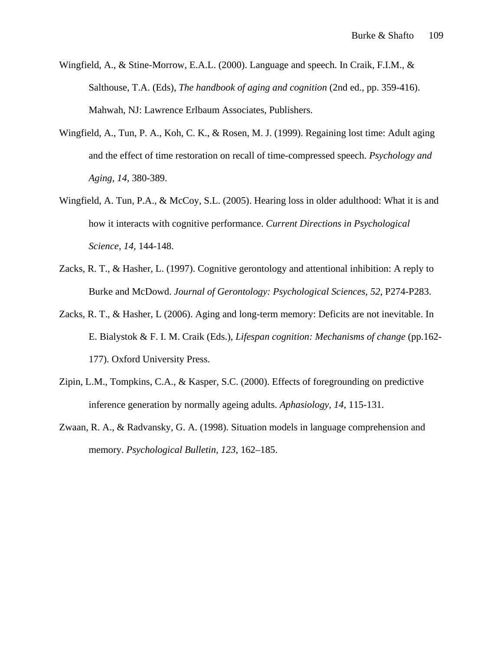- Wingfield, A., & Stine-Morrow, E.A.L. (2000). Language and speech. In Craik, F.I.M., & Salthouse, T.A. (Eds), *The handbook of aging and cognition* (2nd ed., pp. 359-416). Mahwah, NJ: Lawrence Erlbaum Associates, Publishers.
- Wingfield, A., Tun, P. A., Koh, C. K., & Rosen, M. J. (1999). Regaining lost time: Adult aging and the effect of time restoration on recall of time-compressed speech. *Psychology and Aging, 14,* 380-389.
- Wingfield, A. Tun, P.A., & McCoy, S.L. (2005). Hearing loss in older adulthood: What it is and how it interacts with cognitive performance. *Current Directions in Psychological Science, 14,* 144-148.
- Zacks, R. T., & Hasher, L. (1997). Cognitive gerontology and attentional inhibition: A reply to Burke and McDowd. *Journal of Gerontology: Psychological Sciences, 52,* P274-P283.
- Zacks, R. T., & Hasher, L (2006). Aging and long-term memory: Deficits are not inevitable. In E. Bialystok & F. I. M. Craik (Eds.), *Lifespan cognition: Mechanisms of change* (pp.162- 177). Oxford University Press.
- Zipin, L.M., Tompkins, C.A., & Kasper, S.C. (2000). Effects of foregrounding on predictive inference generation by normally ageing adults. *Aphasiology, 14*, 115-131.
- Zwaan, R. A., & Radvansky, G. A. (1998). Situation models in language comprehension and memory. *Psychological Bulletin, 123*, 162–185.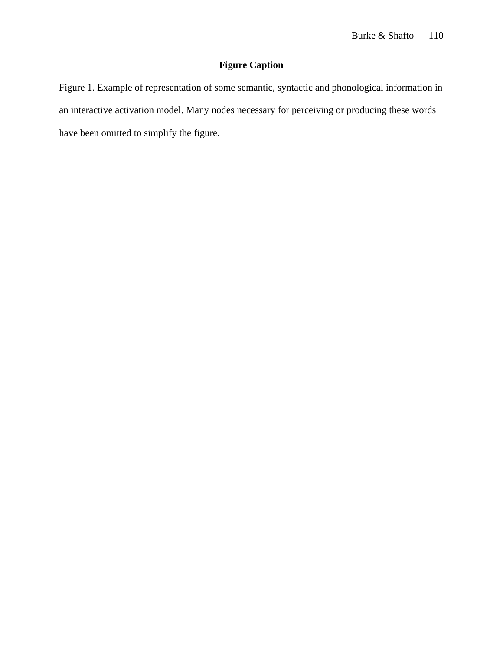## **Figure Caption**

Figure 1. Example of representation of some semantic, syntactic and phonological information in an interactive activation model. Many nodes necessary for perceiving or producing these words have been omitted to simplify the figure.